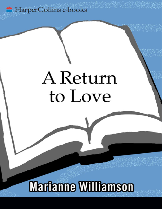HarperCollins e-books

# A Return to Love

**Marianne Williamson**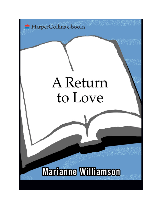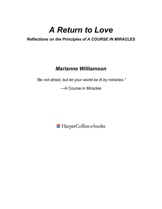# *A Return to Love*

*Reflections on the Principles of A COURSE IN MIRACLES*

## *Marianne Williamson*

*"Be not afraid, but let your world be lit by miracles."*

—A Course in Miracles

HarperCollins e-books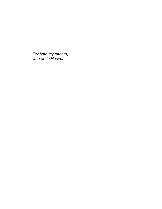*For both my fathers*, *who art in Heaven*.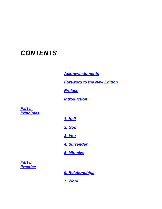# *CONTENTS*

<span id="page-4-0"></span>*[Acknowledgments](#page-6-0)*

<span id="page-4-1"></span>*[Foreword to the New Edition](#page-7-0)*

<span id="page-4-2"></span>*[Preface](#page-9-0)*

<span id="page-4-3"></span>*[Introduction](#page-14-0)*

<span id="page-4-4"></span>*Part I. [Principles](#page-17-0)*

<span id="page-4-5"></span>*1. [Hell](#page-18-0)*

<span id="page-4-6"></span>*2. [God](#page-25-0)*

<span id="page-4-7"></span>*3. [You](#page-33-0)*

*4. [Surrender](#page-47-0)*

*5. [Miracles](#page-56-0)*

*Part II. [Practice](#page-71-0)*

*6. [Relationships](#page-72-0)*

*7. [Work](#page-134-0)*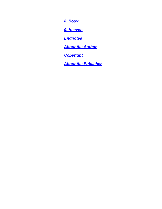*8. [Body](#page-167-0)*

*9. [Heaven](#page-200-0)*

*[Endnotes](#page-222-0)*

*[About the Author](#page-233-0)*

*[Copyright](#page-234-0)*

*[About the Publisher](#page-235-0)*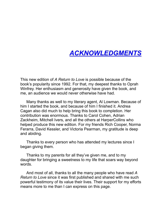# *[ACKNOWLEDGMENTS](#page-4-0)*

<span id="page-6-0"></span>This new edition of *A Return to Love* is possible because of the book's popularity since 1992. For that, my deepest thanks to Oprah Winfrey. Her enthusiasm and generosity have given the book, and me, an audience we would never otherwise have had.

Many thanks as well to my literary agent, Al Lowman. Because of him I started the book, and because of him I finished it. Andrea Cagan also did much to help bring this book to completion. Her contribution was enormous. Thanks to Carol Cohen, Adrian Zackheim, Mitchell Ivers, and all the others at HarperCollins who helped produce this new edition. For my friends Rich Cooper, Norma Ferarra, David Kessler, and Victoria Pearman, my gratitude is deep and abiding.

Thanks to every person who has attended my lectures since I began giving them.

Thanks to my parents for all they've given me, and to my daughter for bringing a sweetness to my life that soars way beyond words.

And most of all, thanks to all the many people who have read *A Return to Love* since it was first published and shared with me such powerful testimony of its value their lives. Their support for my efforts means more to me than I can express on this page.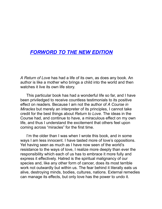#### <span id="page-7-0"></span>*[FORWORD](#page-4-1) TO THE NEW EDITION*

*A Return of Love* has had a life of its own, as does any book. An author is like a mother who brings a child into the world and then watches it live its own life story.

This particular book has had a wonderful life so far, and I have been priviledged to receive countless testimonials to its positive effect on readers. Because I am not the author of *A Course in Miracles* but merely an interpreter of its principles, I cannot take credit for the best things about *Return to Love*. The ideas in the Course had, and continue to have, a miraculous effect on my own life, and thus I understand the excitement that others feel upon coming across "miracles" for the first time.

I'm the older than I was when I wrote this book, and in some ways I am less innocent. I have tasted more of love's oppositions. Yet having seen as much as I have now seen of the world's resistance to the ways of love, I realize more deeply than ever the responsibility which each of us has to embrace it more fully and express it effectively. Hatred is the spiritual malignancy of our species and, like any other form of cancer, does its most terrible work not outwardly but within us. The fear behind it literally eats us alive, destroying minds, bodies, cultures, nations. External remedies can manage its effects, but only love has the power to undo it.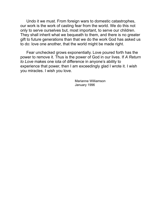Undo it we must. From foreign wars to domestic catastrophes, our work is the work of casting fear from the world. We do this not only to serve ourselves but, most important, to serve our children. They shall inherit what we bequeath to them, and there is no greater gift to future generations than that we do the work God has asked us to do: love one another, that the world might be made right.

Fear unchecked grows exponentially. Love poured forth has the power to remove it. Thus is the power of God in our lives. If *A Return to Love* makes one iota of difference in anyone's ability to experience that power, then I am exceedingly glad I wrote it. I wish you miracles. I wish you love.

> Marianne Williamson January 1996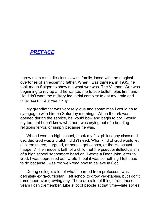<span id="page-9-0"></span>

I grew up in a middle-class Jewish family, laced with the magical overtones of an eccentric father. When I was thirteen, in 1965, he took me to Saigon to show me what war was. The Vietnam War was beginning to rev up and he wanted me to see bullet holes firsthand. He didn't want the military-industrial complex to eat my brain and convince me war was okay.

My grandfather was very religious and sometimes I would go to synagogue with him on Saturday mornings. When the ark was opened during the service, he would bow and begin to cry. I would cry too, but I don't know whether I was crying out of a budding religious fervor, or simply because he was.

When I went to high school, I took my first philosophy class and decided God was a crutch I didn't need. What kind of God would let children starve, I argued, or people get cancer, or the Holocaust happen? The innocent faith of a child met the pseudointellectualism of a high school sophomore head on. I wrote a Dear John letter to God. I was depressed as I wrote it, but it was something I felt I had to do because I was too well-read now to believe in God.

During college, a lot of what I learned from professors was definitely extra-curricular. I left school to grow vegetables, but I don't remember ever growing any. There are a lot of things from those years I can't remember. Like a lot of people at that time—late sixties,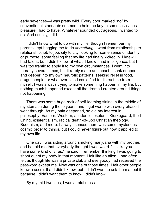early seventies—I was pretty wild. Every door marked "no" by conventional standards seemed to hold the key to some lascivious pleasure I had to have. Whatever sounded outrageous, I wanted to do. And usually, I did.

I didn't know what to do with my life, though I remember my parents kept begging me to do *something*. I went from relationship to relationship, job to job, city to city, looking for some sense of identity or purpose, some feeling that my life had finally kicked in. I knew I had talent, but I didn't know at what. I knew I had intelligence, but I was too frantic to apply it to my own circumstances. I went into therapy several times, but it rarely made an impact. I sank deeper and deeper into my own neurotic patterns, seeking relief in food, drugs, people, or whatever else I could find to distract me from myself. I was always trying to make something happen in my life, but nothing much happened except all the drama I created around things not happening.

There was some huge rock of self-loathing sitting in the middle of my stomach during those years, and it got worse with every phase I went through. As my pain deepened, so did my interest in philosophy: Eastern, Western, academic, esoteric. Kierkegaard, the I Ching, existentialism, radical death-of-God Christian theology, Buddhism, and more. I always sensed there was some mysterious cosmic order to things, but I could never figure out how it applied to my own life.

One day I was sitting around smoking marijuana with my brother, and he told me that everybody thought I was weird. "It's like you have some kind of virus," he said. I remember thinking I was going to shoot out of my body in that moment. I felt like an alien. I had often felt as though life was a private club and everybody had received the password except me. Now was one of those times. I felt other people knew a secret that I didn't know, but I didn't want to ask them about it because I didn't want them to know I didn't know.

By my mid-twenties, I was a total mess.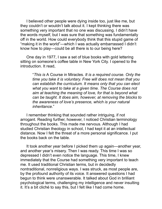I believed other people were dying inside too, just like me, but they couldn't or wouldn't talk about it. I kept thinking there was something very important that no one was discussing. I didn't have the words myself, but I was sure that something was fundamentally off in the world. How could everybody think that this stupid game of "making it in the world"—which I was actually embarrassed I didn't know how to play—could be all there is to our being here?

One day in 1977, I saw a set of blue books with gold lettering sitting on someone's coffee table in New York City. I opened to the introduction. It read,

> "*This is* A Course in Miracles. *It is a required course. Only the time you take it is voluntary. Free will does not mean that you can establish the curriculum. It means only that you can elect what you want to take at a given time. The Course does not aim at teaching the meaning of love, for that is beyond what can be taught. It does aim, however, at removing the blocks to the awareness of love's presence, which is your natural inheritance*."

I remember thinking that sounded rather intriguing, if not arrogant. Reading further, however, I noticed Christian terminology throughout the books. This made me nervous. Although I had studied Christian theology in school, I had kept it at an intellectual distance. Now I felt the threat of a more personal significance. I put the books back on the table.

It took another year before I picked them up again—another year, and another year's misery. Then I was ready. This time I was so depressed I didn't even notice the language. This time, I knew immediately that the Course had something very important to teach me. It used traditional Christian terms, but in decidedly nontraditional, nonreligious ways. I was struck, as most people are, by the profound authority of its voice. It answered questions I had begun to think were unanswerable. It talked about God in brilliant psychological terms, challenging my intelligence and never insulting it. It's a bit cliché to say this, but I felt like I had come home.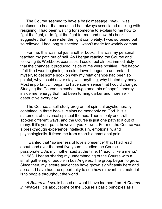The Course seemed to have a basic message: *relax*. I was confused to hear that because I had always associated relaxing with resigning. I had been waiting for someone to explain to me how to fight the fight, or to fight the fight for me, and now this book suggested that I surrender the fight completely. I was surprised but so relieved. I had long suspected I wasn't made for worldly combat.

For me, this was not just another book. This was my personal teacher, my path out of hell. As I began reading the Course and following its Workbook exercises, I could feel almost immediately that the changes it produced inside of me were positive. I felt happy. I felt like I was beginning to calm down. I began to understand myself, to get some hook on why my relationships had been so painful, why I could never stay with anything, why I hated my body. Most importantly, I began to have some sense that I could change. Studying the Course unleashed huge amounts of hopeful energy inside me, energy that had been turning darker and more selfdestructive every day.

The Course, a self-study program of spiritual psychotherapy contained in three books, claims no monopoly on God. It is a statement of universal spiritual themes. There's only one truth, spoken different ways, and the Course is just one path to it out of many. If it's your path, however, you know it. For me, the Course was a breakthrough experience intellectually, emotionally, and psychologically. It freed me from a terrible emotional pain.

I wanted that "awareness of love's presence" that I had read about, and over the next five years I studied the Course passionately. As my mother said at the time, I "read it like a menu." In 1983, I began sharing my understanding of the Course with a small gathering of people in Los Angeles. The group began to grow. Since then, my lecture audiences have grown significantly here and abroad. I have had the opportunity to see how relevant this material is to people throughout the world.

*A Return to Love* is based on what I have learned from *A Course in Miracles*. It is about some of the Course's basic principles as I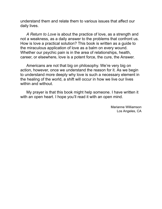understand them and relate them to various issues that affect our daily lives.

*A Return to Love* is about the practice of love, as a strength and not a weakness, as a daily answer to the problems that confront us. How is love a practical solution? This book is written as a guide to the miraculous application of love as a balm on every wound. Whether our psychic pain is in the area of relationships, health, career, or elsewhere, love is a potent force, the cure, the Answer.

Americans are not that big on philosophy. We're very big on action, however, once we understand the reason for it. As we begin to understand more deeply why love is such a necessary element in the healing of the world, a shift will occur in how we live our lives within and without.

My prayer is that this book might help someone. I have written it with an open heart. I hope you'll read it with an open mind.

> Marianne Williamson Los Angeles, CA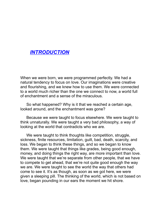### <span id="page-14-0"></span>*[INTRODUCTION](#page-4-3)*

When we were born, we were programmed perfectly. We had a natural tendency to focus on love. Our imaginations were creative and flourishing, and we knew how to use them. We were connected to a world much richer than the one we connect to now, a world full of enchantment and a sense of the miraculous.

So what happened? Why is it that we reached a certain age, looked around, and the enchantment was gone?

Because we were taught to focus elsewhere. We were taught to think unnaturally. We were taught a very bad philosophy, a way of looking at the world that contradicts who we are.

We were taught to think thoughts like competition, struggle, sickness, finite resources, limitation, guilt, bad, death, scarcity, and loss. We began to think these things, and so we began to know them. We were taught that things like grades, being good enough, money, and doing things the right way, are more important than love. We were taught that we're separate from other people, that we have to compete to get ahead, that we're not quite good enough the way we are. We were taught to see the world the way that others had come to see it. It's as though, as soon as we got here, we were given a sleeping pill. The thinking of the world, which is not based on love, began pounding in our ears the moment we hit shore.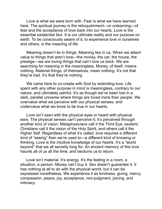Love is what we were born with. Fear is what we have learned here. The spiritual journey is the relinquishment—or unlearning—of fear and the acceptance of love back into our hearts. Love is the essential existential fact. It is our ultimate reality and our purpose on earth. To be consciously aware of it, to experience love in ourselves and others, is the meaning of life.

Meaning doesn't lie in things. Meaning lies in us. When we attach value to things that aren't love—the money, the car, the house, the prestige—we are loving things that can't love us back. We are searching for meaning in the meaningless. Money, of itself, means nothing. Material things, of themselves, mean nothing. It's not that they're bad. It's that they're nothing.

We came here to co-create with God by extending love. Life spent with any other purpose in mind is meaningless, contrary to our nature, and ultimately painful. It's as though we've been lost in a dark, parallel universe where things are loved more than people. We overvalue what we perceive with our physical senses, and undervalue what we know to be true in our hearts.

Love isn't seen with the physical eyes or heard with physical ears. The physical senses can't perceive it; it's perceived through another kind of vision. Metaphysicians call it the Third Eye, esoteric Christians call it the vision of the Holy Spirit, and others call it the Higher Self. Regardless of what it's called, love requires a different kind of "seeing" than we're used to—a different kind of knowing or thinking. Love is the intuitive knowledge of our hearts. It's a "world beyond" that we all secretly long for. An ancient memory of this love haunts all of us all the time, and beckons us to return.

Love isn't material. It's energy. It's the feeling in a room, a situation, a person. Money can't buy it. Sex doesn't guarantee it. It has nothing at all to do with the physical world, but it can be expressed nonetheless. We experience it as kindness, giving, mercy, compassion, peace, joy, acceptance, non-judgment, joining, and intimacy.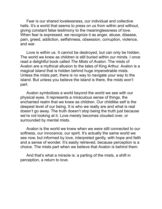Fear is our shared lovelessness, our individual and collective hells. It's a world that seems to press on us from within and without, giving constant false testimony to the meaninglessness of love. When fear is expressed, we recognize it as anger, abuse, disease, pain, greed, addiction, selfishness, obsession, corruption, violence, and war.

Love is within us. It cannot be destroyed, but can only be hidden. The world we knew as children is still buried within our minds. I once read a delightful book called *The Mists of Avalon*. The mists of Avalon are a mythical allusion to the tales of King Arthur. Avalon is a magical island that is hidden behind huge impenetrable mists. Unless the mists part, there is no way to navigate your way to the island. But unless you believe the island is there, the mists won't part.

Avalon symbolizes a world beyond the world we see with our physical eyes. It represents a miraculous sense of things, the enchanted realm that we knew as children. Our childlike self is the deepest level of our being. It is who we really are and what is real doesn't go away. The truth doesn't stop being the truth just because we're not looking at it. Love merely becomes clouded over, or surrounded by mental mists.

Avalon is the world we knew when we were still connected to our softness, our innocence, our spirit. It's actually the same world we see now, but informed by love, interpreted gently, with hope and faith and a sense of wonder. It's easily retrieved, because perception is a choice. The mists part when we believe that Avalon is behind them.

And that's what a miracle is: a parting of the mists, a shift in perception, a return to love.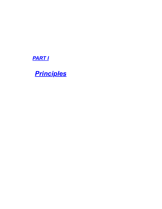## <span id="page-17-0"></span>*[PART](#page-4-4) I*

*[Principles](#page-4-4)*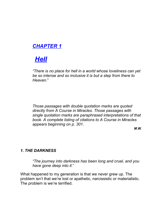## <span id="page-18-0"></span>*[CHAPTER](#page-4-5) 1*

# *[Hell](#page-4-5)*

*"There is no place for hell in a world whose loveliness can yet be so intense and so inclusive it is but a step from there to Heaven*."

*Those passages with double quotation marks are quoted directly from A Course in Miracles. Those passages with single quotation marks are paraphrased interpretations of that book. A complete listing of citations to A Course in Miracles appears beginning on p. 301*.

*M.W.*

#### *1. THE DARKNESS*

*"The journey into darkness has been long and cruel, and you have gone deep into it*."

What happened to my generation is that we never grew up. The problem isn't that we're lost or apathetic, narcissistic or materialistic. The problem is we're terrified.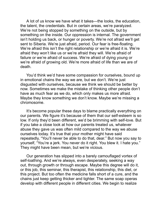A lot of us know we have what it takes—the looks, the education, the talent, the credentials. But in certain areas, we're paralyzed. We're not being stopped by something on the outside, but by something on the inside. Our oppression is internal. The government isn't holding us back, or hunger or poverty. We're not afraid we'll get sent to Siberia. We're just afraid, period. Our fear is free-floating. We're afraid this isn't the right relationship or we're afraid it is. We're afraid they won't like us or we're afraid they will. We're afraid of failure or we're afraid of success. We're afraid of dying young or we're afraid of growing old. We're more afraid of life than we are of death.

You'd think we'd have some compassion for ourselves, bound up in emotional chains the way we are, but we don't. We're just disgusted with ourselves, because we think we should be better by now. Sometimes we make the mistake of thinking other people don't have as much fear as we do, which only makes us more afraid. Maybe they know something we don't know. Maybe we're missing a chromosome.

It's become popular these days to blame practically everything on our parents. We figure it's because of them that our self-esteem is so low. If only they'd been different, we'd be brimming with self-love. But if you take a close look at how our parents treated us, whatever abuse they gave us was often mild compared to the way we abuse ourselves today. It's true that your mother might have said repeatedly, "You'll never be able to do that, dear." But now you say to yourself, "You're a jerk. You never do it right. You blew it. I hate you." They might have been mean, but we're vicious.

Our generation has slipped into a barely camouflaged vortex of self-loathing. And we're always, even desperately, seeking a way out, through growth or through escape. Maybe this degree will do it, or this job, this seminar, this therapist, this relationship, this diet, or this project. But too often the medicine falls short of a cure, and the chains just keep getting thicker and tighter. The same soap operas develop with different people in different cities. We begin to realize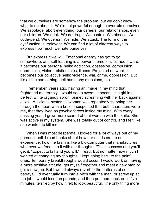that we ourselves are somehow the problem, but we don't know what to do about it. We're not powerful enough to overrule ourselves. We sabotage, abort everything: our careers, our relationships, even our children. We drink. We do drugs. We control. We obsess. We code-pend. We overeat. We hide. We attack. The form of the dysfunction is irrelevant. We can find a lot of different ways to express how much we hate ourselves.

But express it we will. Emotional energy has got to go somewhere, and self-loathing is a powerful emotion. Turned inward, it becomes our personal hells: addiction, obsession, compulsion, depression, violent relationships, illness. Projected outward, it becomes our collective hells: violence, war, crime, oppression. But it's all the same thing: hell has many mansions, too.

I remember, years ago, having an image in my mind that frightened me terribly. I would see a sweet, innocent little girl in a perfect white organdy apron, pinned screaming with her back against a wall. A vicious, hysterical woman was repeatedly stabbing her through the heart with a knife. I suspected that both characters were me, that they lived as psychic forces inside my mind. With every passing year, I grew more scared of that woman with the knife. She was active in my system. She was totally out of control, and I felt like she wanted to kill me.

When I was most desperate, I looked for a lot of ways out of my personal hell. I read books about how our minds create our experience, how the brain is like a bio-computer that manufactures whatever we feed into it with our thoughts. "Think success and you'll get it, "Expect to fail and you will," I read. But no matter how much I worked at changing my thoughts, I kept going back to the painful ones. Temporary breakthroughs would occur: I would work on having a more positive attitude, get myself together and meet a new man or get a new job. But I would always revert to the patterns of selfbetrayal: I'd eventually turn into a bitch with the man, or screw up at the job. I would lose ten pounds, and then put them back on in five minutes, terrified by how it felt to look beautiful. The only thing more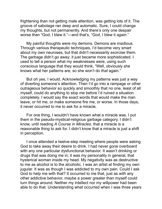frightening than not getting male attention, was getting lots of it. The groove of sabotage ran deep and automatic. Sure, I could change my thoughts, but not permanently. And there's only one despair worse than "God, I blew it."—and that's, "God, I blew it *again*."

My painful thoughts were my demons. Demons are insidious. Through various therapeutic techniques, I'd become very smart about my own neuroses, but that didn't necessarily exorcise them. The garbage didn't go away; it just became more sophisticated. I used to tell a person what my weaknesses were, using such conscious language that they would think, "Well, obviously she knows what her patterns are, so she won't do *that* again."

But oh yes, I would. Acknowledging my patterns was just a way of diverting someone's attention. Then I'd go into a rampage or other outrageous behavior so quickly and smoothly that no one, least of all myself, could do anything to stop me before I'd ruined a situation completely. I would say the exact words that would make the man leave, or hit me, or make someone fire me, or worse. In those days, it never occurred to me to ask for a miracle.

For one thing, I wouldn't have known what a miracle was. I put them in the pseudo-mystical-religious garbage category. I didn't know, until reading *A Course in Miracles*, that a miracle is a reasonable thing to ask for. I didn't know that a miracle is just a shift in perception.

I once attended a twelve-step meeting where people were asking God to take away their desire to drink. I had never gone overboard with any one particular dysfunctional behavior. It wasn't drinking or drugs that was doing me in; it was my personality in general, that hysterical woman inside my head. My negativity was as destructive to me as alcohol is to the alcoholic. I was an artist at finding my own jugular. It was as though I was addicted to my own pain. Could I ask God to help me with that? It occurred to me that, just as with any other addictive behavior, maybe a power greater than myself could turn things around. Neither my intellect nor my willpower had been able to do that. Understanding what occurred when I was three years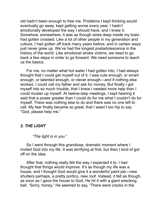old hadn't been enough to free me. Problems I kept thinking would eventually go away, kept getting worse every year. I hadn't emotionally developed the way I should have, and I knew it. Somehow, somewhere, it was as though wires deep inside my brain had gotten crossed. Like a lot of other people in my generation and culture, I had gotten off track many years before, and in certain ways just never grew up. We've had the longest postadolescence in the history of the world. Like emotional stroke victims, we need to go back a few steps in order to go forward. We need someone to teach us the basics.

For me, no matter what hot water I had gotten into, I had always thought that I could get myself out of it. I was cute enough, or smart enough, or talented enough, or clever enough—and if nothing else worked, I could call my father and ask for money. But finally I got myself into so much trouble, that I knew I needed more help than I could muster up myself. At twelve-step meetings, I kept hearing it said that a power greater than I could do for me what I couldn't do for myself. There was nothing else to do and there was no one left to call. My fear finally became so great, that I wasn't too hip to say "God, please help me."

#### *2. THE LIGHT*

*"The light is in you*."

So I went through this grandiose, dramatic moment where I invited God into my life. It was terrifying at first, but then I kind of got off on the idea.

After that, nothing really felt the way I expected it to. I had thought that things would improve. It's as though my life was a house, and I thought God would give it a wonderful paint job—new shutters perhaps, a pretty portico, new roof. Instead, it felt as though, as soon as I gave the house to God, He hit it with a giant wrecking ball. "Sorry, honey," He seemed to say, "There were cracks in the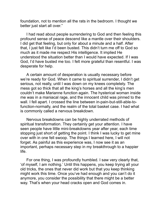foundation, not to mention all the rats in the bedroom. I thought we better just start all over."

I had read about people surrendering to God and then feeling this profound sense of peace descend like a mantle over their shoulders. I did get that feeling, but only for about a minute and a half. After that, I just felt like I'd been busted. This didn't turn me off to God so much as it made me respect His intelligence. It implied He understood the situation better than I would have expected. If I was God, I'd have busted me too. I felt more grateful than resentful. I was desperate for help.

A certain amount of desperation is usually necessary before we're ready for God. When it came to spiritual surrender, I didn't get serious, not really, until I was down on my knees completely. The mess got so thick that all the king's horses and all the king's men couldn't make Marianne function again. The hysterical woman inside me was in a maniacal rage, and the innocent child was pinned to the wall. I fell apart. I crossed the line between in-pain-but-still-able-tofunction-normally, and the realm of the total basket case. I had what is commonly called a nervous breakdown.

Nervous breakdowns can be highly underrated methods of spiritual transformation. They certainly get your attention. I have seen people have little mini-breakdowns year after year, each time stopping just short of getting the point. I think I was lucky to get mine over with in one fell swoop. The things I learned here, I will not forget. As painful as this experience was, I now see it as an important, perhaps necessary step in my breakthrough to a happier life.

For one thing, I was profoundly humbled. I saw very clearly that, 'of myself, I am nothing.' Until this happens, you keep trying all your old tricks, the ones that never did work but that you keep thinking might work this time. Once you've had enough and you can't do it anymore, you consider the possibility that there might be a better way. That's when your head cracks open and God comes in.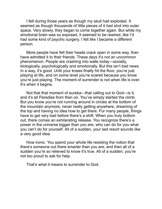I felt during those years as though my skull had exploded. It seemed as though thousands of little pieces of it had shot into outer space. Very slowly, they began to come together again. But while my emotional brain was so exposed, it seemed to be rewired, like I'd had some kind of psychic surgery. I felt like I became a different person.

More people have felt their heads crack open in some way, than have admitted it to their friends. These days it's not an uncommon phenomenon. People are crashing into walls today—socially, biologically, psychologically and emotionally. But this isn't bad news. In a way, it's good. Until your knees finally hit the floor, you're just playing at life, and on some level you're scared because you know you're just playing. The moment of surrender is not when life is over. It's when it begins.

Not that that moment of eureka—that calling out to God—is it, and it's all Paradise from then on. You've simply started the climb. But you know you're not running around in circles at the bottom of the mountain anymore, never really getting anywhere, dreaming of the top and having no idea how to get there. For many people, things have to get very bad before there's a shift. When you truly bottom out, there comes an exhilarating release. You recognize there's a power in the universe bigger than you are, who can do for you what you can't do for yourself. All of a sudden, your last resort sounds like a very good idea.

How ironic. You spend your whole life resisting the notion that there's someone out there smarter than you are, and then all of a sudden you're so relieved to know it's true. All of a sudden, you're not too proud to ask for help.

That's what it means to surrender to God.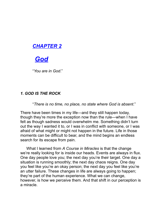## <span id="page-25-0"></span>*[CHAPTER](#page-4-6) 2*



"*You are in God*."

#### *1. GOD IS THE ROCK*

"*There is no time, no place, no state where God is absent*."

There have been times in my life—and they still happen today, though they're more the exception now than the rule—when I have felt as though sadness would overwhelm me. Something didn't turn out the way I wanted it to, or I was in conflict with someone, or I was afraid of what might or might not happen in the future. Life in those moments can be difficult to bear, and the mind begins an endless search for its escape from pain.

What I learned from *A Course in Miracles* is that the change we're really looking for is inside our heads. Events are always in flux. One day people love you; the next day you're their target. One day a situation is running smoothly; the next day chaos reigns. One day you feel like you're an okay person; the next day you feel like you're an utter failure. These changes in life are always going to happen; they're part of the human experience. What we can change, however, is how we perceive them. And that shift in our perception is a miracle.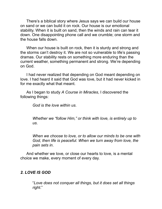There's a biblical story where Jesus says we can build our house on sand or we can build it on rock. Our house is our emotional stability. When it is built on sand, then the winds and rain can tear it down. One disappointing phone call and we crumble; one storm and the house falls down.

When our house is built on rock, then it is sturdy and strong and the storms can't destroy it. We are not so vulnerable to life's passing dramas. Our stability rests on something more enduring than the current weather, something permanent and strong. We're depending on God.

I had never realized that depending on God meant depending on love. I had heard it said that God was love, but it had never kicked in for me exactly what that meant.

As I began to study *A Course in Miracles*, I discovered the following things:

*God is the love within us*.

*Whether we "follow Him," or think with love, is entirely up to us*.

*When we choose to love, or to allow our minds to be one with God, then life is peaceful. When we turn away from love, the pain sets in*.

And whether we love, or close our hearts to love, is a mental choice we make, every moment of every day.

#### *2. LOVE IS GOD*

"*Love does not conquer all things, but it does set all things right*."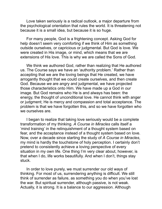Love taken seriously is a radical outlook, a major departure from the psychological orientation that rules the world. It is threatening not because it is a small idea, but because it is so huge.

For many people, God is a frightening concept. Asking God for help doesn't seem very comforting if we think of Him as something outside ourselves, or capricious or judgmental. But God is love. We were created in His image, or mind, which means that we are extensions of His love. This is why we are called the Sons of God.

We think we authored God, rather than realizing that He authored us. The Course says we have an 'authority problem.' Rather than accepting that we are the loving beings that He created, we have arrogantly thought that we could create ourselves, and then create God. Because *we* are angry and judgmental, we have projected those characteristics onto Him. We have made up a God in *our* image. But God remains who He is and always has been: the energy, the thought of unconditional love. He cannot think with anger or judgment; He is mercy and compassion and total acceptance. The problem is that we have forgotten this, and so we have forgotten who we ourselves are.

I began to realize that taking love seriously would be a complete transformation of my thinking. *A Course in Miracles* calls itself a 'mind training' in the relinquishment of a thought system based on fear, and the acceptance instead of a thought system based on love. Now, over a decade since starting the study of *A Course in Miracles*, my mind is hardly the touchstone of holy perception. I certainly don't pretend to consistently achieve a loving perspective of every situation in my own life. One thing I'm very clear about, however, is that when I do, life works beautifully. And when I don't, things stay stuck.

In order to love purely, we must surrender our old ways of thinking. For most of us, surrendering anything is difficult. We still think of surrender as failure, as something you do when you've lost the war. But spiritual surrender, although passive, is not weak. Actually, it is strong. It is a balance to our aggression. Although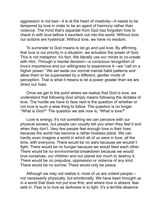aggression is not bad—it is at the heart of creativity—it needs to be tempered by love in order to be an agent of harmony rather than violence. The mind that's separate from God has forgotten how to check in with love before it saunters out into the world. Without love, our actions are hysterical. Without love, we have no wisdom.

To surrender to God means to let go and just love. By affirming that love is our priority in a situation, we actualize the power of God. This is not metaphor; it's fact. We literally use our minds to co-create with Him. Through a mental decision—a conscious recognition of love's importance and our willingness to experience it—we "call on a higher power." We set aside our normal mental habit patterns and allow them to be superseded by a different, gentler mode of perception. That is what it means to let a power greater than we are direct our lives.

Once we get to the point where we realize that God is love, we understand that following God simply means following the dictates of love. The hurdle we have to face next is the question of whether or not love is such a wise thing to follow. The question is no longer "What is God?" The question we ask now is, "What is love?"

Love is energy. It's not something we can perceive with our physical senses, but people can usually tell you when they feel it and when they don't. Very few people feel enough love in their lives because the world has become a rather loveless place. We can hardly even imagine a world in which all of us were in love, all the time, with everyone. There would be no wars because we wouldn't fight. There would be no hunger because we would feed each other. There would be no environmental breakdown because we would love ourselves, our children and our planet too much to destroy it. There would be no prejudice, oppression or violence of any kind. There would be no sorrow. There would only be peace.

Although we may not realize it, most of us are violent people not necessarily physically, but emotionally. We have been brought up in a world that does not put love first, and where love is absent, fear sets in. Fear is to love as darkness is to light. It's a terrible absence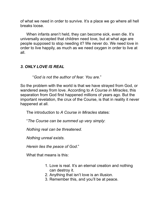of what we need in order to survive. It's a place we go where all hell breaks loose.

When infants aren't held, they can become sick, even die. It's universally accepted that children need love, but at what age are people supposed to stop needing it? We never do. We need love in order to live happily, as much as we need oxygen in order to live at all.

#### *3. ONLY LOVE IS REAL*

"*God is not the author of fear. You are*."

So the problem with the world is that we have strayed from God, or wandered away from love. According to *A Course in Miracles*, this separation from God first happened millions of years ago. But the important revelation, the crux of the Course, is that in reality it never happened at all.

The introduction to *A Course in Miracles* states:

"*The Course can be summed up very simply*:

*Nothing real can be threatened*.

*Nothing unreal exists*.

*Herein lies the peace of God*."

What that means is this:

- 1. Love is real. It's an eternal creation and nothing can destroy it.
- 2. Anything that isn't love is an illusion.
- 3. Remember this, and you'll be at peace.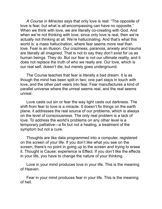*A Course in Miracles* says that only love is real: "The opposite of love is fear, but what is all-encompassing can have no opposite." When we think with love, we are literally co-creating with God. And when we're not thinking with love, since only love is real, then we're actually not thinking at all. We're hallucinating. And that's what this world is: a mass hallucination, where fear seems more real than love. Fear is an illusion. Our craziness, paranoia, anxiety and trauma are literally all *imagined*. That is not to say they don't exist for us as human beings. They do. But our fear is not our ultimate reality, and it does not replace the truth of who we really are. Our love, which is our real self, doesn't die, but merely goes underground.

The Course teaches that fear is literally a bad dream. It is as though the mind has been split in two; one part stays in touch with love, and the other part veers into fear. Fear manufactures a kind of parallel universe where the unreal seems real, and the real seems unreal.

Love casts out sin or fear the way light casts out darkness. The shift from fear to love is a miracle. It doesn't fix things on the earth plane; it addresses the real source of our problems, which is always on the level of consciousness. The only real problem is a lack of love. To address the world's problems on any other level is a temporary palliative—a fix but not a healing, a treatment of the symptom but not a cure.

Thoughts are like data programmed into a computer, registered on the screen of your life. If you don't like what you see on the screen, there's no point in going up to the screen and trying to erase it. Thought is Cause; experience is Effect. If you don't like the effects in your life, you have to change the nature of your thinking.

Love in your mind produces love in your life. This is the meaning of Heaven.

Fear in your mind produces fear in your life. This is the meaning of hell.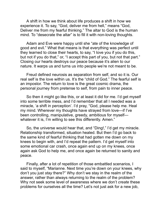A shift in how we think about life produces a shift in how we experience it. To say, "God, deliver me from hell," means "God, Deliver me from my fearful thinking." The altar to God is the human mind. To "desecrate the altar" is to fill it with non-loving thoughts.

Adam and Eve were happy until she "ate of the knowledge of good and evil." What that means is that everything was perfect until they learned to close their hearts, to say, "I love you if you do this, but not if you do that," or, "I accept this part of you, but not that part." Closing our hearts destroys our peace because it's alien to our nature. It warps us and turns us into people we're not meant to be.

Freud defined neurosis as separation from self, and so it is. Our real self is the love within us. It's the "child of God." The fearful self is an impostor. The return to love is the great cosmic drama, the personal journey from pretense to self, from pain to inner peace.

So then it might go like this, or at least it did for me. I'd get myself into some terrible mess, and I'd remember that all I needed was a miracle, 'a shift in perception'. I'd pray, "God, please help me. Heal my mind. Wherever my thoughts have strayed from love—if I've been controlling, manipulative, greedy, ambitious for myself whatever it is, I'm willing to see this differently. Amen."

So, the universe would hear that, and "Ding!," I'd get my miracle. Relationship transformed, situation healed. But then I'd go back to the same kind of fearful thinking that had gotten me down on my knees to begin with, and I'd repeat the pattern. I'd get myself into some emotional car crash, once again end up on my knees, once again ask God to help me, and once again be returned to sanity and peace.

Finally, after a lot of repetition of those embattled scenarios, I said to myself, "Marianne. Next time you're down on your knees, why don't you just *stay* there?" Why don't we stay in the realm of the answer, rather than always returning to the realm of the problem? Why not seek some level of awareness where we don't *create* these problems for ourselves all the time? Let's not just ask for a new job,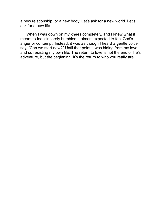a new relationship, or a new body. Let's ask for a new world. Let's ask for a new life.

When I was down on my knees completely, and I knew what it meant to feel sincerely humbled, I almost expected to feel God's anger or contempt. Instead, it was as though I heard a gentle voice say, "Can we start now?" Until that point, I was hiding from my love, and so resisting my own life. The return to love is not the end of life's adventure, but the beginning. It's the return to who you really are.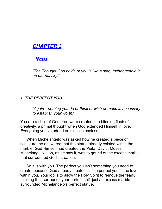## <span id="page-33-0"></span>*[CHAPTER](#page-4-7) 3*

# *[You](#page-4-7)*

"*The Thought God holds of you is like a star, unchangeable in an eternal sky*."

#### *1. THE PERFECT YOU*

"*Again—nothing you do or think or wish or make is necessary to establish your worth*."

You are a child of God. You were created in a blinding flash of creativity, a primal thought when God extended Himself in love. Everything you've added on since is useless.

When Michelangelo was asked how he created a piece of sculpture, he answered that the statue already existed within the marble. God Himself had created the Pieta, David, Moses. Michelangelo's job, as he saw it, was to get rid of the excess marble that surrounded God's creation.

So it is with you. The perfect you isn't something you need to create, because God already created it. The perfect you is the love within you. Your job is to allow the Holy Spirit to remove the fearful thinking that surrounds your perfect self, just as excess marble surrounded Michelangelo's perfect statue.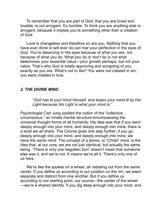To remember that you are part of God, that you are loved and lovable, is not arrogant. It's humble. To think you are anything else is arrogant, because it implies you're something other than a creation of God.

Love is changeless and therefore so are you. Nothing that you have ever done or will ever do can mar your perfection in the eyes of God. You're deserving in His eyes because of what you are, not because of what you do. What you do or don't do is not what determines your essential value—your growth perhaps, but not your value. That's why God is totally approving and accepting of you, exactly as you are. What's not to like? You were not created in sin; you were created in love.

#### *2. THE DIVINE MIND*

"*God has lit your mind Himself, and keeps your mind lit by His Light because His Light is what your mind is*."

Psychologist Carl Jung posited the notion of the "collective unconscious," an innate mental structure encompassing the universal thought forms of all humanity. His idea was that if you went deeply enough into your mind, and deeply enough into mine, there is a level we all share. The Course goes one step further; if you go deeply enough into your mind, and deeply enough into mine, we have the *same mind*. The concept of a divine, or "Christ" mind, is the idea that, at our core, we are not just identical, but actually the same being. "There is only one begotten Son" doesn't mean that someone else was it, and we're not. It means we're all it. There's only one of us here.

We're like the spokes on a wheel, all radiating out from the same center. If you define us according to our position on the rim, we seem separate and distinct from one another. But if you define us according to our starting point, our source—the center of the wheel —we're a shared identity. If you dig deep enough into your mind, and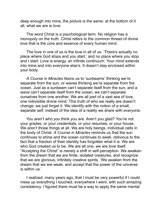deep enough into mine, the picture is the same: at the bottom of it all, what we are is love.

The word Christ is a psychological term. No religion has a monopoly on the truth. Christ refers to the common thread of divine love that is the core and essence of every human mind.

The love in one of us is the love in all of us. 'There's actually no place where God stops and you start,' and no place where you stop and I start. Love is energy, an infinite continuum. Your mind extends into mine and into everyone else's. It doesn't stay enclosed within your body.

*A Course in Miracles* likens us to 'sunbeams' thinking we're separate from the sun, or waves thinking we're separate from the ocean. Just as a sunbeam can't separate itself from the sun, and a wave can't separate itself from the ocean, we can't separate ourselves from one another. We are all part of a vast sea of love, one indivisible divine mind. This truth of who we really are doesn't change; we just forget it. We identify with the notion of a small, separate self, instead of the idea of a reality we share with everyone.

You aren't who you think you are. Aren't you glad? You're not your grades, or your credentials, or your resumes, or your house. We aren't those things at all. We are holy beings, individual cells in the body of Christ. *A Course in Miracles* reminds us that the sun continues to shine and the ocean continues to swell, oblivious to the fact that a fraction of their identity has forgotten what it is. We are who God created us to be. We are all one, we are love itself. "Accepting the Christ" is merely a shift in self-perception. We awaken from the dream that we are finite, isolated creatures, and recognize that we are glorious, infinitely creative spirits. 'We awaken from the dream that we are weak, and accept that the power of the universe is within us.'

I realized, many years ago, that I must be very powerful if I could mess up everything I touched, everywhere I went, with such amazing consistency. I figured there must be a way to apply the same mental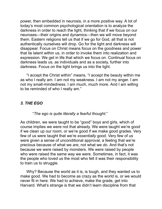power, then embedded in neurosis, in a more positive way. A lot of today's most common psychological orientation is to analyze the darkness in order to reach the light, thinking that if we focus on our neuroses—their origins and dynamics—then we will move beyond them. Eastern religions tell us that if we go for God, all that is not authentically ourselves will drop. Go for the light and darkness will disappear. Focus on Christ means focus on the goodness and power that lie latent within us, in order to invoke them into realization and expression. We get in life that which we focus on. Continual focus on darkness leads us, as individuals and as a society, further into darkness. Focus on the light brings us into the light.

"I accept the Christ within" means, "I accept the beauty within me as who I really am. I am not my weakness. I am not my anger. I am not my small-mindedness. I am much, much more. And I am willing to be reminded of who I really am."

## *3. THE EGO*

## "*The ego is quite literally a fearful thought*."

As children, we were taught to be "good" boys and girls, which of course implies we were not that already. We were taught we're good if we clean up our room, or we're good if we make good grades. Very few of us were taught that we're *essentially* good. Very few of us were given a sense of unconditional approval, a feeling that we're precious because of what we *are*, not what we *do*. And that's not because we were raised by monsters. We were raised by people who were raised the same way we were. Sometimes, in fact, it was the people who loved us the most who felt it was their responsibility to train us to struggle.

Why? Because the world as it is, is tough, and they wanted us to make good. We had to become as crazy as the world is, or we would never fit in here. We had to achieve, make the grade, get into Harvard. What's strange is that we didn't learn discipline from that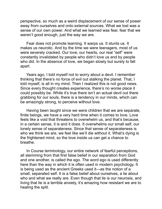perspective, so much as a weird displacement of our sense of power away from ourselves and onto external sources. What we lost was a sense of our own power. And what we learned was fear, fear that we weren't good enough, just the way we are.

Fear does not promote learning. It warps us. It stunts us. It makes us neurotic. And by the time we were teenagers, most of us were severely cracked. Our love, our hearts, our real "self" were constantly invalidated by people who didn't love us and by people who did. In the absence of love, we began slowly but surely to fall apart.

Years ago, I told myself not to worry about a devil. I remember thinking that there's no force of evil out stalking the planet. That, I told myself, is all in my mind. Then I realized this is not good news. Since every thought creates experience, there's no worse place it could possibly be. While it's true there isn't an actual devil out there grabbing for our souls, there is a tendency in our minds, which can be amazingly strong, to perceive without love.

Having been taught since we were children that we are separate, finite beings, we have a very hard time when it comes to love. Love feels like a void that threatens to overwhelm us, and that's because, in a certain sense, it is and it does. It overwhelms our small self, our lonely sense of separateness. Since that sense of separateness is who we think we are, we feel like we'll die without it. What's dying is the frightened mind, so the love inside us can get a chance to breathe.

In Course terminology, our entire network of fearful perceptions, all stemming from that first false belief in our separation from God and one another, is called the ego. The word ego is used differently here than the way in which it is often used in modern psychology. It is being used as the ancient Greeks used it—as the notion of a small, separated self. It is a false belief about ourselves, a lie about who and what we really are. Even though that lie is our neurosis, and living that lie is a terrible anxiety, it's amazing how resistant we are to healing the split.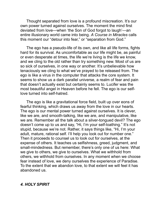Thought separated from love is a profound miscreation. It's our own power turned against ourselves. The moment the mind first deviated from love—when 'the Son of God forgot to laugh'—an entire illusionary world came into being. *A Course in Miracles* calls this moment our "detour into fear," or "separation from God."

The ego has a pseudo-life of its own, and like all life forms, fights hard for its survival. As uncomfortable as our life might be, as painful or even desperate at times, the life we're living is the life we know, and we cling to the old rather than try something new. Most of us are so sick of ourselves, in one way or another. It's unbelievable how tenaciously we cling to what we've prayed to be released from. The ego is like a virus in the computer that attacks the core system. It seems to show us a dark parallel universe, a realm of fear and pain that doesn't actually exist but certainly seems to. Lucifer was the most beautiful angel in Heaven before he fell. The ego is our selflove turned into self-hatred.

The ego is like a gravitational force field, built up over eons of fearful thinking, which draws us away from the love in our hearts. The ego is our mental power turned against ourselves. It is clever, like we are, and smooth-talking, like we are, and manipulative, like we are. Remember all the talk about a silver-tongued devil? The ego doesn't come up to us and say, "Hi, I'm your self-loathing." It's not stupid, because we're not. Rather, it says things like, "Hi, I'm your adult, mature, rational self. I'll help you look out for number one." Then it proceeds to counsel us to look out for ourselves, at the expense of others. It teaches us selfishness, greed, judgment, and small-mindedness. But remember, there's only one of us here: What we give to others, we give to ourselves. What we withhold from others, we withhold from ourselves. In any moment when we choose fear instead of love, we deny ourselves the experience of Paradise. To the extent that we abandon love, to that extent we will feel it has abandoned us.

#### *4. HOLY SPIRIT*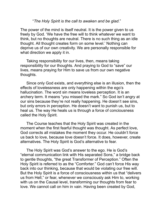"*The Holy Spirit is the call to awaken and be glad*."

The power of the mind is itself neutral. It is the power given to us freely by God. 'We have the free will to think whatever we want to think, but no thoughts are neutral. There is no such thing as an idle thought. All thought creates form on some level.' Nothing can deprive us of our own creativity. We are personally responsible for what direction we apply it in.

Taking responsibility for our lives, then, means taking responsibility for our thoughts. And praying to God to "save" our lives, means praying for Him to save us from our own negative thoughts.

Since only God exists, and everything else is an illusion, then the effects of lovelessness are only happening within the ego's hallucination. The word sin means loveless perception. It is an archery term. It means "you missed the mark." So God isn't angry at our sins because they're not really happening. He doesn't see sins, but only errors in perception. He doesn't want to punish us, but to heal us. The way He heals us is through a force of conciousness called the Holy Spirit.

The Course teaches that the Holy Spirit was created in the moment when the first fearful thought was thought. As perfect love, God corrects all mistakes the moment they occur. He couldn't force us back to love, because love doesn't force. It does, however, create alternatives. The Holy Spirit is God's alternative to fear.

The Holy Spirit was God's answer to the ego. He is God's "eternal communication link with His separated Sons," a bridge back to gentle thoughts, "the great Transformer of Perception." Often the Holy Spirit is referred to as the "Comforter." God can't force His way back into our thinking, because that would be violating our free will. But the Holy Spirit is a force of consciousness within us that "delivers us from Hell," or fear, whenever we consciously ask Him to, working with us on the Causal level, transforming our thoughts from fear to love. We cannot call on him in vain. Having been created by God,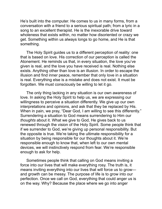He's built into the computer. He comes to us in many forms, from a conversation with a friend to a serious spiritual path; from a lyric in a song to an excellent therapist. He is the inexorable drive toward wholeness that exists within, no matter how disoriented or crazy we get. Something within us always longs to go home, and He is that something.

The Holy Spirit guides us to a different perception of reality: one that is based on love. His correction of our perception is called the Atonement. He reminds us that, in every situation, the love you've given is real, and the love you have received is real. Nothing else exists. Anything other than love is an illusion. In order to escape the illusion and find inner peace, remember that only love in a situation is real. Everything else is a mistake and does not exist. It must be forgotten. We must consciously be willing to let it go.

The only thing lacking in any situation is our own awareness of love. In asking the Holy Spirit to help us, we are expressing our willingness to perceive a situation differently. We give up our own interpretations and opinions, and ask that they be replaced by His. When in pain, we pray, "Dear God, I am willing to see this differently." Surrendering a situation to God means surrendering to Him our *thoughts* about it. What we give to God, He gives back to us renewed through the vision of the Holy Spirit. Some people think that if we surrender to God, we're giving up personal responsibility. But the opposite is true. We're taking the ultimate responsibility for a situation by being responsible for our thoughts about it. We're responsible enough to know that, when left to our own mental devices, we will instinctively respond from fear. We're responsible enough to ask for help.

Sometimes people think that calling on God means inviting a force into our lives that will make everything rosy. The truth is, it means inviting everything into our lives that will force us to grow and growth can be messy. The purpose of life is to grow into our perfection. Once we call on God, everything that could anger us is on the way. Why? Because the place where we go into anger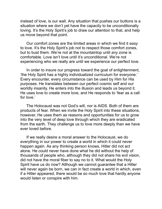instead of love, is our wall. Any situation that pushes our buttons is a situation where we don't yet have the capacity to be unconditionally loving. It's the Holy Spirit's job to draw our attention to that, and help us move beyond that point.

Our comfort zones are the limited areas in which we find it *easy* to love. It's the Holy Spirit's job not to respect those comfort zones, but to bust them. We're not at the mountaintop until *any* zone is comfortable. Love isn't love until it's unconditional. We're not experiencing who we really are until we experience our perfect love.

In order to insure our progress toward the goal of enlightenment, 'the Holy Spirit has a highly individualized curriculum for everyone.' Every encounter, every circumstance can be used by Him for His purposes. He translates between our perfect cosmic self and our worldly insanity. He enters into the illusion and leads us beyond it. He uses love to create more love, and He responds to 'fear as a call for love.'

The Holocaust was not God's will, nor is AIDS. Both of them are products of fear. When we invite the Holy Spirit into these situations, however, He uses them as reasons and opportunities for us to grow into the very level of deep love through which they are eradicated from the earth. They challenge us to love more deeply than we have ever loved before.

If we really desire a moral answer to the Holocaust, we do everything in our power to create a world in which it could never happen again. As any thinking person knows, Hitler did not act alone. He could never have done what he did without the help of thousands of people who, although they did not share his evil vision, did not have the moral fiber to say no to it. What would the Holy Spirit have us do now? Although we cannot guarantee that a Hitler will never again be born, we can in fact create a world in which, even if a Hitler appeared, there would be so much love that hardly anyone would listen or conspire with him.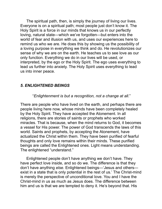The spiritual path, then, is simply the journey of living our lives. Everyone is on a spiritual path; most people just don't know it. The Holy Spirit is a force in our minds that knows us in our perfectly loving, natural state—which we've forgotten—but enters into the world of fear and illusion with us, and uses our experiences here to remind us who we are. He does this by showing us the possibility of a loving purpose in everything we think and do. He revolutionizes our sense of why we are on the earth. He teaches us to see love as our only function. Everything we do in our lives will be used, or interpreted, by the ego or the Holy Spirit. The ego uses everything to lead us further into anxiety. The Holy Spirit uses everything to lead us into inner peace.

#### *5. ENLIGHTENED BEINGS*

#### "*Enlightenment is but a recognition, not a change at all*."

There are people who have lived on the earth, and perhaps there are people living here now, whose minds have been completely healed by the Holy Spirit. They have accepted the Atonement. In all religions, there are stories of saints or prophets who worked miracles. That is because, when the mind returns to God, it becomes a vessel for His power. The power of God transcends the laws of this world. Saints and prophets, by accepting the Atonement, have actualized the Christ within them. They have been purified of fearful thoughts and only love remains within their minds. These purified beings are called the Enlightened ones. Light means understanding. The enlightened "understand."

Enlightened people don't have anything we don't have. They have perfect love inside, and so do we. The difference is that they don't have anything *else*. Enlightened beings—'Jesus and others exist in a state that is only potential in the rest of us.' The Christ-mind is merely the perspective of unconditional love. You and I have the Christ-mind in us as much as Jesus does. The difference between him and us is that we are tempted to deny it. He's beyond that. His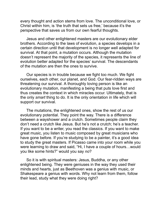every thought and action stems from love. The unconditional love, or Christ within him, is 'the truth that sets us free,' because it's the perspective that saves us from our own fearful thoughts.

Jesus and other enlightened masters are our evolutionary elder brothers. According to the laws of evolution, a species develops in a certain direction until that development is no longer well adapted for survival. At that point, a mutation occurs. Although the mutation doesn't represent the majority of the species, it represents the line of evolution better adapted for the species' survival. The descendants of the mutation are then the ones to survive.

Our species is in trouble because we fight too much. We fight ourselves, each other, our planet, and God. Our fear-ridden ways are threatening our survival. A thoroughly loving person is like an evolutionary mutation, manifesting a being that puts love first and thus creates the context in which miracles occur. Ultimately, that is the only *smart* thing to do. It is the only orientation in life which will support our survival.

The mutations, the enlightened ones, show the rest of us our evolutionary potential. They point the way. There is a difference between a wayshower and a crutch. Sometimes people claim they don't need a crutch like Jesus. But he's not a crutch; he's a teacher. If you want to be a writer, you read the classics. If you want to make great music, you listen to music composed by great musicians who have gone before. If you're studying to be a painter, it's a good idea to study the great masters. If Picasso came into your room while you were learning to draw and said, "Hi, I have a couple of hours…would you like some hints?" would you say *no*?

So it is with spiritual masters: Jesus, Buddha, or any other enlightened being. They were geniuses in the way they used their minds and hearts, just as Beethoven was a genius with music, or Shakespeare a genius with words. Why not learn from them, follow their lead, study what they were doing right?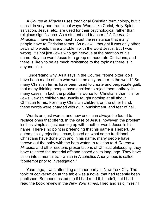*A Course in Miracles* uses traditional Christian terminology, but it uses it in very non-traditional ways. Words like Christ, Holy Spirit, salvation, Jesus, etc., are used for their psychological rather than religious significance. As a student and teacher of *A Course in Miracles*, I have learned much about the resistance that many people have to Christian terms. As a Jew, I thought it was only other Jews who would have a problem with the word Jesus. But I was wrong. It's not just Jews who get nervous at the mention of his name. Say the word Jesus to a group of moderate Christians, and there is likely to be as much resistance to the topic as there is in anyone else.

I understand why. As it says in the Course, "some bitter idols have been made of him who would be only brother to the world." So many Christian terms have been used to create and perpetuate guilt, that many thinking people have decided to reject them entirely. In many cases, in fact, the problem is worse for Christians than it is for Jews. Jewish children are usually taught nothing at all about Christian terms. For many Christian children, on the other hand, these words were charged with guilt, punishment, and fear of hell.

Words are just words, and new ones can always be found to replace ones that offend. In the case of Jesus, however, the problem isn't as simple as just coming up with another word. Jesus is his name. There's no point in pretending that his name is Herbert. By automatically rejecting Jesus, based on what some traditional Christians have done with and in his name, many people have thrown out the baby with the bath water. In relation to *A Course in Miracles* and other esoteric presentations of Christic philosophy, they have rejected the material offhand based on its language. They have fallen into a mental trap which in Alcoholics Anonymous is called "contempt prior to investigation."

Years ago, I was attending a dinner party in New York City. The topic of conversation at the table was a novel that had recently been published. Someone asked me if I had read it. I hadn't, but I had read the book review in the *New York Times*. I lied and said, "Yes." I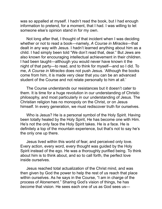was so appalled at myself. I hadn't read the book, but I had enough information to pretend, for a moment, that I had. I was willing to let someone else's opinion stand in for my own.

Not long after that, I thought of that incident when I was deciding whether or not to read a book—namely, *A Course in Miracles*—that dealt in any way with Jesus. I hadn't learned anything about him as a child. I had simply been told "We don't read that, dear." But Jews are also known for encouraging intellectual achievement in their children. I had been taught—although you would never have known it the night of that party—to read, and to think for myself—and so I did. To me, *A Course in Miracles* does not push Jesus. 'Although the books come from him, it is made very clear that you can be an advanced student of the Course and not relate personally to him at all.'

The Course understands our resistances but it doesn't cater to them. It is time for a huge revolution in our understanding of Christic philosophy, and most particularly in our understanding of Jesus. The Christian religion has no monopoly on the Christ, or on Jesus himself. In every generation, we must rediscover truth for ourselves.

Who is Jesus? He is a personal symbol of the Holy Spirit. Having been totally healed by the Holy Spirit, He has become one with Him. He's not the only face the Holy Spirit takes. He is *a* face. He is definitely a top of the mountain experience, but that's not to say he's the only one up there.

Jesus lived within this world of fear, and perceived only love. Every action, every word, every thought was guided by the Holy Spirit instead of the ego. He was a thoroughly purified being. To think about him is to think about, and so to call forth, the perfect love inside ourselves.

Jesus reached total actualization of the Christ mind, and was then given by God the power to help the rest of us reach that place within ourselves. As he says in the Course, "I am in charge of the process of Atonement." Sharing God's vision of things, he has *become* that vision. He sees each one of us as God sees us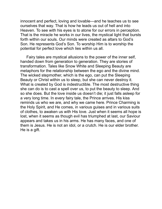innocent and perfect, loving and lovable—and he teaches us to see ourselves that way. That is how he leads us out of hell and into Heaven. To see with his eyes is to atone for our errors in perception. That is the miracle he works in our lives, the mystical light that bursts forth within our souls. Our minds were created as altars to God's Son. He represents God's Son. To worship Him is to worship the potential for perfect love which lies within us all.

Fairy tales are mystical allusions to the power of the inner self, handed down from generation to generation. They are stories of transformation. Tales like Snow White and Sleeping Beauty are metaphors for the relationship between the ego and the divine mind. The wicked stepmother, which is the ego, can put the Sleeping Beauty or Christ within us to sleep, but she can never destroy it. What is created by God is indestructible. The most destructive thing she can do is to cast a spell over us, to put the beauty to sleep. And so she does. But the love inside us doesn't die; it just falls asleep for a very long time. In every fairy tale, the Prince arrives. His kiss reminds us who we are, and why we came here. Prince Charming is the Holy Spirit, and He comes, in various guises and in various suits of clothes, to awaken us with His love. Just when it seems all hope is lost, when it seems as though evil has triumphed at last, our Saviour appears and takes us in his arms. He has many faces, and one of them is Jesus. He is not an idol, or a crutch. He is our elder brother. He is a gift.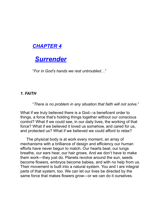# *[CHAPTER](#page-4-0) 4*

# *[Surrender](#page-4-0)*

"*For in God's hands we rest untroubled*…"

#### *1. FAITH*

"*There is no problem in any situation that faith will not solve*."

What if we truly believed there is a God—a beneficent order to things, a force that's holding things together without our conscious control? What if we could see, in our daily lives, the working of that force? What if we believed it loved us somehow, and cared for us, and protected us? What if we believed we could afford to relax?

The physical body is at work every moment, an array of mechanisms with a brilliance of design and efficiency our human efforts have never begun to match. Our hearts beat, our lungs breathe, our ears hear, our hair grows. And we don't have to make them work—they just do. Planets revolve around the sun, seeds become flowers, embryos become babies, and with no help from us. Their movement is built into a natural system. You and I are integral parts of that system, too. We can let our lives be directed by the same force that makes flowers grow—or we can do it ourselves.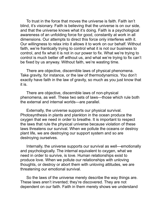To trust in the force that moves the universe is faith. Faith isn't blind, it's visionary. Faith is believing that the universe is on our side, and that the universe knows what it's doing. Faith is a psychological awareness of an unfolding force for good, constantly at work in all dimensions. Our attempts to direct this force only interferes with it. Our willingness to relax into it allows it to work on our behalf. Without faith, we're frantically trying to control what it is not our business to control, and fix what it is not in our power to fix. What we're trying to control is much better off without us, and what we're trying to fix can't be fixed by us anyway. Without faith, we're wasting time.

There are objective, discernible laws of physical phenomena. Take gravity, for instance, or the law of thermodynamics. You don't exactly have faith in the law of gravity, so much as you just know that it is.

There are objective, discernible laws of non-physical phenomena, as well. These two sets of laws—those which rule both the external and internal worlds—are parallel.

Externally, the universe supports our physical survival. Photosynthesis in plants and plankton in the ocean produce the oxygen that we need in order to breathe. It is important to respect the laws that rule the physical universe because violation of these laws threatens our survival. When we pollute the oceans or destroy plant life, we are destroying our support system and so are destroying ourselves.

Internally, the universe supports our survival as well—emotionally and psychologically. The internal equivalent to oxygen, what we need in order to survive, is love. Human relationships exist to produce love. When we pollute our relationships with unloving thoughts, or destroy or abort them with unloving attitudes, we are threatening our emotional survival.

So the laws of the universe merely describe the way things are. These laws aren't invented; they're discovered. They are not dependent on our faith. Faith in them merely shows we understand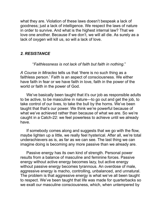what they are. Violation of these laws doesn't bespeak a lack of goodness; just a lack of intelligence. We respect the laws of nature in order to survive. And what is the highest internal law? That we love one another. Because if we don't, we will all die. As surely as a lack of oxygen will kill us, so will a lack of love.

# *2. RESISTANCE*

#### "*Faithlessness is not lack of faith but faith in nothing*."

*A Course in Miracles* tells us that 'there is no such thing as a faithless person.' Faith is an aspect of consciousness. We either have faith in fear or we have faith in love, faith in the power of the world or faith in the power of God.

We've basically been taught that it's our job as responsible adults to be active, to be masculine in nature—to go out and get the job, to take control of our lives, to take the bull by the horns. We've been taught that that's our power. We think we're powerful because of what we've achieved rather than because of what we are. So we're caught in a Catch-22: we feel powerless to achieve until we already have.

If somebody comes along and suggests that we go with the flow, maybe lighten up a little, we really feel hysterical. After all, we're total underachievers as is, as far as we can see. The last thing we can imagine doing is becoming any more passive than we already are.

Passive energy has its own kind of strength. Personal power results from a balance of masculine and feminine forces. Passive energy without active energy becomes lazy, but active energy without passive energy becomes tyrannous. An overdose of male, aggressive energy is macho, controlling, unbalanced, and unnatural. The problem is that aggressive energy is what we've all been taught to respect. We've been taught that life was made for quarterbacks so we exalt our masculine consciousness, which, when untempered by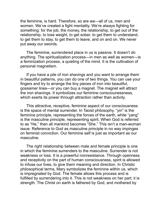the feminine, is hard. Therefore, so are we—all of us, men and women. We've created a fight mentality. We're always fighting for something: for the job, the money, the relationship, to get out of the relationship, to lose weight, to get sober, to get them to understand, to get them to stay, to get them to leave, and on and on. We never put away our swords.

The feminine, surrendered place in us is passive. It doesn't *do* anything. The spiritualization process—in men as well as women—is a feminization process, a quieting of the mind. It is the cultivation of personal magnetism.

If you have a pile of iron shavings and you want to arrange them in beautiful patterns, you can do one of two things. You can use your fingers and try to arrange the tiny pieces of iron into beautiful, gossamer lines—or you can buy a magnet. The magnet will attract the iron shavings. It symbolizes our feminine consciounessness, which exerts its power through attraction rather than activity.

This attractive, receptive, feminine aspect of our consciousness is the space of mental surrender. In Taoist philosophy, "yin" is the feminine principle, representing the forces of the earth, while "yang" is the masculine principle, representing spirit. When God is referred to as "He," then all mankind becomes "She." This isn't a man-woman issue. Reference to God as masculine principle in no way impinges on feminist conviction. Our feminine self is just as important as our masculine.

The right relationship between male and female principle is one in which the feminine surrenders to the masculine. Surrender is not weakness or loss. It is a powerful nonresistance. Through openness and receptivity on the part of human consciousness, spirit is allowed to infuse our lives, to give them meaning and direction. In Christic philosophical terms, Mary symbolizes the feminine within us, which is impregnated by God. The female allows this process and is fulfilled by surrendering into it. This is not weakness on her part; it is strength. The Christ on earth is fathered by God, and mothered by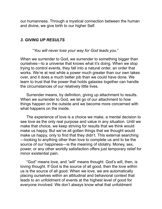our humanness. Through a mystical connection between the human and divine, we give birth to our higher Self.

## *3. GIVING UP RESULTS*

"*You will never lose your way for God leads you*."

When we surrender to God, we surrender to something bigger than ourselves—to a universe that knows what it's doing. When we stop trying to control events, they fall into a natural order, an order that works. We're at rest while a power much greater than our own takes over, and it does a much better job than we could have done. We learn to trust that the power that holds galaxies together can handle the circumstances of our relatively little lives.

Surrender means, by definition, giving up attachment to results. When we surrender to God, we let go of our attachment to how things happen on the outside and we become more concerned with what happens on the inside.

The experience of love is a choice we make, a mental decision to see love as the only real purpose and value in any situation. Until we make that choice, we keep striving for results that we think would make us happy. But we've all gotten things that we thought would make us happy, only to find that they didn't. This external searching —looking to anything other than love to complete us and to be the source of our happiness—is the meaning of idolatry. Money, sex, power, or any other worldly satisfaction offers just temporary relief for minor existential pain.

"God" means love, and "will" means thought. God's will, then, is loving thought. If God is the source of all good, then the love within us is the source of all good. When we love, we are automatically placing ourselves within an attitudinal and behavioral context that leads to an unfoldment of events at the highest level of good for everyone involved. We don't always know what that unfoldment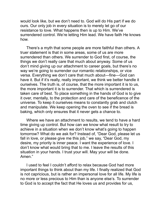would look like, but we don't need to. God will do His part if we do ours. Our only job in every situation is to merely let go of our resistance to love. What happens then is up to Him. We've surrendered control. We're letting Him lead. We have faith He knows how.

There's a myth that some people are more faithful than others. A truer statement is that in some areas, some of us are more surrendered than others. We surrender to God first, of course, the things we don't really care that much about anyway. Some of us don't mind giving up our attachment to career goals, but there's no way we're going to surrender our romantic relationships, or vice versa. Everything we don't care that much about—fine—God can have it. But if it's really, really important, we think we better handle it ourselves. The truth is, of course, that the more important it is to us, the more important it is to surrender. That which is surrendered is taken care of best. To place something in the hands of God is to give it over, mentally, to the protection and care of the beneficence of the universe. To keep it ourselves means to constantly grab and clutch and manipulate. We keep opening the oven to see if the bread is baking, which only ensures that it never gets a chance to.

Where we have an attachment to results, we tend to have a hard time giving up control. But how can we know what result to try to achieve in a situation when we don't know what's going to happen tomorrow? What do we ask for? Instead of, "Dear God, please let us fall in love, or please give me this job," we say, "Dear God, my desire, my priority is inner peace. I want the experience of love. I don't know what would bring that to me. I leave the results of this situation in your hands. I trust your will. May your will be done. Amen<sup>"</sup>

I used to feel I couldn't afford to relax because God had more important things to think about than my life. I finally realized that God is not capricious, but is rather an impersonal love for all life. My life is no more or less precious to Him than is anyone else's. To surrender to God is to accept the fact that He loves us and provides for us,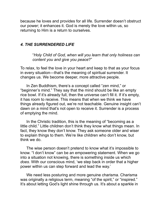because he loves and provides for all life. Surrender doesn't obstruct our power; it enhances it. God is merely the love within us, so returning to Him is a return to ourselves.

## *4. THE SURRENDERED LIFE*

"*Holy Child of God, when will you learn that only holiness can content you and give you peace*?"

To relax, to feel the love in your heart and keep to that as your focus in every situation—that's the meaning of spiritual surrender. It changes us. We become deeper, more attractive people.

In Zen Buddhism, there's a concept called "zen mind," or "beginner's mind." They say that the mind should be like an empty rice bowl. If it's already full, then the universe can't fill it. If it's empty, it has room to receive. This means that when we think we have things already figured out, we're not teachable. Genuine insight can't dawn on a mind that's not open to receive it. Surrender is a process of emptying the mind.

In the Christic tradition, this is the meaning of "becoming as a little child." Little children don't think they know what things mean. In fact, they know they don't know. They ask someone older and wiser to explain things to them. We're like children who don't know, but think we do.

The wise person doesn't pretend to know what it's impossible to know. "I don't know" can be an empowering statement. When we go into a situation not knowing, there is something inside us which *does*. With our conscious mind, 'we step back in order that a higher power within us can step forward and lead the way.'

We need less posturing and more genuine charisma. Charisma was originally a religious term, meaning "of the spirit," or "inspired." It's about letting God's light shine through us. It's about a sparkle in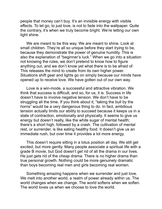people that money can't buy. It's an invisible energy with visible effects. To let go, to just love, is not to fade into the wallpaper. Quite the contrary, it's when we truly become bright. We're letting our own light shine.

We are meant to be this way. We are meant to shine. Look at small children. They're all so unique before they start *trying* to be, because they demonstrate the power of genuine humility. This is also the explanation of "beginner's luck." When we go into a situation not knowing the rules, we don't pretend to know how to figure anything out, and we don't know yet what there is to be afraid of. This releases the mind to create from its own higher power. Situations shift gear and lights go on simply because our minds have opened up to receive love. We have gotten out of our own way.

Love is a win-mode, a successful and attractive vibration. We think that success is difficult, and so, for us, it is. Success in life doesn't have to involve negative tension. We don't have to be struggling all the time. If you think about it, "taking the bull by the horns" would be a very dangerous thing to do. In fact, ambitious tension actually limits our ability to succeed because it keeps us in a state of contraction, emotionally and physically. It seems to give us energy but doesn't really, like the white sugar of mental health; there's a short high, followed by a crash. The cultivation of mental rest, or surrender, is like eating healthy food. It doesn't give us an immediate rush, but over time it provides a lot more energy.

This doesn't require sitting in a lotus position all day. We still get excited, but more gently. Many people associate a spiritual life with a grade B movie, but God doesn't get rid of all the drama in our lives. He just gets rid of the *cheap* drama. There is no higher drama than true personal growth. Nothing could be more genuinely dramatic than boys becoming real men and girls becoming real women.

Something amazing happens when we surrender and just love. We melt into another world, a realm of power already within us. The world changes when we change. The world softens when we soften. The world loves us when we choose to love the world.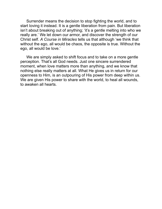Surrender means the decision to stop fighting the world, and to start loving it instead. It is a gentle liberation from pain. But liberation isn't about breaking out of anything; 'it's a gentle melting into who we really are.' We let down our armor, and discover the strength of our Christ self. *A Course in Miracles* tells us that although 'we think that without the ego, all would be chaos, the opposite is true. Without the ego, all would be love.'

We are simply asked to shift focus and to take on a more gentle perception. That's all God needs. Just one sincere surrendered moment, when love matters more than anything, and we know that nothing else really matters at all. What He gives us in return for our openness to Him, is an outpouring of His power from deep within us. We are given His power to share with the world, to heal all wounds, to awaken all hearts.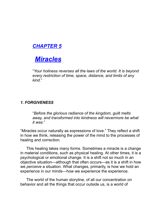# *[CHAPTER](#page-4-1) 5*

# *[Miracles](#page-4-1)*

"*Your holiness reverses all the laws of the world. It is beyond every restriction of time, space, distance, and limits of any kind*."

#### *1. FORGIVENESS*

"*Before the glorious radiance of the kingdom, guilt melts away, and transformed into kindness will nevermore be what it was*."

"Miracles occur naturally as expressions of love." They reflect a shift in how we think, releasing the power of the mind to the processes of healing and correction.

This healing takes many forms. Sometimes a miracle is a change in material conditions, such as physical healing. At other times, it is a psychological or emotional change. It is a shift not so much in an objective situation—although that often occurs—as it is a shift in how we *perceive* a situation. What changes, primarily, is how we hold an experience in our minds—how we experience the experience.

The world of the human storyline, of all our concentration on behavior and all the things that occur outside us, is a world of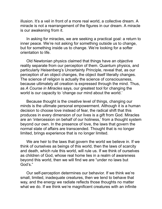illusion. It's a veil in front of a more real world, a collective dream. A miracle is not a rearrangement of the figures in our dream. A miracle is our awakening from it.

In asking for miracles, we are seeking a practical goal: a return to inner peace. We're not asking for something outside us to change, but for something inside us to change. We're looking for a softer orientation to life.

Old Newtonian physics claimed that things have an objective reality separate from our perception of them. Quantum physics, and particularly Heisenberg's Uncertainty Principle, reveal that, as our perception of an object changes, the object itself literally changes. The science of religion is actually the science of consciousness, because ultimately all creation is expressed through the mind. Thus, as *A Course in Miracles* says, our greatest tool for changing the world is our capacity to 'change our mind about the world.'

Because thought is the creative level of things, changing our minds is the ultimate personal empowerment. Although it is a human decision to choose love instead of fear, the radical shift that this produces in every dimension of our lives is a gift from God. Miracles are an 'intercession on behalf of our holiness,' from a thought system beyond our own. In the presence of love, the laws that govern the normal state of affairs are transcended. Thought that is no longer limited, brings experience that is no longer limited.

We are heir to the laws that govern the world we believe in. If we think of ourselves as beings of this world, then the laws of scarcity and death, which rule this world, will rule us. If we think of ourselves as children of God, whose real home lies in a realm of awareness beyond this world, then we will find we are "under no laws but God's."

Our self-perception determines our behavior. If we think we're small, limited, inadequate creatures, then we tend to behave that way, and the energy we radiate reflects those thoughts no matter what we do. If we think we're magnificent creatures with an infinite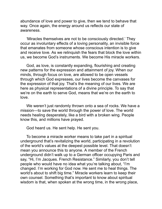abundance of love and power to give, then we tend to behave that way. Once again, the energy around us reflects our state of awareness.

'Miracles themselves are not to be consciously directed.' They occur as involuntary effects of a loving personality, an invisible force that emanates from someone whose conscious intention is to give and receive love. As we relinquish the fears that block the love within us, we become God's instruments. We become His miracle workers.

God, as love, is constantly expanding, flourishing and creating new patterns for the expression and attainment of joy. When our minds, through focus on love, are allowed to be open vessels through which God expresses, our lives become the canvases for the expression of that joy. That's the meaning of our lives. We are here as physical representations of a divine principle. To say that we're on the earth to serve God, means that we're on the earth to love.

We weren't just randomly thrown onto a sea of rocks. We have a mission—to save the world through the power of love. The world needs healing desperately, like a bird with a broken wing. People know this, and millions have prayed.

God heard us. He sent help. He sent you.

To become a miracle worker means to take part in a spiritual underground that's revitalizing the world, participating in a revolution of the world's values at the deepest possible level. That doesn't mean you announce this to anyone. A member of the French underground didn't walk up to a German officer occupying Paris and say, "Hi, I'm Jacques. French Resistance." Similarly, you don't tell people who would have no idea what you're talking about, "I'm changed. I'm working for God now. He sent me to heal things. The world's about to shift big time." Miracle workers learn to keep their own counsel. Something that's important to know about spiritual wisdom is that, when spoken at the wrong time, in the wrong place,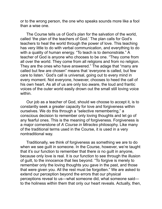or to the wrong person, the one who speaks sounds more like a fool than a wise one.

The Course tells us of God's plan for the salvation of the world, called 'the plan of the teachers of God.' The plan calls for God's teachers to heal the world through the power of love. This teaching has very little to do with verbal communication, and everything to do with a quality of human energy. "To teach is to demonstrate." A teacher of God is anyone who chooses to be one. "They come from all over the world. They come from all religions and from no religion. They are the ones who have answered." The adage that "many are called but few are chosen" means that 'everyone is called, but few care to listen.' God's call is universal, going out to every mind in every moment. Not everyone, however, chooses to heed the call of his own heart. As all of us are only too aware, the loud and frantic voices of the outer world easily drown out the small still loving voice within.

Our job as a teacher of God, should we choose to accept it, is to constantly seek a greater capacity for love and forgiveness within ourselves. We do this through a "selective remembering," a conscious decision to remember only loving thoughts and let go of any fearful ones. This is the meaning of forgiveness. Forgiveness is a major cornerstone of *A Course in Miracles* philosophy. Like many of the traditional terms used in the Course, it is used in a very nontraditional way.

Traditionally, we think of forgiveness as something we are to do when we see guilt in someone. In the Course, however, we're taught that it's our function to remember that there *is* no guilt in anyone, because only love is real. It is our function to see through the illusion of guilt, to the innocence that lies beyond. "To forgive is merely to remember only the loving thoughts you gave in the past, and those that were given you. All the rest must be forgotten." We are asked to extend our perception beyond the errors that our physical perceptions reveal to us—what someone did, what someone said to the holiness within them that only our heart reveals. Actually, then,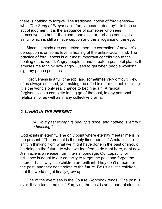there is nothing to forgive. The traditional notion of forgiveness what *The Song of Prayer* calls "forgiveness-to-destroy"—is then an act of judgment. It is the arrogance of someone who sees themselves as better than someone else, or perhaps equally as sinful, which is still a misperception and the arrogance of the ego.

Since all minds are connected, then the correction of anyone's perception is on some level a healing of the entire racial mind. The practice of forgiveness is our most important contribution to the healing of the world. Angry people cannot create a peaceful planet. It amuses me to think how angry I used to get when people wouldn't sign my peace petitions.

Forgiveness is a full time job, and sometimes very difficult. Few of us always succeed, yet making the effort is our most noble calling. It is the world's only real chance to begin again. A radical forgiveness is a complete letting go of the past, in any personal relationship, as well as in any collective drama.

## *2. LIVING IN THE PRESENT*

"*All your past except its beauty is gone, and nothing is left but a blessing*."

God exists in eternity. The only point where eternity meets time is in the present. "The present is the only time there is." A miracle is a shift in thinking from what we might have done in the past or should be doing in the future, to what we feel free to do right here, right now. A miracle is a release from internal bondage. Our capacity for brilliance is equal to our capacity to forget the past and forget the future. That's why little children are brilliant. They don't remember the past, and they don't relate to the future. Be us as little children, that the world might finally grow up.

One of the exercises in the Course Workbook reads, "The past is over. It can touch me not." Forgiving the past is an important step in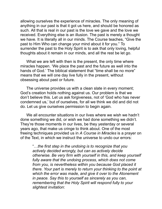allowing ourselves the experience of miracles. The only meaning of anything in our past is that it got us here, and should be honored as such. All that is real in our past is the love we gave and the love we received. Everything else is an illusion. The past is merely a thought we have. It is literally all in our minds. The Course teaches, "Give the past to Him Who can change your mind about it for you." To surrender the past to the Holy Spirit is to ask that only loving, helpful thoughts about it remain in our minds, and all the rest be let go.

What we are left with then is the present, the only time where miracles happen. 'We place the past and the future as well into the hands of God.' The biblical statement that "time shall be no more" means that we will one day live fully in the present, without obsessing about past or future.

The universe provides us with a clean slate in every moment; God's creation holds nothing against us. Our problem is that we don't believe this. Let us ask forgiveness, not of 'God who has never condemned us,' but of ourselves, for all we think we did and did not do. Let us give ourselves permission to begin again.

We all encounter situations in our lives where we wish we hadn't done something we did, or wish we had done something we didn't. They're those moments in our lives, be they yesterday or several years ago, that make us cringe to think about. One of the most freeing techniques provided us in *A Course in Miracles* is a prayer on of the Text, in which we instruct the universe to undo our errors:

> "…*the first step in the undoing is to recognize that you actively decided wrongly, but can as actively decide otherwise. Be very firm with yourself in this, and keep yourself fully aware that the undoing process, which does not come from you, is nevertheless within you because God placed it there. Your part is merely to return your thinking to the point at which the error was made, and give it over to the Atonement in peace. Say this to yourself as sincerely as you can, remembering that the Holy Spirit will respond fully to your slightest invitation*: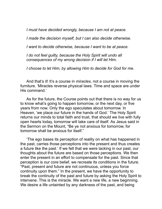*I must have decided wrongly, because I am not at peace*.

*I made the decision myself, but I can also decide otherwise*.

*I want to decide otherwise, because I want to be at peace*.

*I do not feel guilty, because the Holy Spirit will undo all consequences of my wrong decision if I will let Him*.

*I choose to let Him, by allowing Him to decide for God for me*.

And that's it! It's a course in *miracles*, not a course in moving the furniture. 'Miracles reverse physical laws. Time and space are under His command.'

As for the future, the Course points out that there is no way for us to know what's going to happen tomorrow, or the next day, or five years from now. Only the ego speculates about tomorrow. In Heaven, 'we place our future in the hands of God.' The Holy Spirit returns our minds to total faith and trust, that should we live with fully open hearts today, tomorrow will take care of itself. As Jesus said in the Sermon on the Mount, "Be ye not anxious for tomorrow, for tomorrow shall be anxious for itself."

'The ego bases its perception of reality on what has happened in the past, carries those perceptions into the present and thus creates a future like the past.' If we felt that we were lacking in our past, our thoughts about the future are based on those perceptions. We then enter the present in an effort to compensate for the past. Since that perception is our core belief, we recreate its conditions in the future. "Past, present and future are not continuous, unless you force continuity upon them." In the present, we have the opportunity to break the continuity of the past and future by asking the Holy Spirit to intervene. This is the miracle. We want a new life, a new beginning. We desire a life untainted by any darkness of the past, and being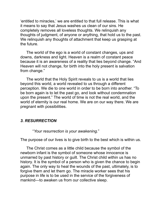'entitled to miracles,' we are entitled to that full release. This is what it means to say that Jesus washes us clean of our sins. He completely removes all loveless thoughts. We relinquish any thoughts of judgment, of anyone or anything, that hold us to the past. We relinquish any thoughts of attachment that keep us grasping at the future.

The world of the ego is a world of constant changes, ups and downs, darkness and light. Heaven is a realm of constant peace because it is an awareness of a reality that lies beyond change. "And Heaven will not change, for birth into the holy present is salvation from change."

The world that the Holy Spirit reveals to us is a world that lies beyond this world, a world revealed to us through a different perception. We die to one world in order to be born into another. "To be born again is to let the past go, and look without condemnation upon the present." The world of time is not the real world, and the world of eternity is our real home. We are on our way there. We are pregnant with possibilities.

## *3. RESURRECTION*

"*Your resurrection is your awakening*."

The purpose of our lives is to give birth to the best which is within us.

The Christ comes as a little child because the symbol of the newborn infant is the symbol of someone whose innocence is unmarred by past history or guilt. The Christ child within us has no history. It is the symbol of a person who is given the chance to begin again. The only way to heal the wounds of the past, ultimately, is to forgive them and let them go. The miracle worker sees that his purpose in life is to be used in the service of the forgiveness of mankind—to awaken us from our collective sleep.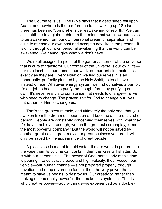The Course tells us: "The Bible says that a deep sleep fell upon Adam, and nowhere is there reference to his waking up." So far, there has been no "comprehensive reawakening or rebirth." We can all contribute to a global rebirth to the extent that we allow ourselves to be awakened from our own personal dream of separation and guilt, to release our own past and accept a new life in the present. It is only through our own personal awakening that the world can be awakened. We cannot give what we don't have.

We're all assigned a piece of the garden, a corner of the universe that is ours to transform. Our corner of the universe is our own life our relationships, our homes, our work, our current circumstances exactly as they are. Every situation we find ourselves in is an opportunity, perfectly planned by the Holy Spirit, to teach love instead of fear. Whatever energy system we find ourselves a part of, it's our job to heal it—to purify the thought forms by purifying our own. It's never really a circumstance that needs to change—it's *we* who need to change. The prayer isn't for God to change our lives, but rather for Him to change us.

That's the greatest miracle, and ultimately the only one: that you awaken from the dream of separation and become a different kind of person. People are constantly concerning themselves with what they *do*: have I achieved enough, written the greatest screenplay, formed the most powerful company? But the world will not be saved by another great novel, great movie, or great business venture. It will only be saved by the appearance of great people.

A glass vase is meant to hold water. If more water is poured into the vase than its volume can contain, then the vase will shatter. So it is with our personalities. The power of God, particularly at this time, is pouring into us at rapid pace and high velocity. If our vessel, our vehicle—our human channel—is not prepared properly through devotion and deep reverence for life, then the very power that is meant to save us begins to destroy us. Our creativity, rather than making us personally powerful, then makes us hysterical. That is why creative power—God within us—is experienced as a double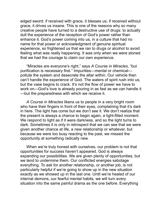edged sword: if received with grace, it blesses us; if received without grace, it drives us insane. This is one of the reasons why so many creative people have turned to a destructive use of drugs: to actually dull the experience of the reception of God's power rather than enhance it. God's power coming into us, in a culture that had no name for that power or acknowledgment of genuine spiritual experience, so frightened us that we ran to drugs or alcohol to avoid feeling what was really happening. It was only when we were stoned that we had the courage to claim our own experience.

"Miracles are everyone's right," says *A Course in Miracles*, "but purification is necessary first." Impurities—mental or chemical pollute the system and desecrate the altar within. Our vehicle then can't handle the experience of God. The waters of spirit rush into us, but the vase begins to crack. It's not the flow of power we have to work on—God's love is already pouring in as fast as we can handle it —but the preparedness with which we receive it.

*A Course in Miracles* likens us to people in a very bright room who have their fingers in front of their eyes, complaining that it's dark in here. The light has come but we don't see it. We don't realize that the present is always a chance to begin again, a light-filled moment. We respond to light as if it were darkness, and so the light turns to dark. Sometimes it is only in retrospect that we can see that we were given another chance at life, a new relationship or whatever, but because we were too busy reacting to the past, we missed the opportunity at something radically new.

When we're truly honest with ourselves, our problem is not that opportunities for success haven't appeared. God is always expanding our possibilities. We are given plenty of opportunities, but we tend to undermine them. Our conflicted energies sabotage everything. To ask for another relationship, or another job, is not particularly helpful if we're going to show up in the new situation exactly as we showed up in the last one. Until we're healed of our internal demons, our fearful mental habits, we will turn every situation into the same painful drama as the one before. Everything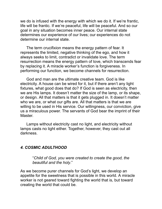we do is infused with the energy with which we do it. If we're frantic, life will be frantic. If we're peaceful, life will be peaceful. And so our goal in any situation becomes inner peace. Our internal state determines our experience of our lives; our experiences do not determine our internal state.

The term crucifixion means the energy pattern of fear. It represents the limited, negative thinking of the ego, and how it always seeks to limit, contradict or invalidate love. The term resurrection means the energy pattern of love, which transcends fear by replacing it. A miracle worker's function is forgiveness. In performing our function, we become channels for resurrection.

God and man are the ultimate creative team. God is like electricity. A house can be wired for it, but if there aren't any light fixtures, what good does that do? If God is seen as electricity, then we are His lamps. It doesn't matter the size of the lamp, or its shape, or design. All that matters is that it gets plugged in. It doesn't matter who we are, or what our gifts are. All that matters is that we are willing to be used in His service. Our willingness, our conviction, give us a miraculous power. The servants of God bear the imprint of their **Master** 

Lamps without electricity cast no light, and electricity without lamps casts no light either. Together, however, they cast out all darkness.

#### *4. COSMIC ADULTHOOD*

"*Child of God, you were created to create the good, the beautiful and the holy*."

As we become purer channels for God's light, we develop an appetite for the sweetness that is possible in this world. A miracle worker is not geared toward fighting the world that is, but toward creating the world that could be.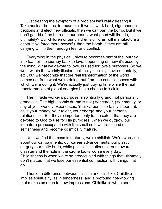Just treating the symptom of a problem isn't really treating it. Take nuclear bombs, for example. If we all work hard, sign enough petitions and elect new officials, then we can ban the bomb. But if we don't get rid of the hatred in our hearts, what good will that do, ultimately? Our children or our children's children will manufacture a destructive force more powerful than the bomb, if they are still carrying within them enough fear and conflict.

Everything in the physical universe becomes part of the journey into fear, or the journey back to love, depending on how it's used by the mind. What we devote to love, is used for love's purposes. So we work within the worldly illusion, politically, socially, environmentally, etc., but we recognize that the real transformation of the world comes not from what we're doing, but from the consciousness with which we're doing it. We're actually just buying time while the real transformation of global energies has a chance to kick in.

The miracle worker's purpose is spiritually grand, not personally grandiose. The high cosmic drama is not *your* career, *your* money, or any of your worldly experiences. Your career is certainly important, as is your money, your talent, your energy, and your personal relationships. But they're important only to the extent that they are devoted to God to use for His purposes. When we outgrow our immature preoccupation with the small self, we transcend our selfishness and become cosmically mature.

Until we find that cosmic maturity, we're childish. We're worrying about our car payments, our career advancements, our plastic surgery, our petty hurts, while political situations careen towards disaster and the hole in the ozone looks worse every day. Childishness is when we're so preoccupied with things that ultimately don't matter, that we lose our essential connection with things that do.

There's a difference between childish and childlike. Childlike implies spirituality, as in tenderness, and a profound not-knowing that makes us open to new impressions. Childlike is when see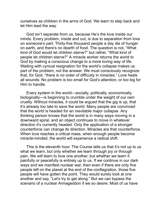ourselves as children in the arms of God. We learn to step back and let Him lead the way.

God isn't separate from us, because He's the love inside our minds. Every problem, inside and out, is due to separation from love on someone's part. Thirty-five thousand people a day die of hunger on earth, and there's no dearth of food. The question is not, "What kind of God would let children starve?" but rather, "What kind of people let children starve?" A miracle worker returns the world to God by making a conscious change to a more loving way of life. Waiting with cynical resignation for the world's collapse makes us part of the problem, not the answer. We must consciously recognize that, for God, "there is no order of difficulty in miracles." Love heals all wounds. No problem is too small for God's attention, or too big for Him to handle.

Every system in the world—socially, politically, economically, biologically—is beginning to crumble under the weight of our own cruelty. Without miracles, it could be argued that the gig is up, that it's already too late to save the world. Many people are convinced that the world is headed for an inevitable major collapse. Any thinking person knows that the world is in many ways moving in a downward spiral, and an object continues to move in whatever direction it's currently headed. Only the application of a stronger counterforce can change its direction. Miracles are that counterforce. When love reaches a critical mass, when enough people become miracle-minded, the world will experience a radical shift.

This is the eleventh hour. The Course tells us that it's not up to us what we learn, but only whether we learn through joy or through pain. We *will* learn to love one another, but whether we learn it painfully or peacefully is entirely up to us. If we continue in our dark ways and we manifest nuclear war, then even if there are only five people left on the planet at the end of the conflagration, those five people will have gotten the point. They would surely look at one another and say, "Let's try to get along." But we can bypass the scenario of a nuclear Armageddon if we so desire. Most of us have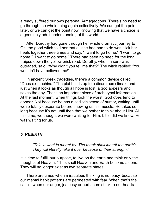already suffered our own personal Armageddons. There's no need to go through the whole thing again collectively. We can get the point later, or we can get the point now. Knowing that we have a choice is a genuinely adult understanding of the world.

After Dorothy had gone through her whole dramatic journey to Oz, the good witch told her that all she had had to do was click her heels together three times and say, "I want to go home," "I want to go home," "I want to go home." There had been no need for the long traipse down the yellow brick road. Dorothy, who I'm sure was outraged, said, "Why didn't you tell me that?" The witch replied: "You wouldn't have believed me!"

In ancient Greek tragedies, there's a common device called "Deus ex machina." The plot builds up to a disastrous climax, and just when it looks as though all hope is lost, a god appears and saves the day. That's an important piece of archetypal information. At the last moment, when things look the worst, God *does* tend to appear. Not because he has a sadistic sense of humor, waiting until we're totally desperate before showing us his muscle. He takes so long because it's not until then that we bother to think about Him. All this time, we thought we were waiting for Him. Little did we know, He was waiting for us.

#### *5. REBIRTH*

"*This is what is meant by 'The meek shall inherit the earth': They will literally take it over because of their strength*."

It is time to fulfill our purpose, to live on the earth and think only the thoughts of Heaven. 'Thus shall Heaven and Earth become as one. They will no longer exist as two separate states.'

There are times when miraculous thinking is not easy, because our mental habit patterns are permeated with fear. When that's the case—when our anger, jealousy or hurt seem stuck to our hearts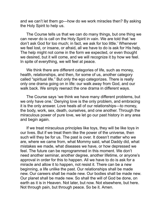and we can't let them go—how do we work miracles then? By asking the Holy Spirit to help us.

The Course tells us that we can do many things, but one thing we can never do is call on the Holy Spirit in vain. We are told that 'we don't ask God for too much; in fact, we ask for too little.' Whenever we feel lost, or insane, or afraid, all we have to do is ask for His help. The help might not come in the form we expected, or even thought we desired, but it will come, and we will recognize it by how we feel. In spite of everything, we will feel at peace.

We think there are different categories of life, such as money, health, relationships, and then, for some of us, another category called "spiritual life." But only the ego categorizes. There is really only one drama going on in life: our walk away from God, and our walk back. We simply reenact the one drama in different ways.

The Course says 'we think we have many different problems, but we only have one.' Denying love is the only problem, and embracing it is the only answer. Love heals all of our relationships—to money, the body, work, sex, death, ourselves, and one another. Through the miraculous power of pure love, we let go our past history in any area and begin again.

If we treat miraculous principles like toys, they will be like toys in our lives. But if we treat them like the power of the universe, then such will they be for us. The past is over. It doesn't matter who we are, where we came from, what Mommy said, what Daddy did, what mistakes we made, what diseases we have, or how depressed we feel. The future can be reprogrammed in this moment. We don't need another seminar, another degree, another lifetime, or anyone's approval in order for this to happen. All we have to do is ask for a miracle and allow it to happen, not resist it. There can be a new beginning, a life unlike the past. Our relationships shall be made new. Our careers shall be made new. Our bodies shall be made new. Our planet shall be made new. So shall the will of God be done, on earth as it is in Heaven. Not later, but now. Not elsewhere, but here. Not through pain, but through peace. So be it. Amen.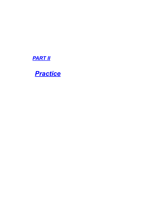# *[PART](#page-4-2) II*

# *[Practice](#page-4-2)*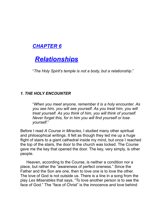# *[CHAPTER](#page-4-0) 6*

# *[Relationships](#page-4-0)*

"*The Holy Spirit's temple is not a body, but a relationship*."

#### *1. THE HOLY ENCOUNTER*

"*When you meet anyone, remember it is a holy encounter. As you see him, you will see yourself. As you treat him, you will treat yourself. As you think of him, you will think of yourself. Never forget this, for in him you will find yourself or lose yourself*."

Before I read *A Course in Miracles*, I studied many other spiritual and philosophical writings. It felt as though they led me up a huge flight of stairs to a giant cathedral inside my mind, but once I reached the top of the stairs, the door to the church was locked. The Course gave me the key that opened the door. The key, very simply, is other people.

Heaven, according to the Course, is neither a condition nor a place, but rather the "awareness of perfect oneness." Since the Father and the Son are one, then to love one is to love the other. The love of God is not outside us. There is a line in a song from the play *Les Miserables* that says, "To love another person is to see the face of God." The "face of Christ" is the innocence and love behind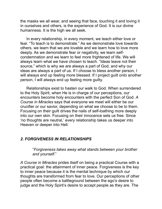the masks we all wear, and seeing that face, touching it and loving it in ourselves and others, is the experience of God. It is our divine humanness. It is the high we all seek.

In every relationship, in every moment, we teach either love or fear. "To teach is to demonstrate." As we demonstrate love towards others, we learn that we are lovable and we learn how to love more deeply. As we demonstrate fear or negativity, we learn selfcondemnation and we learn to feel more frightened of life. We will always learn what we have chosen to teach. "Ideas leave not their source," which is why we are always a part of God, and why our ideas are always a part of us. If I choose to bless another person, I will always end up feeling more blessed. If I project guilt onto another person, I will always end up feeling more guilty.

Relationships exist to hasten our walk to God. When surrendered to the Holy Spirit, when He is in charge of our perceptions, our encounters become holy encounters with the perfect Son of God. *A Course in Miracles* says that everyone we meet will either be our crucifier or our savior, depending on what we choose to be to them. Focusing on their guilt drives the nails of self-loathing more deeply into our own skin. Focusing on their innocence sets us free. Since 'no thoughts are neutral,' every relationship takes us deeper into Heaven or deeper into Hell.

# *2. FORGIVENESS IN RELATIONSHIPS*

"*Forgiveness takes away what stands between your brother and yourself*."

*A Course in Miracles* prides itself on being a practical Course with a practical goal: the attainment of inner peace. Forgiveness is the key to inner peace because it is the mental technique by which our thoughts are transformed from fear to love. Our perceptions of other people often become a battleground between the ego's desire to judge and the Holy Spirit's desire to accept people as they are. The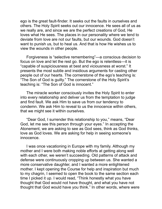ego is the great fault-finder. It seeks out the faults in ourselves and others. The Holy Spirit seeks out our innocence. He sees all of us as we really are, and since we are the perfect creations of God, He loves what He sees. The places in our personality where we tend to deviate from love are not our faults, but our wounds. God doesn't want to punish us, but to heal us. And that is how He wishes us to view the wounds in other people.

Forgiveness is "selective remembering"—a conscious decision to focus on love and let the rest go. But the ego is relentless—it is "capable of suspiciousness at best and viciousness at worst." It presents the most subtle and insidious arguments for casting other people out of our hearts. The cornerstone of the ego's teaching is: "The Son of God is guilty." The cornerstone of the Holy Spirit's teaching is: "The Son of God is innocent."

The miracle worker consciously invites the Holy Spirit to enter into every relationship and deliver us from the temptation to judge and find fault. We ask Him to save us from our tendency to condemn. We ask Him to reveal to us the innocence within others, that we might see it within ourselves.

"Dear God, I surrender this relationship to you," means, "Dear God, let me see this person through your eyes." In accepting the Atonement, we are asking to see as God sees, think as God thinks, love as God loves. We are asking for help in seeing someone's innocence.

I was once vacationing in Europe with my family. Although my mother and I were both making noble efforts at getting along well with each other, we weren't succeeding. Old patterns of attack and defense were continuously cropping up between us. She wanted a more conservative daughter, and I wanted a more enlightened mother. I kept opening the Course for help and inspiration but much to my chagrin, I seemed to open the book to the same section each time I picked it up. I would read, "Think honestly what you have thought that God would not have thought, and what you have not thought that God would have you think." In other words, where were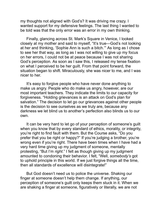my thoughts not aligned with God's? It was driving me crazy. I wanted support for my defensive feelings. The last thing I wanted to be told was that the only error was an error in my own thinking.

Finally, glancing across St. Mark's Square in Venice, I looked closely at my mother and said to myself, "It's true—God's not looking at her and thinking, 'Sophie Ann is such a bitch.'" As long as I chose to see her that way, as long as I was not willing to give up my focus on her errors, I could not be at peace because I was not sharing God's perception. As soon as I saw this, I released my tense fixation on what I perceived to be her guilt. From that point forward, the situation began to shift. Miraculously, she was nicer to me, and I was nicer to her.

It's easy to forgive people who have never done anything to make us angry. People who do make us angry, however, are our most important teachers. They indicate the limits to our capacity for forgiveness. "Holding grievances is an attack on God's plan for salvation." The decision to let go our grievances against other people is the decision to see ourselves as we truly are, because any darkness we let blind us to another's perfection also blinds us to our own.

It can be very hard to let go of your perception of someone's guilt when you know that by every standard of ethics, morality, or integrity, you're right to find fault with them. But the Course asks, "Do you prefer that you be right or happy?" If you're judging a brother, you're wrong even if you're right. There have been times when I have had a very hard time giving up my judgment of someone, mentally protesting, "But I'm *right*." I felt as though giving up my judgment amounted to condoning their behavior. I felt, "Well, *somebody's* got to uphold principle in this world. If we just forgive things all the time, then all standards of excellence will disintegrate!"

But God doesn't need us to police the universe. Shaking our finger at someone doesn't help them change. If anything, our perception of someone's guilt only keeps them stuck in it. When we are shaking a finger at someone, figuratively or literally, we are not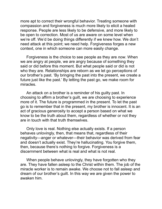more apt to correct their wrongful behavior. Treating someone with compassion and forgiveness is much more likely to elicit a healed response. People are less likely to be defensive, and more likely to be open to correction. Most of us are aware on some level when we're off. We'd be doing things differently if we knew how. We don't need attack at this point; we need help. Forgiveness forges a new context, one in which someone can more easily change.

Forgiveness is the choice to see people as they are *now*. When we are angry at people, we are angry because of something they said or did before this moment. But what people said or did is not who they are. Relationships are reborn as we let go perceptions of our brother's past. 'By bringing the past into the present, we create a future just like the past.' By letting the past go, we make room for miracles.

An attack on a brother is a reminder of his guilty past. In choosing to affirm a brother's guilt, we are choosing to experience more of it. The future is programmed in the present. To let the past go is to remember that in the present, my brother is innocent. It is an act of gracious generosity to accept a person based on what we know to be the truth about them, regardless of whether or not they are in touch with that truth themselves.

Only love is real. Nothing else actually exists. If a person behaves unlovingly, then, that means that, regardless of their negativity—anger or whatever—their behavior was derived from fear and doesn't actually exist. They're hallucinating. You forgive them, then, because there's nothing to forgive. Forgiveness is a discernment between what is real and what is not real.

When people behave unlovingly, they have forgotten who they are. They have fallen asleep to the Christ within them. The job of the miracle worker is to remain awake. We choose not to fall asleep and dream of our brother's guilt. In this way we are given the power to awaken him.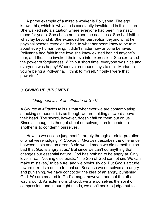A prime example of a miracle worker is Pollyanna. The ego knows this, which is why she is constantly invalidated in this culture. She walked into a situation where everyone had been in a nasty mood for years. She chose not to see the nastiness. She had faith in what lay beyond it. She extended her perception beyond what her physical senses revealed to her, to what her heart knew to be true about every human being. It didn't matter how anyone behaved. Pollyanna had faith in the love she knew existed behind anyone's fear, and thus she invoked their love into expression. She exercised the power of forgiveness. Within a short time, everyone was nice and everyone was happy! Whenever someone says to me, "Marianne, you're being a Pollyanna," I think to myself, "If only I were that powerful."

# *3. GIVING UP JUDGMENT*

### "*Judgment is not an attribute of God*."

*A Course in Miracles* tells us that whenever we are contemplating attacking someone, it is as though we are holding a sword above their head. The sword, however, doesn't fall on them but on us. Since all thought is thought about ourselves, then to condemn another is to condemn ourselves.

How do we escape judgment? Largely through a reinterpretation of what we're judging. *A Course in Miracles* describes the difference between a sin and an error. 'A sin would mean we did something so bad that God is angry at us.' But since we can't do anything that changes our essential nature, God has nothing to be angry at. Only love is real. Nothing else exists. 'The Son of God cannot sin. We can make mistakes,' to be sure, and we obviously do. But God's attitude toward error is a desire to heal us. Because we ourselves are angry and punishing, we have concocted the idea of an angry, punishing God. We are created in God's image, however, and not the other way around. As extensions of God, we are ourselves the spirit of compassion, and in our right minds, we don't seek to judge but to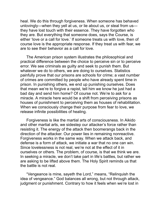heal. We do this through forgiveness. When someone has behaved unlovingly—when they yell at us, or lie about us, or steal from us they have lost touch with their essence. They have forgotten who they are. But everything that someone does, says the Course, is either 'love or a call for love.' If someone treats us with love, then of course love is the appropriate response. If they treat us with fear, we are to see their behavior as a call for love.

The American prison system illustrates the philosophical and practical difference between the choice to perceive sin or to perceive error. We see criminals as guilty and seek to punish them. But whatever we do to others, we are doing to ourselves. Statistics painfully prove that our prisons are schools for crime; a vast number of crimes are committed by people who have already spent time in prison. In punishing others, we end up punishing ourselves. Does that mean we're to forgive a rapist, tell him we know he just had a bad day and send him home? Of course not. We're to ask for a miracle. A miracle here would be a shift from perceiving prisons as houses of punishment to perceiving them as houses of rehabilitation. When we consciously change their purpose from fear to love, we release infinite possibilities of healing.

Forgiveness is like the martial arts of consciousness. In Aikido and other martial arts, we sidestep our attacker's force rather than resisting it. The energy of the attack then boomerangs back in the direction of the attacker. Our power lies in remaining nonreactive. Forgiveness works in the same way. When we attack back, and defense is a form of attack, we initiate a war that no one can win. Since lovelessness is not real, we're not at the effect of it in ourselves or others. The problem, of course, is that we think we are. In seeking a miracle, we don't take part in life's battles, but rather we are asking to be lifted above them. The Holy Spirit reminds us that the battle is not real.

"Vengeance is mine, sayeth the Lord," means, "Relinquish the idea of vengeance." God balances all wrong, but not through attack, judgment or punishment. Contrary to how it feels when we're lost in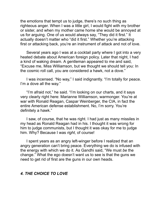the emotions that tempt us to judge, there's no such thing as righteous anger. When I was a little girl, I would fight with my brother or sister, and when my mother came home she would be annoyed at us for arguing. One of us would always say, "They did it first." It actually doesn't matter who "did it first." Whether you're attacking first or attacking back, you're an instrument of attack and not of love.

Several years ago I was at a cocktail party where I got into a very heated debate about American foreign policy. Later that night, I had a kind of waking dream. A gentleman appeared to me and said, "Excuse me, Miss Williamson, but we thought we should tell you: In the cosmic roll call, you are considered a hawk, not a dove."

I was incensed. "No way," I said indignantly. "I'm totally for peace. I'm a dove all the way."

"I'm afraid not," he said. "I'm looking on our charts, and it says very clearly right here: Marianne Williamson, warmonger. You're at war with Ronald Reagan, Caspar Weinberger, the CIA, in fact the entire American defense establishment. No, I'm sorry. You're definitely a hawk."

I saw, of course, that he was right. I had just as many missiles in my head as Ronald Reagan had in his. I thought it was wrong for him to judge communists, but I thought it was okay for me to judge him. Why? Because I was *right*, of course!

I spent years as an angry left-winger before I realized that an angry generation can't bring peace. Everything we do is infused with the energy with which we do it. As Gandhi said, "We must *be* the change." What the ego doesn't want us to see is that the guns we need to get rid of first are the guns in our own heads.

#### *4. THE CHOICE TO LOVE*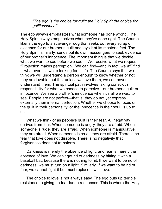"*The ego is the choice for guilt; the Holy Spirit the choice for guiltlessness*."

The ego always emphasizes what someone has done wrong. The Holy Spirit always emphasizes what they've done right. The Course likens the ego to a scavenger dog that seeks out every scrap of evidence for our brother's guilt and lays it at its master's feet. The Holy Spirit, similarly, sends out its own messengers to seek evidence of our brother's innocence. The important thing is that we decide what we want to see before we see it. We receive what we request. "Projection makes perception." We can find—and in fact, we *will* find —whatever it is we're looking for in life. The Course says that we think we will understand a person enough to know whether or not they are lovable, but that unless we love them, we can never understand them. The spiritual path involves taking conscious responsibility for what we choose to perceive—our brother's guilt or innocence. We see a brother's innocence when it's all we *want* to see. People are not perfect—that is, they do not yet express externally their internal perfection. Whether we choose to focus on the guilt in their personality, or the innocence in their soul, is up to us.

What we think of as people's guilt is their fear. All negativity derives from fear. When someone is angry, they are afraid. When someone is rude, they are afraid. When someone is manipulative, they are afraid. When someone is cruel, they are afraid. There is no fear that love does not dissolve. There is no negativity that forgiveness does not transform.

Darkness is merely the absence of light, and fear is merely the absence of love. We can't get rid of darkness by hitting it with a baseball bat, because there is nothing to hit. If we want to be rid of darkness, we must turn on a light. Similarly, if we want to be rid of fear, we cannot fight it but must replace it with love.

The choice to love is not always easy. The ego puts up terrible resistance to giving up fear-laden responses. This is where the Holy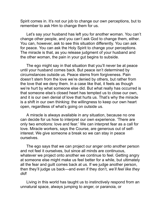Spirit comes in. It's not our job to change our own perceptions, but to remember to ask Him to change them for us.

Let's say your husband has left you for another woman. You can't change other people, and you can't ask God to change them, either. You can, however, ask to see this situation differently. You can ask for peace. You can ask the Holy Spirit to change your perceptions. The miracle is that, as you release judgment of your husband and the other woman, the pain in your gut begins to subside.

The ego might say in that situation that you'll never be at peace until your husband comes back. But peace isn't determined by circumstances outside us. Peace stems from forgiveness. Pain doesn't stem from the love we're denied by others, but rather from the love that we deny them. In a case like that, it feels as though we're hurt by what someone else did. But what really has occurred is that someone else's closed heart has tempted us to close our own, and it is our own denial of love that hurts us. That's why the miracle is a shift in our own thinking: the willingness to keep our own heart open, regardless of what's going on outside us.

A miracle is always available in any situation, because no one can decide for us how to interpret our own experience. 'There are only two emotions: love and fear.' We can interpret fear as a call for love. Miracle workers, says the Course, are generous out of selfinterest. We give someone a break so we can stay in peace ourselves.

The ego says that we can project our anger onto another person and not feel it ourselves, but since all minds are continuous, whatever we project onto another we continue to feel. Getting angry at someone else might make us feel better for a while, but ultimately all the fear and guilt comes back at us. If we judge another person, then they'll judge us back—and even if they don't, *we'll feel like they did*!

Living in this world has taught us to instinctively respond from an unnatural space, always jumping to anger, or paranoia, or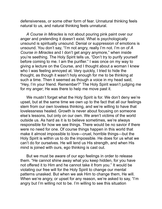defensiveness, or some other form of fear. Unnatural thinking feels natural to us, and natural thinking feels unnatural.

*A Course in Miracles* is not about pouring pink paint over our anger and pretending it doesn't exist. What is psychologically unsound is spiritually unsound. Denial or suppression of emotions is unsound. You don't say, "I'm not angry, really I'm not. I'm on of *A Course in Miracles* and I don't get angry anymore," when inside you're seething. The Holy Spirit tells us, "Don't try to purify yourself before coming to me. I am the purifier." I was once on my way to giving a lecture on the Course, and I thought about a woman I knew who I was feeling annoyed at. Very quickly, I tried to hide the thought, as though it wasn't holy enough for me to be thinking at such a time. Then it seemed as though a voice in my head said, "Hey, I'm your friend. Remember?" The Holy Spirit wasn't judging me for my anger; He was there to help me move past it.

We mustn't forget what the Holy Spirit is for. We don't deny we're upset, but at the same time we own up to the fact that all our feelings stem from our own loveless thinking, and we're willing to have that lovelessness healed. Growth is never about focusing on someone else's lessons, but only on our own. We aren't victims of the world outside us. As hard as it is to believe sometimes, we're always responsible for how we see things. There would be no savior if there were no need for one. Of course things happen in this world that make it almost impossible to love—cruel, horrible things—but the Holy Spirit is within us to do the impossible. He does for us what we can't do for ourselves. He will lend us His strength, and when His mind is joined with ours, ego thinking is cast out.

But we must be aware of our ego feelings in order to release them. "He cannot shine away what you keep hidden, for you have not offered it to Him and he cannot take it from you." It would be violating our free will for the Holy Spirit to change our mental patterns unasked. But when we ask Him to change them, He will. When we're angry, or upset for any reason, we're asked to say, "I'm angry but I'm willing not to be. I'm willing to see this situation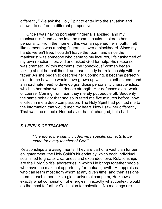differently." We ask the Holy Spirit to enter into the situation and show it to us from a different perspective.

Once I was having porcelain fingernails applied, and my manicurist's friend came into the room. I couldn't tolerate her personality. From the moment this woman opened her mouth, I felt like someone was running fingernails over a blackboard. Since my hands weren't free, I couldn't leave the room, and since the manicurist was someone who came to my lectures, I felt ashamed of my own reaction. I prayed and asked God for help. His response was dramatic. Within moments, the "obnoxious" woman began talking about her childhood, and particularly her relationship with her father. As she began to describe her upbringing, it became perfectly clear to me how she would have grown up with little self-esteem, and an inordinate need to develop grandiose personality characteristics, which in her mind would denote strength. Her defenses didn't work, of course. Coming from fear, they merely put people off. Suddenly, the same behavior that had so irritated me five minutes before, now elicited in me a deep compassion. The Holy Spirit had pointed me to the information that would melt my heart. Now I saw her differently. That was the miracle: Her behavior hadn't changed, but *I* had.

# *5. LEVELS OF TEACHING*

"*Therefore, the plan includes very specific contacts to be made for every teacher of God*."

Relationships are assignments. They are part of a vast plan for our enlightenment, the Holy Spirit's blueprint by which each individual soul is led to greater awareness and expanded love. Relationships are the Holy Spirit's laboratories in which He brings together people who have the maximal opportunity for mutual growth. He appraises who can learn most from whom at any given time, and then assigns them to each other. Like a giant universal computer, He knows exactly what combination of energies, in exactly what context, would do the most to further God's plan for salvation. No meetings are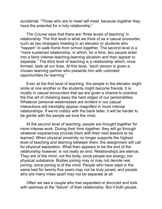accidental. "Those who are to meet will meet, because together they have the potential for a holy relationship."

The Course says that there are 'three levels of teaching' in relationship. The first level is what we think of as a casual encounter, such as two strangers meeting in an elevator or students who "happen" to walk home from school together. The second level is a "more sustained relationship, in which, for a time, two people enter into a fairly intense teaching-learning situation and then appear to separate." The third level of teaching is a relationship which, once formed, lasts all our lives. At this level, "each person is given a chosen learning partner who presents him with unlimited opportunities for learning."

Even at the first level of teaching, the people in the elevator might smile at one another or the students might become friends. It is mostly in casual encounters that we are given a chance to practice the fine art of chiseling away the hard edges of our personalities. Whatever personal weaknesses are evident in our casual interactions will inevitably appear magnified in more intense relationships. If we're crabby with the bank teller, it will be harder to be gentle with the people we love the most.

At the second level of teaching, people are brought together for more intense work. During their time together, they will go through whatever experiences provide them with their next lessons to be learned. When physical proximity no longer supports the highest level of teaching and learning between them, the assignment will call for physical separation. What then appears to be the end of the relationship however, is not really an end. Relationships are eternal. They are of the mind, not the body, since people are energy, not physical substance. Bodies joining may or may not denote real joining, since joining is of the mind. People who have slept in the same bed for twenty-five years may not be truly joined, and people who are many miles apart may not be separate at all.

Often we see a couple who has separated or divorced and look with sadness at the "failure" of their relationship. But if both people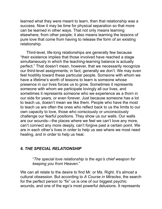learned what they were meant to learn, then that relationship was a success. Now it may be time for physical separation so that more can be learned in other ways. That not only means learning elsewhere, from other people; it also means learning the lessons of pure love that come from having to release the form of an existing relationship.

Third-level, life-long relationships are generally few because "their existence implies that those involved have reached a stage simultaneously in which the teaching-learning balance is actually perfect." That doesn't mean, however, that we necessarily recognize our third-level assignments; in fact, generally we don't. We may even feel hostility toward these particular people. Someone with whom we have a lifetime's worth of lessons to learn is someone whose presence in our lives forces us to grow. Sometimes it represents someone with whom we participate lovingly all our lives, and sometimes it represents someone who we experience as a thorn in our side for years, or even forever. Just because someone has a lot to teach us, doesn't mean we like them. People who have the most to teach us are often the ones who reflect back to us the limits to our own capacity to love, those who consciously or unconsciously challenge our fearful positions. They show us our walls. Our walls are our wounds—the places where we feel we can't love any more, can't connect any more deeply, can't forgive past a certain point. We are in each other's lives in order to help us see where we most need healing, and in order to help us heal.

#### *6. THE SPECIAL RELATIONSHIP*

"*The special love relationship is the ego's chief weapon for keeping you from Heaven*."

We can all relate to the desire to find Mr. or Ms. Right. It's almost a cultural obsession. But according to *A Course in Miracles*, the search for the perfect person to "fix" us is one of our biggest psychic wounds, and one of the ego's most powerful delusions. It represents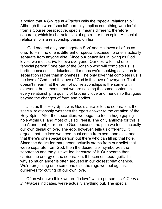a notion that *A Course in Miracles* calls the "special relationship." Although the word "special" normally implies something wonderful, from a Course perspective, special means different, therefore separate, which is characteristic of ego rather than spirit. A special relationship is a relationship based on fear.

'God created only one begotten Son' and He loves all of us as one. To Him, no one is different or special because no one is actually separate from anyone else. Since our peace lies in loving as God loves, we must strive to love everyone. Our desire to find one "special person," one part of the Sonship who will complete us, is hurtful because it is delusional. It means we're seeking salvation in separation rather than in oneness. The only love that completes us is the love of God, and the love of God is the love of everyone. That doesn't mean that the form of our relationships is the same with everyone, but it means that we are seeking the same content in every relationship: a quality of brotherly love and friendship that goes beyond the changes of form and bodies.

Just as the 'Holy Spirit was God's answer to the separation, the special relationship was then the ego's answer to the creation of the Holy Spirit.' After the separation, we began to feel a huge gaping hole within us, and most of us still feel it. The only antidote for this is the Atonement, or return to God, because the pain we feel is actually our own denial of love. The ego, however, tells us differently. It argues that the love we need must come from someone else, and that there's one special person out there who can fill up that hole. Since the desire for that person actually stems from our belief that we're separate from God, then the desire itself symbolizes the separation and the guilt we feel because of it. Our search then carries the energy of the separation. It becomes about guilt. This is why so much anger is often aroused in our closest relationships. We're projecting onto someone else the rage we feel against ourselves for cutting off our own love.

Often when we think we are "in love" with a person, as *A Course in Miracles* indicates, we're actually anything but. The special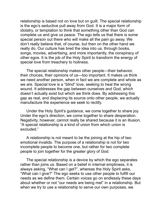relationship is based not on love but on guilt. The special relationship is the ego's seductive pull away from God. It is a major form of idolatry, or temptation to think that something other than God can complete us and give us peace. The ego tells us that there is some special person out there who will make all the pain go away. We don't really believe that, of course, but then on the other hand we really do. Our culture has bred the idea into us, through books, songs, movies, advertising, and more importantly, the conspiracy of other egos. It is the job of the Holy Spirit to transform the energy of special love from treachery to holiness.

The special relationship makes other people—their behavior, their choices, their opinions of us—too important. It makes us think we need another person, when in fact we are complete and whole as we are. Special love is a "blind" love, seeking to heal the wrong wound. It addresses the gap between ourselves and God, which doesn't actually exist but which we think does. By addressing this gap as real, and displacing its source onto other people, we actually manufacture the experience we seek to rectify.

Under the Holy Spirit's guidance, we come together to share joy. Under the ego's direction, we come together to share desperation. Negativity, however, cannot really be shared because it is an illusion. "A special relationship is a kind of union from which union is excluded."

A relationship is not meant to be the joining at the hip of two emotional invalids. The purpose of a relationship is not for two incomplete people to become one, but rather for two complete people to join together for the greater glory of God.

The special relationship is a device by which the ego separates rather than joins us. Based on a belief in internal emptiness, it is always asking, "What can I get?", whereas the Holy Spirit asks, "What can I give?" The ego seeks to use other people to fulfill our needs as we define them. Certain voices go on endlessly these days about whether or not "our needs are being met" in a relationship. But when we try to use a relationship to serve our own purposes, we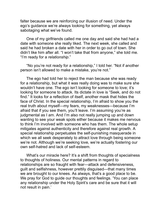falter because we are reinforcing our illusion of need. Under the ego's guidance we're always looking for something, yet always sabotaging what we've found.

One of my girlfriends called me one day and said she had had a date with someone she really liked. The next week, she called and said he had broken a date with her in order to go out of town. She didn't like him after all. "I won't take that from anyone," she told me. "I'm ready for a *relationship*."

"No you're not ready for a relationship," I told her. "Not if another person isn't allowed to make a mistake, you're not."

The ego had told her to reject the man because she was ready for a relationship, but what it was really doing was to make sure she wouldn't have one. The ego isn't looking for someone to love; it's looking for someone to attack. Its dictate in love is "Seek, and do not find." It looks for a reflection of itself, another mask that hides the face of Christ. In the special relationship, I'm afraid to show you the real truth about myself—my fears, my weaknesses—because I'm afraid that if you see them, you'll leave. I'm assuming you're as judgmental as I am. And I'm also not really jumping up and down wanting to see your weak spots either because it makes me nervous to think I'm involved with someone who has them. The whole setup mitigates against authenticity and therefore against real growth. A special relationship perpetuates the self-punishing masquerade in which we all seek desperately to attract love through being someone we're not. Although we're seeking love, we're actually fostering our own self-hatred and lack of self-esteem.

What's our miracle here? It's a shift from thoughts of specialness to thoughts of holiness. Our mental patterns in regard to relationships are so fraught with fear—attack and defensiveness, guilt and selfishness, however prettily disguised—that many times we are brought to our knees. As always, that's a good place to be. We pray for God to guide our thoughts and feelings. 'You can place any relationship under the Holy Spirit's care and be sure that it will not result in pain.'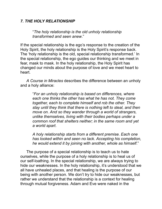### *7. THE HOLY RELATIONSHIP*

"*The holy relationship is the old unholy relationship transformed and seen anew*."

If the special relationship is the ego's response to the creation of the Holy Spirit, the holy relationship is the Holy Spirit's response back. The 'holy relationship is the old, special relationship transformed.' In the special relationship, the ego guides our thinking and we meet in fear, mask to mask. In the holy relationship, the Holy Spirit has changed our minds about the purpose of love and we meet heart to heart.

*A Course in Miracles* describes the difference between an unholy and a holy alliance:

> "*For an unholy relationship is based on differences, where each one thinks the other has what he has not. They come together, each to complete himself and rob the other. They stay until they think that there is nothing left to steal, and then move on. And so they wander through a world of strangers, unlike themselves, living with their bodies perhaps under a common roof that shelters neither; in the same room and yet a world apart*.

> *A holy relationship starts from a different premise. Each one has looked within and seen no lack. Accepting his completion, he would extend it by joining with another, whole as himself*."

The purpose of a special relationship is to teach us to hate ourselves, while the purpose of a holy relationship is to heal us of our self-loathing. In the special relationship, we are always trying to hide our weaknesses. In the holy relationship, it's understood that we all have unhealed places, and that healing is the purpose of our being with another person. We don't try to hide our weaknesses, but rather we understand that the relationship is a context for healing through mutual forgiveness. Adam and Eve were naked in the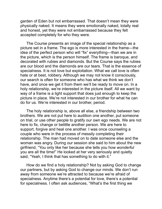garden of Eden but not embarrassed. That doesn't mean they were physically naked. It means they were emotionally naked, totally real and honest, yet they were not embarrassed because they felt accepted completely for who they were.

The Course presents an image of the special relationship as a picture set in a frame. The ego is more interested in the frame—the idea of the perfect person who will "fix" everything—than we are in the picture, which is the person himself. The frame is baroque, and decorated with rubies and diamonds. But the Course says the rubies are our blood and the diamonds are our tears. That is the essence of specialness. It is not love but exploitation. What we call love is often hate or at best, robbery. Although we may not know it consciously, our search is often for someone who has what we think we don't have, and once we get it from them we'll be ready to move on. In a holy relationship, we're interested in the picture itself. All we want by way of a frame is a light support that does just enough to keep the picture in place. We're not interested in our brother for what he can do for us. We're interested in our brother, period.

The holy relationship is, above all else, a friendship between two brothers. We are not put here to audition one another, put someone on trial, or use other people to gratify our own ego needs. We are not here to fix, change or belittle another person. We are here to support, forgive and heal one another. I was once counseling a couple who were in the process of messily completing their relationship. The man had moved on to date someone else and the woman was angry. During our session she said to him about the new girlfriend, "You only like her because she tells you how *wonderful* you are all the time!" He looked at her very seriously and quietly said, "Yeah, I think that has something to do with it."

How do we find a holy relationship? Not by asking God to change our partners, but by asking God to change our minds. We don't run away from someone we're attracted to because we're afraid of specialness. Anytime there's a potential for love, there's a potential for specialness. I often ask audiences, "What's the first thing we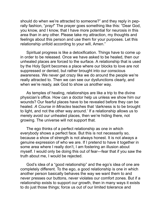should do when we're attracted to someone?" and they reply in peprally fashion, "*pray!*" The prayer goes something like this: "Dear God, you know, and I know, that I have more potential for neurosis in this area than in any other. Please take my attraction, my thoughts and feelings about this person and use them for your purposes. Let this relationship unfold according to your will, Amen."

Spiritual progress is like a detoxification. Things have to come up in order to be released. Once we have asked to be healed, then our unhealed places are forced to the surface. A relationship that is used by the Holy Spirit becomes a place where our blocks to love are not suppressed or denied, but rather brought into our conscious awareness. We never get crazy like we do around the people we're really attracted to. Then we can see our dysfunctions clearly, and when we're ready, ask God to show us another way.

As temples of healing, relationships are like a trip to the divine physician's office. How can a doctor help us unless we show him our wounds? Our fearful places have to be revealed before they can be healed. *A Course in Miracles* teaches that 'darkness is to be brought to light, and not the other way around.' If a relationship allows us to merely avoid our unhealed places, then we're hiding there, not growing. The universe will not support that.

The ego thinks of a perfect relationship as one in which everybody shows a perfect face. But this is not necessarily so, because a show of strength is not always honest. It is not always a genuine expression of who we are. If I pretend to have it together in some area where I really don't, I am fostering an illusion about myself. I would only be doing this out of fear—fear that if you saw the truth about me, I would be rejected.

God's idea of a "good relationship" and the ego's idea of one are completely different. To the ego, a good relationship is one in which another person basically behaves the way we want them to and never presses our buttons, never violates our comfort zones. But if a relationship exists to support our growth, then in many ways it exists to do just those things; force us out of our limited tolerance and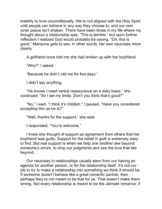inability to love unconditionally. We're not aligned with the Holy Spirit until people can behave in any way they choose to, and our own inner peace isn't shaken. There have been times in my life where my thought about a relationship was, "This is terrible," but upon further reflection I realized God would probably be saying, "Oh, this is good." Marianne gets to see, in other words, her own neuroses more clearly.

A girlfriend once told me she had broken up with her boyfriend.

"Why?" I asked.

"Because he didn't call me for five days."

I didn't say anything.

"He knows I need verbal reassurance on a daily basis," she continued. "So I set my limits. Don't you think that's good?"

"No," I said. "I think it's childish." I paused. "Have you considered accepting him as he is?"

"Well, thanks for the support," she said.

I responded, "You're welcome."

I knew she thought of support as agreement from others that her boyfriend was guilty. Support for the belief in guilt is extremely easy to find. But real support is when we help one another see beyond someone's errors, to drop our judgments and see the love that lies beyond.

Our neuroses in relationships usually stem from our having an agenda for another person, or for the relationship itself. It's not our job to try to make a relationship into something we think it should be. If someone doesn't behave like a great romantic partner, then perhaps they're not meant to be that for us. That doesn't make them wrong. Not every relationship is meant to be the ultimate romance: if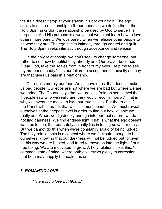the train doesn't stop at your station, it's not your train. The ego seeks to use a relationship to fill our needs as we define them; the Holy Spirit asks that the relationship be used by God to serve His purposes. And His purpose is always that we might learn how to love others more purely. We love purely when we release other people to be who they are. The ego seeks intimacy through control and guilt. The Holy Spirit seeks intimacy through acceptance and release.

In the holy relationship, we don't seek to change someone, but rather to see how beautiful they already are. Our prayer becomes "Dear God, take the scales from in front of my eyes. Help me to see my brother's beauty." It is our failure to accept people exactly as they are that gives us pain in a relationship.

Our ego is merely our fear. We all have egos, that doesn't make us bad people. Our egos are not where we are bad but where we are wounded. The Course says that we are 'all afraid on some level that if people saw who we really are, they would recoil in horror.' That is why we invent the mask, to hide our true selves. But the true self the Christ within us—is that which is most beautiful. We must reveal ourselves at the deepest level in order to find out how lovable we really are. When we dig deeply enough into our real nature, we do not find darkness. We find endless light. That is what the ego doesn't want us to see; that our safety actually lies in letting *down* our mask. But we cannot do this when we're constantly afraid of being judged. The holy relationship is a context where we feel safe enough to be ourselves, knowing that our darkness will not be judged but forgiven. In this way we are healed, and freed to move on into the light of our true being. We are motivated to grow. A holy relationship is this: "a common state of mind, where both give errors gladly to correction, that both may happily be healed as one."

#### *8. ROMANTIC LOVE*

"*There is no love but God's*."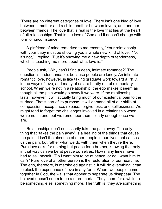'There are no different categories of love. There isn't one kind of love between a mother and a child, another between lovers, and another between friends. The love that is real is the love that lies at the heart of all relationships. That is the love of God and it doesn't change with form or circumstance.'

A girlfriend of mine remarked to me recently, "Your relationship with your baby must be showing you a whole new kind of love." "No, it's not," I replied. "But it's showing me a new depth of tenderness, which is teaching me more about what love is."

People ask, "Why can't I find a deep, intimate romance?" The question is understandable, because people are lonely. An intimate romantic love, however, is like taking graduate work toward a Ph.D. in the ways of love, and many of us are hardly out of elementary school. When we're not in a relationship, the ego makes it seem as though all the pain would go away if we were. If the relationship lasts, however, it will actually bring much of our existential pain to the surface. That's part of its purpose. It will demand all of our skills at compassion, acceptance, release, forgiveness, and selflessness. We might tend to forget the challenges involved in a relationship when we're not in one, but we remember them clearly enough once we are.

Relationships don't necessarily take the pain away. The only thing that "takes the pain away" is a healing of the things that cause the pain. It isn't the absence of other people in our lives that causes us the pain, but rather what we do with them when they're there. Pure love asks for nothing but peace for a brother, knowing that only in that way can we be at peace ourselves. How many times have I had to ask myself, "Do I want him to be at peace, or do I want him to call?" Pure love of another person is the restoration of our heartline. The ego, therefore, is marshaled against it. It will do everything it can to block the experience of love in any form. When two people come together in God, the walls that appear to separate us disappear. The beloved doesn't seem to be a mere mortal. They seem for a while to be something else, something more. The truth is, they *are* something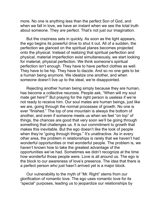more. No one is anything less than the perfect Son of God, and when we fall in love, we have an instant when we see the total truth about someone. They *are* perfect. That's not just our imagination.

But the craziness sets in quickly. As soon as the light appears, the ego begins its powerful drive to shut it out. All of a sudden, the perfection we glanced on the spiritual planes becomes projected onto the physical. Instead of realizing that spiritual perfection and physical, material imperfection exist simultaneously, we start looking for material, physical perfection. We think someone's spiritual perfection isn't enough. They have to have perfect clothes as well. They have to be hip. They have to dazzle. And so no one gets to be a human being anymore. We idealize one another, and when someone doesn't live up to the ideal, we're disappointed.

Rejecting another human being simply because they are human, has become a collective neurosis. People ask, "When will my soul mate get here?" But praying for the right person is useless if we're not ready to receive him. Our soul mates are human beings, just like we are, going through the normal processes of growth. No one is ever "finished." The top of one mountain is always the bottom of another, and even if someone meets us when we feel "on top" of things, the chances are good that very soon we'll be going through something that challenges us. It is our commitment to growth that makes this inevitable. But the ego doesn't like the look of people when they're "going through things." It's unattractive. As in every other area, the problem in relationships is rarely that we haven't had wonderful opportunities or met wonderful people. The problem is, we haven't known how to take the greatest advantage of the opportunities we've had. Sometimes we didn't recognize at the time how wonderful those people were. Love is all around us. The ego is the block to our awareness of love's presence. The idea that there is a perfect person who just hasn't arrived yet is a major block.

Our vulnerability to the myth of "Mr. Right" stems from our glorification of romantic love. The ego uses romantic love for its "special" purposes, leading us to jeopardize our relationships by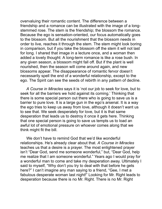overvaluing their romantic content. The difference between a friendship and a romance can be illustrated with the image of a longstemmed rose. The stem is the friendship; the blossom the romance. Because the ego is sensation-oriented, our focus automatically goes to the blossom. But all the nourishment that the blossom needs in order to live, reaches it through the stem. The stem might look boring in comparison, but if you take the blossom off the stem it will not last for long. I shared that image in a lecture once, and a woman then added a lovely thought: A long-term romance is like a rose bush. In any given season, a blossom might fall off. But if the plant is well nourished, then the season will come around again, and new blossoms appear. The disappearance of romantic fervor doesn't necessarily spell the end of a wonderful relationship, except to the ego. The Spirit can see the seeds of rebirth in any pattern of decline.

*A Course in Miracles* says it is 'not our job to seek for love, but to seek for all the barriers we hold against its coming.' Thinking that there is some special person out there who is going to save us is a barrier to pure love. It is a large gun in the ego's arsenal. It is a way the ego tries to keep us away from love, although it doesn't want us to see that. We seek desperately for love, but it is that same desperation that leads us to destroy it once it gets here. Thinking that one special person is going to save us tempts us to load an awful lot of emotional pressure on whoever comes along that we think might fit the bill.

We don't have to remind God that we'd like wonderful relationships. He's already clear about that. *A Course in Miracles* teaches us that a desire is a prayer. The most enlightened prayer isn't "Dear God, send me someone wonderful," but, "Dear God, help me realize that I am someone wonderful." Years ago I would pray for a wonderful man to come and take my desperation away. Ultimately I said to myself, "Why don't you try to deal with that before he gets here?" I can't imagine any man saying to a friend, "Gee, I met a fabulous desperate woman last night!" Looking for Mr. Right leads to desperation because there is no Mr. Right. There is no Mr. Right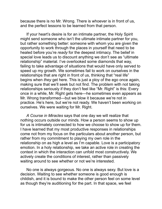because there is no Mr. Wrong. There is whoever is in front of us, and the perfect lessons to be learned from that person.

If your heart's desire is for an intimate partner, the Holy Spirit might send someone who isn't the ultimate intimate partner for you, but rather something better: someone with whom you are given the opportunity to work through the places in yourself that need to be healed before you're *ready* for the deepest intimacy. The belief in special love leads us to discount anything we don't see as "ultimate relationship" material. I've overlooked some diamonds that way, failing to take advantage of situations that would have only served to speed up my growth. We sometimes fail to work on ourselves in the relationships that are right in front of us, thinking that "real life" begins when *they* get here. This is just a ploy of the ego once again, making sure that we'll seek but not find. The problem with not taking relationships seriously if they don't feel like "Mr. Right" is this: Every once in a while, Mr. Right gets here—he sometimes even appears as Mr. Wrong transformed—but we blow it because we're not in practice. He's here, but we're not ready. We haven't been working on ourselves. We were waiting for Mr. Right.

*A Course in Miracles* says that one day we will realize that nothing occurs outside our minds. How a person seems to show up for us is intimately connected to how we choose to show up for them. I have learned that my most productive responses in relationships come not from my focus on the particulars about another person, but rather from my commitment to playing my own role in the relationship on as high a level as I'm capable. Love is a participatory emotion. In a holy relationship, we take an active role in creating the context in which the interaction can unfold most constructively. We actively create the conditions of interest, rather than passively waiting around to see whether or not we're interested.

No one is always gorgeous. No one is always sexy. But love is a decision. Waiting to see whether someone is good enough is childish, and it is bound to make the other person feel on some level as though they're auditioning for the part. In that space, we feel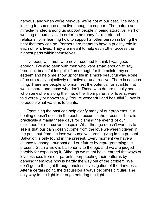nervous, and when we're nervous, we're not at our best. The ego is looking for someone attractive enough to support. The mature and miracle-minded among us support people in being attractive. Part of working on ourselves, in order to be ready for a profound relationship, is learning how to support another person in being the best that they can be. Partners are meant to have a priestly role in each other's lives. They are meant to help each other access the highest parts within themselves.

I've been with men who never seemed to think I was good enough. I've also been with men who were smart enough to say, "You look beautiful tonight" often enough for it to bolster my selfesteem and help me show up for life in a more beautiful way. None of us are really objectively attractive or unattractive. There is no such thing. There are people who manifest the potential for sparkle that we all share, and those who don't. Those who do are usually people who somewhere along the line, either from parents or lovers, were told verbally or nonverbally, "You're wonderful and beautiful." Love is to people what water is to plants.

Examining the past can help clarify many of our problems, but healing doesn't occur in the past. It occurs in the present. There is practically a mania these days for blaming the events of our childhood for our current despair. What the ego doesn't want us to see is that our pain doesn't come from the love we weren't given in the past, but from the love we ourselves aren't giving in the present. Salvation is only found in the present. Every moment we have a chance to change our past and our future by reprogramming the present. Such a view is blasphemy to the ego and we are judged harshly for espousing it. Although we might have learned the ways of lovelessness from our parents, perpetuating their patterns by denying them love now is hardly the way out of the problem. We don't get to the light through endless investigation of the darkness. After a certain point, the discussion always becomes circular. The only way to the light is through entering the light.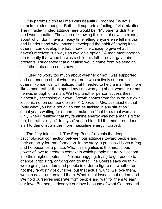"My parents didn't tell me I was beautiful. Poor me." is not a miracle-minded thought. Rather, it supports a feeling of victimization. The miracle-minded attitude here would be, "My parents didn't tell me I was beautiful. The value of knowing this is that now I'm clearer about why I don't have an easy time letting anyone else tell me that, and I understand why I haven't developed the habit of saying it to others. I can develop the habit now. The choice to give what I haven't received is always an available option." A man mentioned to me recently that when he was a child, his father never gave him presents. I suggested that a healing would come from his sending his father lots of presents now.

I used to worry too much about whether or not I was supported, and not enough about whether or not I was actively supporting others. Romantically, I realized that I needed to help a man feel more like a man, rather than spend my time worrying about whether or not he *was* enough of a man. We help another person access their highest by accessing our own. Growth comes from focus on our own lessons, not on someone else's. *A Course in Miracles* teaches that "only what you have not given can be lacking in any situation." I spent years waiting for a man to make me "feel like a real woman." Only when I realized that my feminine energy was not a man's gift to me, but rather my gift to myself and to him, did the men around me start to demonstrate the more masculine energy I craved.

The fairy tale called "The Frog Prince" reveals the deep psychological connection between our attitudes toward people and their capacity for transformation. In the story, a princess kisses a frog and he becomes a prince. What this signifies is the miraculous power of love to create a context in which people naturally blossom into their highest potential. Neither nagging, trying to get people to change, criticizing, or fixing can do that. The Course says we think we're going to understand people in order to figure out whether or not they're worthy of our love, but that actually, until we love them, we can never understand them. What is not loved is not understood. We hold ourselves separate from people and wait for them to earn our love. But people deserve our love because of what God created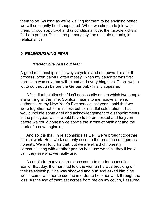them to be. As long as we're waiting for them to be anything better, we will constantly be disappointed. When we choose to join with them, through approval and unconditional love, the miracle kicks in for both parties. This is the primary key, the ultimate miracle, in relationships.

# *9. RELINQUISHING FEAR*

### "*Perfect love casts out fear*."

A good relationship isn't always crystals and rainbows. It's a birth process, often painful, often messy. When my daughter was first born, she was covered with blood and everything else. There was a lot to go through before the Gerber baby finally appeared.

A "spiritual relationship" isn't necessarily one in which two people are smiling all the time. Spiritual means to me, above all else, authentic. At my New Year's Eve service last year, I said that we were together not for mindless but for mindful celebration. That would include some grief and acknowledgement of disappointments in the past year, which would have to be processed and forgiven before we could honestly celebrate the stroke of midnight and the mark of a new beginning.

And so it is that, in relationships as well, we're brought together for real work. Real work can only occur in the presence of rigorous honesty. We all long for that, but we are afraid of honestly communicating with another person because we think they'll leave us if they see who we really are.

A couple from my lectures once came to me for counseling. Earlier that day, the man had told the woman he was breaking off their relationship. She was shocked and hurt and asked him if he would come with her to see me in order to help her work through the loss. As the two of them sat across from me on my couch, I assured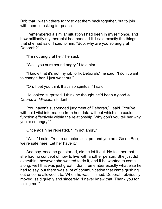Bob that I wasn't there to try to get them back together, but to join with them in asking for peace.

I remembered a similar situation I had been in myself once, and how brilliantly my therapist had handled it. I said exactly the things that she had said. I said to him, "Bob, why are you so angry at Deborah?"

"I'm not angry at her," he said.

"Well, you sure sound angry," I told him.

"I know that it's not my job to fix Deborah," he said. "I don't want to change her; I just want out."

"Oh, I bet you think that's so spiritual," I said.

He looked surprised. I think he thought he'd been a good *A Course in Miracles* student.

"You haven't suspended judgment of Deborah," I said. "You've withheld vital information from her, data without which she couldn't function effectively within the relationship. Why don't you tell her why you're so angry?"

Once again he repeated, "I'm not angry."

"Well," I said. "You're an actor. Just pretend you are. Go on Bob, we're safe here. Let her have it."

And boy, once he got started, did he let it out. He told her that she had no concept of how to live with another person. She just did everything however she wanted to do it, and if he wanted to come along, well that was just great. I don't remember exactly what else he had to say, but there was a lot of communication that came gushing out once he allowed it to. When he was finished, Deborah, obviously moved, said quietly and sincerely, "I never knew that. Thank you for telling me."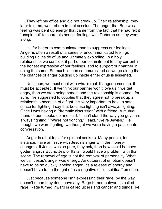They left my office and did not break up. Their relationship, they later told me, was reborn in that session. The anger that Bob was feeling was pent up energy that came from the fact that he had felt it "unspiritual" to share his honest feelings with Deborah as they went along.

It's far better to communicate than to suppress our feelings. Anger is often a result of a series of uncommunicated feelings building up inside of us and ultimately exploding. In a holy relationship, we consider it part of our commitment to stay current in the honest expression of our feelings, and to support our partner in doing the same. So much is then communicated as we go along that the chances of anger building up inside either of us is lessened.

Until then, we must deal with what's real. If anger comes up, it must be accepted. If we think our partner won't love us if we get angry, then we stop being honest and the relationship is doomed for sure. I've suggested to couples that they agree not to break up a relationship because of a fight. It's very important to have a safe space for fighting. I say that because fighting isn't always fighting. Once I was having a "dramatic discussion" with a friend. A mutual friend of ours spoke up and said, "I can't stand the way you guys are always fighting." "We're not fighting," I said. "We're Jewish." He thought we were fighting; we thought we were having a passionate conversation.

Anger is a hot topic for spiritual seekers. Many people, for instance, have an issue with Jesus's anger with the moneychangers. If Jesus was so pure, they ask, then how could he have gotten angry? But no Jew or Italian would have a problem with that scene. The removal of ego is not the removal of personality. What we call Jesus's anger was energy. An outburst of emotion doesn't have to be so quickly labeled anger. It's a release of energy and doesn't have to be thought of as a negative or "unspiritual" emotion.

Just because someone isn't expressing their rage, by the way, doesn't mean they don't have any. Rage turned outward is called rage. Rage turned inward is called ulcers and cancer and things like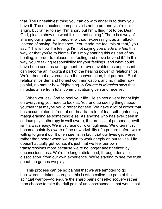that. The unhealthiest thing you can do with anger is to deny you have it. The miraculous perspective is not to pretend you're not angry, but rather to say, "I'm angry but I'm willing not to be. Dear God, please show me what it is I'm not seeing." There is a way of sharing our anger with people, without expressing it as an attack. Instead of saying, for instance, "You made me feel this or that," you say, "This is how I'm feeling. I'm not saying *you made me feel* this way, or that you're to blame. I'm simply sharing this as part of my healing, in order to release this feeling and move beyond it." In this way, you're taking responsibility for your feelings, and what could have been seen as an argument—or even avoided as unpleasant can become an important part of the healing power of relationships. We're then not adversaries in the conversation, but partners. Real relationships demand honest communication, and no matter how painful, no matter how frightening. *A Course in Miracles* says that miracles arise from total communication given and received.

When you ask God to heal your life, He shines a very bright light on everything you need to look at. You end up seeing things about yourself that maybe you'd rather not see. We have a lot of armor that has accumulated in front of our hearts—a lot of fear self-righteously masquerading as something else. As anyone who has ever been in serious psychotherapy is well aware, the process of personal growth isn't always easy. We must face our own ugliness. We often must become painfully aware of the unworkability of a pattern before we're willing to give it up. It often seems, in fact, that our lives get worse rather than better when we begin to work deeply on ourselves. Life doesn't actually get worse; it's just that we feel our own transgressions more because we're no longer anesthetized by unconsciousness. We're no longer distanced, through denial or dissociation, from our own experience. We're starting to see the truth about the games we play.

This process can be so painful that we are tempted to go backwards. It takes courage—this is often called the path of the spiritual warrior—to endure the sharp pains of self-discovery rather than choose to take the dull pain of unconsciousness that would last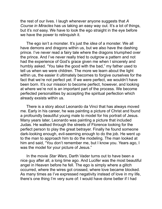the rest of our lives. I laugh whenever anyone suggests that *A Course in Miracles* has us taking an easy way out. It's a lot of things, but it's *not* easy. We have to look the ego straight in the eye before we have the power to relinquish it.

The ego isn't a monster. It's just the *idea* of a monster. We all have demons and dragons within us, but we also have the dashing prince. I've never read a fairy tale where the dragons triumphed over the prince. And I've never really tried to outgrow a pattern and not had the experience of God's grace given me when I sincerely and humbly asked. "You take the good with the bad," my father used to tell us when we were children. The more we learn about the light within us, the easier it ultimately becomes to forgive ourselves for the fact that we're not perfect yet. If we were perfect, we wouldn't have been born. It's our mission to become perfect, however, and looking at where we're not is an important part of the process. We become perfected personalities by accepting the spiritual perfection which already exsists within us.

There is a story about Leonardo da Vinci that has always moved me. Early in his career, he was painting a picture of Christ and found a profoundly beautiful young male to model for his portrait of Jesus. Many years later, Leonardo was painting a picture that included Judas. He walked through the streets of Florence looking for the perfect person to play the great betrayer. Finally he found someone dark-looking enough, evil-seeming enough to do the job. He went up to the man to approach him to do the modeling. The man looked at him and said, "You don't remember me, but I know you. Years ago, I was the model for your picture of Jesus."

In the movie *Star Wars*, Darth Vader turns out to have been a nice guy after all, a long time ago. And Lucifer was the most beautiful angel in Heaven before he fell. The ego is simply where a glitch occurred, where the wires got crossed, where love became blocked. As many times as I've expressed negativity instead of love in my life, there's one thing I'm very sure of: I would have done better if I had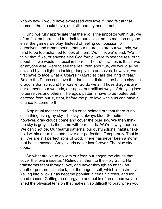known how. I would have expressed with love if I had felt at that moment that I could have, and still had my needs met.

Until we fully appreciate that the ego is the impostor within us, we often feel embarrassed to admit to ourselves, not to mention anyone else, the games we play. Instead of feeling compassion for ourselves, and remembering that our neuroses are our wounds, we tend to be too ashamed to look at them. We think we're bad. 'We think that if we, or anyone else God forbid, were to see the real truth about us, we would all recoil in horror.' The truth, rather, is that if we, or anyone else, were to see the real truth about us, we would all be dazzled by the light. In looking deeply into ourselves, however, we first have to face what *A Course in Miracles* calls the 'ring of fear.' Before the Prince can save the damsel in distress, he has to slay the dragons that surround her castle. So do we all. Those dragons are our demons, our wounds, our egos, our brilliant ways of denying love to ourselves and others. The ego's patterns have to be rooted out, detoxed from our system, before the pure love within us can have a chance to come forth.

A spiritual teacher from India once pointed out that there is no such thing as a gray sky. The sky is always blue. Sometimes, however, gray clouds come and cover the blue sky. We then think the sky is gray. It is the same with our minds. We're always perfect. We can't not be. Our fearful patterns, our dysfunctional habits, take hold within our minds and cover our perfection. Temporarily. That is all. We are still perfect sons of God. There has never been a storm that hasn't passed. Gray clouds never last forever. The blue sky does.

So what are we to do with our fear, our anger, the clouds that cover the love inside us? Relinquish them to the Holy Spirit. He transforms them through love, and never through an attack on another person. It is attack, not the anger itself, which is destructive. Yelling into pillows has become popular in certain circles, and for good reason. Getting the energy up and out is often a good way to shed the physical tension that makes it so difficult to pray when you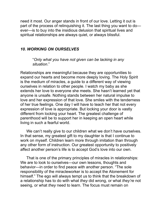need it most. Our anger stands in front of our love. Letting it out is part of the process of relinquishing it. The last thing you want to do ever—is to buy into the insidious delusion that spiritual lives and spiritual relationships are always quiet, or always blissful.

#### *10. WORKING ON OURSELVES*

"*Only what you have not given can be lacking in any situation*."

Relationships are meaningful because they are opportunities to expand our hearts and become more deeply loving. The Holy Spirit is the medium of miracles, a guide to a different way of viewing ourselves in relation to other people. I watch my baby as she extends her love to everyone she meets. She hasn't learned yet that anyone is unsafe. Nothing stands between her natural impulse to love and her expression of that love. She smiles with the tenderness of her true feelings. One day I will have to teach her that not every expression of love is appropriate. But locking your door is vastly different from locking your heart. The greatest challenge of parenthood will be to support her in keeping an open heart while living in such a fearful world.

We can't really give to our children what we don't have ourselves. In that sense, my greatest gift to my daughter is that I continue to work on myself. Children learn more through imitation than through any other form of instruction. Our greatest opportunity to positively affect another person's life is to accept God's love into our own.

That is one of the primary principles of miracles in relationships: We are to look to ourselves—our own lessons, thoughts and behavior—in order to find peace with another person. "The sole responsibility of the miracleworker is to accept the Atonement for himself." The ego will always tempt us to think that the breakdown of a relationship has to do with what *they* did wrong, or what *they're* not seeing, or what *they* need to learn. The focus must remain on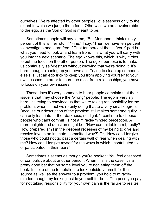ourselves. We're affected by other peoples' lovelessness only to the extent to which we judge them for it. Otherwise we are invulnerable to the ego, as the Son of God is meant to be.

Sometimes people will say to me, "But Marianne, I think ninety percent of this is their stuff." "Fine," I say. "Then we have ten percent to investigate and learn from." That ten percent that is "your" part is what you need to look at and learn from. It is what you will carry with you into the next scenario. The ego knows this, which is why it tries to put the focus on the other person. The ego's purpose is to make us continually self-destruct without knowing that we're doing it. It's hard enough cleaning up your own act. Trying to clean up someone else's is just an ego trick to keep you from applying yourself to your own lessons. In order to learn the most from relationships, you have to focus on your own issues.

These days it's very common to hear people complain that their issue is that they choose the "wrong" people. The ego is very sly here. It's trying to convince us that we're taking responsibility for the problem, when in fact we're only doing that to a very small degree. Because our description of the problem still makes someone guilty, it can only lead into further darkness, not light. "I continue to choose people who can't commit" is not a miracle-minded perception. A more enlightened question might be, "How committable am I, really? How prepared am I in the deepest recesses of my being to give and receive love in an intimate, committed way?" Or, "How can I forgive those who could not go past a certain wall of fear when dealing with me? How can I forgive myself for the ways in which I contributed to or participated in their fear?"

Sometimes it seems as though you're hooked: You feel obsessed or compulsive about another person. When this is the case, it's a pretty good bet that on some level you're not letting them off the hook. In spite of the temptation to look outside yourself for the source as well as the answer to a problem, you hold to miracleminded thought by looking inside yourself for both. The price you pay for not taking responsibility for your own pain is the failure to realize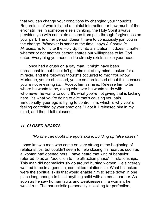that you can change your conditions by changing your thoughts. Regardless of who initiated a painful interaction, or how much of the error still lies in someone else's thinking, the Holy Spirit always provides you with complete escape from pain through forgiveness on your part. The other person doesn't have to consciously join you in the change. 'Whoever is saner at the time,' says *A Course in Miracles*, 'is to invite the Holy Spirit into a situation.' It doesn't matter whether or not another person shares our willingness to let God enter. Everything you need in life already exists inside your head.

I once had a crush on a gay man. It might have been unreasonable, but I couldn't get him out of my mind. I asked for a miracle, and the following thoughts occurred to me: "You know, Marianne, you're obsessed, you're so unreleased about this because you're not releasing *him*. Accept him as he is. Release him to be where he wants to be, doing whatever he wants to do with whomever he wants to do it. It's what *you're* not giving that is lacking here. It's what *you're* doing to *him* that's causing you pain. Emotionally, your ego is trying to control him, which is why you're feeling controlled by your emotions." I got it. I released him in my mind, and then I felt released.

#### *11. CLOSED HEARTS*

#### "*No one can doubt the ego's skill in building up false cases*."

I once knew a man who came on very strong at the beginning of relationships, but couldn't seem to help closing his heart as soon as a woman had opened hers. I have heard that kind of behavior referred to as an "addiction to the attraction phase" in relationships. This man did not maliciously go around hurting women. He sincerely wanted to be in a genuine, committed relationship. What he lacked were the spiritual skills that would enable him to settle down in one place long enough to build anything solid with an equal partner. As soon as he saw human faults and weaknesses in a woman, he would run. The narcissistic personality is looking for perfection,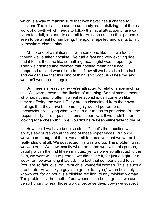which is a way of making sure that love never has a chance to blossom. The initial high can be so heady, so tantalizing, that the real work of growth which needs to follow the initial attraction phase can seem too dull, too hard to commit to. As soon as the other person is seen to be a real human being, the ego is repelled and wants to find somewhere else to play.

At the end of a relationship with someone like this, we feel as though we've taken cocaine. We had a fast and very exciting ride, and it felt at the time like something meaningful was happening. Then we crashed and realized that nothing meaningful had happened at all. It was all made up. Now all we have is a headache, and we can see that this kind of thing isn't good, isn't healthy, and we don't want to do it again.

But there's a reason why we're attracted to relationships such as this. We were drawn to the illusion of meaning. Sometimes someone who has nothing to offer in a real relationship can come on like they're offering the world. They are so dissociated from their own feelings that they have become highly skilled performers, unconsciously playing whatever part our fantasies prescribe. But the responsibility for our pain still remains our own. If we hadn't been looking for a cheap thrill, we wouldn't have been vulnerable to the lie.

How could we have been so stupid? That's the question we always ask ourselves at the end of these experiences. But once we've had enough of them, we admit to ourselves that we weren't really stupid at all. We suspected this was a drug. The problem was, we wanted it. We saw exactly what the game was with this person, usually within the first fifteen minutes, yet we were so attracted to the high, we were willing to pretend we didn't see it, for just a night, or a week, or however long it lasted. The fact that someone said to us, "You are so fabulous. You're such a wonderful woman. This is such a great date. How lucky a guy is to get to date you," when he's only known you for an hour, is a blinking red light to any thinking woman. The problem is, the depth of our wounds can be so great—we can be so hungry to hear those words, because deep down we suspect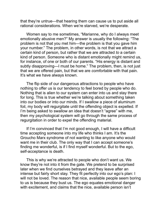that they're untrue—that hearing them can cause us to put aside all rational considerations. When we're starved, we're desperate.

Women say to me sometimes, "Marianne, why do I always meet emotionally abusive men?" My answer is usually the following: "The problem is not that you met him—the problem is that you gave him your number." The problem, in other words, is not that we attract a certain kind of person, but rather that we are attracted *to* a certain kind of person. Someone who is distant emotionally might remind us, for instance, of one or both of our parents. "His energy is distant and subtly disapproving—I must be home." The problem, then, is not just that we are offered pain, but that we are *comfortable* with that pain. It's what we have always known.

The flip side of our dangerous attractions to people who have nothing to offer us is our tendency to feel bored by people who do. Nothing that is alien to our system can enter into us and stay there for long. This is true whether we're talking about something taken into our bodies or into our minds. If I swallow a piece of aluminum foil, my body will regurgitate until the offending object is expelled. If I'm being asked to swallow an idea that doesn't "agree" with me, then my psychological system will go through the same process of regurgitation in order to expel the offending material.

If I'm convinced that I'm not good enough, I will have a difficult time accepting someone into my life who thinks I am. It's the Groucho Marx syndrome of not wanting to like anyone who would want me in their club. The only way that I can accept someone's finding me wonderful, is if I find myself wonderful. But to the ego, self-acceptance is death.

This is why we're attracted to people who don't want us. We know they're not into it from the gate. We pretend to be surprised later when we find ourselves betrayed and they leave after an intense but fairly short stay. They fit perfectly into our ego's plan: I will not be loved. The reason that nice, available people seem boring to us is because they bust us. The ego equates emotional danger with excitement, and claims that the nice, available person isn't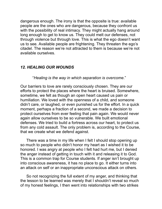dangerous enough. The irony is that the opposite is true: available people are the ones who *are* dangerous, because they confront us with the possibility of real intimacy. They might actually hang around long enough to get to know us. They could melt our defenses, not through violence but through love. This is what the ego doesn't want us to see. Available people are frightening. They threaten the ego's citadel. The reason we're not attracted to them is because we're not available ourselves.

# *12. HEALING OUR WOUNDS*

"*Healing is the way in which separation is overcome*."

Our barriers to love are rarely consciously chosen. They are our efforts to protect the places where the heart is bruised. Somewhere, sometime, we felt as though an open heart caused us pain or humiliation. We loved with the openness of a child, and someone didn't care, or laughed, or even punished us for the effort. In a quick moment, perhaps a fraction of a second, we made a decision to protect ourselves from ever feeling that pain again. We would never again allow ourselves to be so vulnerable. We built emotional defenses. We tried to build a fortress across our heart, to protect us from any cold assault. The only problem is, according to the Course, that we create what we defend against.

There was a time in my life when I felt I should stop opening up so much to people who didn't honor my heart as I wished it to be honored. I was angry at people who I felt had hurt me, but I denied the anger instead of getting in touch with it and releasing it to God. This is a common trap for Course students. If anger isn't brought up into conscious awareness, it has no place to go. It either turns into an attack on self or an inappropriate unconscious attack on others.

So not recognizing the full extent of my anger, and thinking that the lesson to be learned was merely that I shouldn't reveal so much of my honest feelings, I then went into relationships with two strikes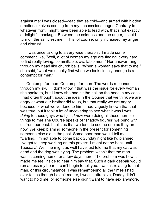against me: I was closed—read that as cold—and armed with hidden emotional knives coming from my unconscious anger. Contrary to whatever front I might have been able to lead with, that's not exactly a delightful package. Between the coldness and the anger, I could turn off the saintliest men. This, of course, only increased my anger and distrust.

I was once talking to a very wise therapist. I made some comment like, "Well, a lot of women my age are finding it very hard to find really loving, committable, available men." Her answer rang through my head like church bells. "When a woman says that to me," she said, "what we usually find when we look closely enough is a contempt for men."

Contempt for men. Contempt for men. The words resounded through my skull. I don't know if that was the issue for every woman she spoke to, but I knew she had hit the nail on the head in my case. I had often thought about the idea in the Course that we think we are angry at what our brother did to us, but that really we are angry because of what we've done to him. I had vaguely known that that was true, but it took a lot of uncovering to see what it was I was *doing* to these guys who I just *knew* were doing all these horrible things to me! The Course speaks of "shadow figures" we bring with us from our past. It tells us that we tend to see no one as they are now. We keep blaming someone in the present for something someone else did in the past. Some poor man would tell me, "Darling, I'm not able to come back Sunday night like I'd planned. I've got to keep working on this project. I might not be back until Tuesday." Well, he might as well have just told me that my cat was dead and the dog was dying. The problem wasn't that the man wasn't coming home for a few days more. The problem was how it made me feel inside to hear him say that. Such a dark despair would run across my heart, I can't begin to tell you. I wasn't relating to that man, or this circumstance. I was remembering all the times I had ever felt as though I didn't matter, I wasn't attractive, Daddy didn't want to hold me, or someone else didn't want to have sex anymore.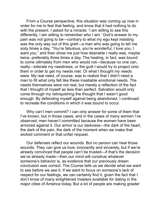From a Course perspective, this situation was coming up now in order for me to feel that feeling, and know that it had nothing to do with the present. I asked for a miracle: 'I am willing to see this differently. I am willing to remember who I am.' God's answer to my pain was not going to be—contrary to what my ego kept insisting was the only way out of this grief—a man who was going to tell me sixty times a day, "You're fabulous, you're wonderful, I love you, I want you," and then show me just how desirable I really was, maybe twice, preferably three times a day. The healing, in fact, was bound to come ultimately from men who would not—because no one can, really—tolerate my neediness, or the guilt I would try to project onto them in order to get my needs met. Or what I thought my needs were. My real need, of course, was to realize that I didn't need a man to fill what only felt like these insatiable emotional needs. The needs themselves were not real, but merely a reflection of the fact that I thought of myself as less than perfect. Salvation would only come through my relinquishing the thought that I wasn't good enough. By defending myself against being abandoned, I continued to recreate the conditions in which it was bound to occur.

Why can't men commit? I can only answer for some of them that I've known, but in those cases, and in the cases of many women I've observed, men haven't committed because the women have been armored against it. Our armor is our darkness—the dark of the heart, the dark of the pain, the dark of the moment when we make that wicked comment or that unfair request.

Our defenses reflect our wounds. But no person can heal those wounds. They can give us love, innocently and sincerely, but if we're already convinced that people can't be trusted—if that's the decision we've already made—then our mind will construe whatever someone's behavior is, as evidence that our previously drawn conclusion was correct. The Course tells us we decide what we want to see before we see it. If we want to focus on someone's lack of respect for our feelings, we can certainly find it, given the fact that I don't know of many enlightened masters available for dating in the major cities of America today. But a lot of people are making greater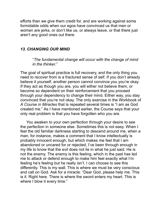efforts than we give them credit for, and are working against some formidable odds when our egos have convinced us that men or women are jerks, or don't like us, or always leave, or that there just aren't any good ones out there.

#### *13. CHANGING OUR MIND*

"*The fundamental change will occur with the change of mind in the thinker*."

The goal of spiritual practice is full recovery, and the only thing you need to recover from is a fractured sense of self. If you don't already believe it yourself, another person cannot convince you you're okay. If they act as though you are, you will either not believe them, or become so dependent on their reinforcement that you proceed through your dependency to change their mind. Either way, you stay convinced that you're not okay. The only exercise in the Workbook of *A Course in Miracles* that is repeated several times is "I am as God created me." As I have mentioned earlier, the Course says that your only real problem is that you have forgotten who you are.

You awaken to your own perfection through your desire to see the perfection in someone else. Sometimes this is not easy. When I feel the old familiar darkness starting to descend around me, when a man, for instance, makes a comment that I know intellectually is probably innocent enough, but which makes me feel that I am abandoned or uncared for or rejected, I've been through enough in my life to know that the evil does not lie in what he just said. He is not the enemy. The enemy is this feeling, which in the past has led me to attack or defend enough to make him feel exactly what I'm feeling he's feeling but he really isn't. I can choose to see this differently. This is my wall. This is where we must be very conscious and call on God. Ask for a miracle: "Dear God, please help me. This is it. Right here. There is where the sword enters my heart. This is where I blow it every time."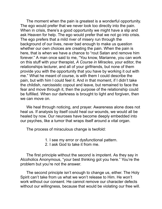The moment when the pain is greatest is a wonderful opportunity. The ego would prefer that we never look too directly into the pain. When in crisis, there's a good opportunity we might have a slip and ask Heaven for help. The ego would prefer that we not go into crisis. The ego prefers that a mild river of misery run through the background of our lives, never bad enough to make us question whether our own choices are creating the pain. When the pain is here, that is when we have a chance to "rout Satan and remove him forever." A man once said to me, "You know, Marianne, you can work on this stuff with your therapist, *A Course in Miracles*, your editor, the relationships lecturer, and all of your girlfriends, but none of them provide you with the opportunity that you have by working it out with me." What he meant of course, is with them I could describe the pain, but with him I could feel it. And in that moment, if I didn't take the childish, narcissistic copout and leave, but remained to face the fear and move through it, then the purpose of the relationship could be fulfilled. When our darkness is brought to light and forgiven, then we can move on.

We heal through noticing, and prayer. Awareness alone does not heal us. If analysis by itself could heal our wounds, we would all be healed by now. Our neuroses have become deeply embedded into our psyches, like a tumor that wraps itself around a vital organ.

The process of miraculous change is twofold:

- 1. I see my error or dysfunctional pattern.
- 2. I ask God to take it from me.

The first principle without the second is impotent. As they say in Alcoholics Anonymous, "your best thinking got you here." You're the problem but you're not the answer.

The second principle isn't enough to change us, either. The Holy Spirit can't take from us what we won't release to Him. He won't work without our consent. He cannot remove our character defects without our willingness, because that would be violating our free will.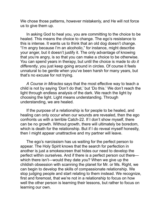We chose those patterns, however mistakenly, and He will not force us to give them up.

In asking God to heal you, you are committing to the choice to be healed. This means the choice to change. The ego's resistance to this is intense. It wants us to think that an old dog doesn't change. "I'm angry because I'm an alcoholic," for instance, might describe your anger, but it doesn't justify it. The only advantage of knowing that you're angry, is so that you can make a choice to be otherwise. You can spend years in therapy, but until the choice is made to *do it differently*, you just keep going around in circles. Of course it feels unnatural to be gentle when you've been harsh for many years, but that's no excuse for not trying.

*A Course in Miracles* says that the most effective way to teach a child is not by saying 'Don't do that,' but 'Do this.' We don't reach the light through endless analysis of the dark. We reach the light by choosing the light. Light means understanding. Through understanding, we are healed.

If the purpose of a relationship is for people to be healed, and healing can only occur when our wounds are revealed, then the ego confronts us with a terrible Catch-22. If I don't show myself, there can be no growth. Without growth, there will ultimately be boredom, which is death for the relationship. But if I do reveal myself honestly, then I might appear unattractive and my partner will leave.

The ego's narcissism has us waiting for the perfect person to appear. The Holy Spirit knows that the search for perfection in another is just a smokescreen that hides our need to develop the perfect within ourselves. And if there is a perfect person out there which there isn't—would they date *you*? When we give up the childish obsession with scanning the planet for Mr. or Ms. Right, we can begin to develop the skills of compassionate relationship. We stop judging people and start relating to them instead. We recognize, first and foremost, that we're not in a relationship to focus on how well the other person is learning their lessons, but rather to focus on learning our own.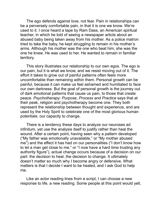The ego defends against love, not fear. Pain in relationships can be a perversely comfortable pain, in that it is one we know. We're used to it. I once heard a tape by Ram Dass, an American spiritual teacher, in which he told of seeing a newspaper article about an abused baby being taken away from his mother. As a police matron tried to take the baby, he kept struggling to remain in his mother's arms. Although his mother was the one who beat him, she was the one he knew. He was used to her. He wanted to remain in familiar territory.

This story illustrates our relationship to our own egos. The ego is our pain, but it is what we know, and we resist moving out of it. The effort it takes to grow out of painful patterns often feels more uncomfortable than remaining within them. Personal growth can be painful, because it can make us feel ashamed and humiliated to face our own darkness. But the goal of personal growth is the journey out of dark emotional patterns that cause us pain, to those that create peace. *Psychotherapy: Purpose, Process and Practice* says that at their peak, religion and psychotherapy become one. They both represent the relationship between thought and experience, and are used by the Holy Spirit to celebrate one of the most glorious human potentials: our capacity to change.

There is a tendency these days to analyze our neuroses ad infinitum, yet use the analysis itself to justify rather than heal the wound. After a certain point, having seen why a pattern developed ("My father was emotionally unavailable," or "My mother abused me") and the effect it has had on our personalities ("I don't know how to let a man get close to me," or "I now have a hard time trusting any authority figure"), actual change occurs because of a decision on our part: the decision to heal, the decision to change. It ultimately doesn't matter so much why I become angry or defensive. What matters is that I decide I want to be healed, and I ask God to help me.

Like an actor reading lines from a script, I can choose a new response to life, a new reading. Some people at this point would yell,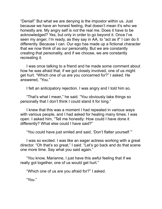"Denial!" But what we are denying is the impostor within us. Just because we have an honest feeling, that doesn't mean it's who we honestly are. My angry self is *not* the real me. Does it have to be acknowledged? Yes, but only in order to go beyond it. Once I've seen my anger, I'm ready, as they say in AA, to "act as if" I can do it differently. Because I can. Our ego has made up a fictional character that we now think of as our personality. But we are constantly creating that personality, and if we choose, we are constantly recreating it.

I was once talking to a friend and he made some comment about how he was afraid that, if we got closely involved, one of us might get hurt. "Which one of us are you concerned for?" I asked. He answered, "You."

I felt an anticipatory rejection. I was angry and I told him so.

"That's what I mean," he said. "You obviously take things so personally that I don't think I could stand it for long."

I knew that this was a moment I had repeated in various ways with various people, and I had asked for healing many times. I was open. I asked him, "Tell me honestly: How could I have done it differently? What else could I have said?"

"You could have just smiled and said, 'Don't flatter yourself.'"

I was so excited. I was like an eager actress working with a great director. "Oh that's so great," I said. "Let's go back and do that scene one more time. Say what you said again."

"You know, Marianne, I just have this awful feeling that if we really got together, one of us would get hurt."

"Which one of us are you afraid for?" I asked.

"You."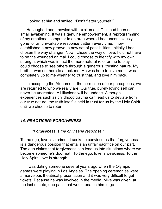I looked at him and smiled. "Don't flatter yourself."

He laughed and I howled with excitement. This had been no small awakening. It was a genuine empowerment, a reprogramming of my emotional computer in an area where I had unconsciously gone for an unworkable response pattern every time. I now established a new groove, a new set of possibilities. Initially I had chosen the way of anger. Now I chose the way of love. I did not have to be the wounded animal. I could choose to identify with my own strength, which was in fact the more natural role for me to play. I could choose to see others through a generous, trusting nature. My brother was not here to attack me. He was here to love me. It was completely up to me whether to trust that, and love him back.

In accepting the Atonement, the correction of our perceptions, we are returned to who we really are. Our true, purely loving self can never be uncreated. All illusions will be undone. Although experiences such as childhood trauma can lead us to deviate from our true nature, the truth itself is held in trust for us by the Holy Spirit until we choose to return.

# *14. PRACTICING FORGIVENESS*

"*Forgiveness is the only sane response*."

To the ego, love is a crime. It seeks to convince us that forgiveness is a dangerous position that entails an unfair sacrifice on our part. The ego claims that forgiveness can lead us into situations where we become someone's doormat. 'To the ego, love is weakness. To the Holy Spirit, love is strength.'

I was dating someone several years ago when the Olympic games were playing in Los Angeles. The opening ceremonies were a marvelous theatrical presentation and it was very difficult to get tickets. Because he was involved in the media, Mike was given, at the last minute, one pass that would enable him to go.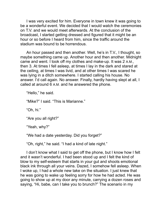I was very excited for him. Everyone in town knew it was going to be a wonderful event. We decided that I would watch the ceremonies on T.V. and we would meet afterwards. At the conclusion of the broadcast, I started getting dressed and figured that it might be an hour or so before I heard from him, since the traffic around the stadium was bound to be horrendous.

An hour passed and then another. Well, he's in T.V., I thought, so maybe something came up. Another hour and then another. Midnight came and went. I took off my clothes and make-up. It was 2 A.M., then 3. At times I fell asleep, at times I lay in the dark and stared at the ceiling, at times I was livid, and at other times I was scared he was lying in a ditch somewhere. I started calling his house. No answer. I'd call again. No answer. Finally, hardly having slept at all, I called at around 6 A.M. and he answered the phone.

"Hello," he said.

"Mike?" I said. "This is Marianne."

"Oh, hi."

"Are you all right?"

"Yeah, why?"

"We had a date yesterday. Did you forget?"

"Oh, right," he said. "I had a kind of late night."

I don't know what I said to get off the phone, but I know how I felt and it wasn't wonderful. I had been stood up and I felt the kind of blow to my self-esteem that starts in your gut and shoots emotional black ink through all your veins. Dazed, I somehow fell asleep. When I woke up, I had a whole new take on the situation. I just knew that he was going to wake up feeling sorry for how he had acted. He was going to show up at my door any minute, carrying a dozen roses and saying, "Hi, babe, can I take you to brunch?" The scenario in my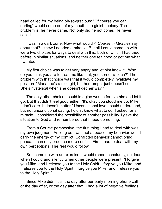head called for my being oh-so-gracious: "Of course you can, darling" would come out of my mouth in a girlish melody. The problem is, he never came. Not only did he not come. He never called.

I was in a dark zone. Now what would *A Course in Miracles* say about that? I knew I needed a miracle. But all I could come up with were two choices for ways to deal with this, both of which I had tried before in similar situations, and neither one felt good or got me what I wanted.

My first choice was to get very angry and let him know it. "Who do you think you are to treat me like that, you son-of-a-bitch?" The problem with that choice was that it would completely invalidate my position. "Marianne's a nice girl, but her temper just doesn't cut it. She's hysterical when she doesn't get her way."

The only other choice I could imagine was to forgive him and let it go. But that didn't feel good either. "It's okay you stood me up, Mike. I don't care. It doesn't matter." Unconditional love I could understand, but not unconditional dating. I didn't know what to do. I asked for a miracle. I considered the possibility of another possibility. I gave the situation to God and remembered that I need do nothing.

From a Course perspective, the first thing I had to deal with was my own judgment. As long as I was not at peace, my behavior would carry the energy of my conflict. Conflicted behavior cannot bring peace. It can only produce more conflict. First I had to deal with my own perceptions. The rest would follow.

So I came up with an exercise; I would repeat constantly, out loud when I could and silently when other people were present: "I forgive you Mike, and I release you to the Holy Spirit. I forgive you Mike, and I release you to the Holy Spirit. I forgive you Mike, and I release you to the Holy Spirit."

Since Mike didn't call the day after our early morning phone call or the day after, or the day after that, I had a lot of negative feelings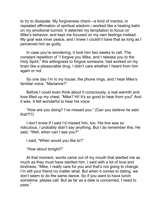to try to dissipate. My forgiveness chant—a kind of mantra, or repeated affirmation of spiritual wisdom—worked like a healing balm on my emotional turmoil. It deterred my temptation to focus on Mike's behavior, and kept me focused on my own feelings instead. My goal was inner peace, and I knew I couldn't have that as long as I perceived him as guilty.

In case you're wondering, it took him two weeks to call. The constant repetition of "I forgive you Mike, and I release you to the Holy Spirit," this willingness to forgive someone, had worked on my brain like a pleasurable drug. I didn't care whether I heard from him again or not.

So one day I'm in my house, the phone rings, and I hear Mike's familiar voice. "Marianne?"

Before I could even think about it consciously, a real warmth and love filled up my chest. "Mike? Hi! It's so good to hear from you!" And it was. It felt wonderful to hear his voice.

"How are you doing? I've missed you." (Can you *believe* he said that?!?)

I don't know if I said I'd missed him, too. His line was so ridiculous, I probably didn't say anything. But I do remember this: He said, "Well, when can I see you?"

I said, "When would you like to?"

"How about tonight?"

At that moment, words came out of my mouth that startled me as much as they must have startled him. I said with a lot of love and kindness, "Mike, I really care for you and that's not going to change. I'm still your friend no matter what. But when it comes to dating, we don't seem to do the same dance. So if you want to have lunch sometime, please call. But as far as a date is concerned, I need to pass."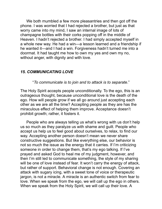We both mumbled a few more pleasantries and then got off the phone. I was worried that I had rejected a brother, but just as that worry came into my mind, I saw an internal image of lots of champagne bottles with their corks popping off in the middle of Heaven. I hadn't rejected a brother. I had simply accepted myself in a whole new way. He had a win—a lesson learned and a friendship if he wanted it—and I had a win. Forgiveness hadn't turned me into a doormat. It had taught me how to own my yes and own my no, without anger, with dignity and with love.

# *15. COMMUNICATING LOVE*

"*To communicate is to join and to attack is to separate*."

The Holy Spirit accepts people unconditionally. To the ego, this is an outrageous thought, because unconditional love is the death of the ego. How will people grow if we all go around just accepting each other as we are all the time? Accepting people as they are has the miraculous effect of helping them improve. Acceptance doesn't prohibit growth; rather, it fosters it.

People who are always telling us what's wrong with us don't help us so much as they paralyze us with shame and guilt. People who accept us help us to feel good about ourselves, to relax, to find our way. Accepting another person doesn't mean we never share constructive suggestions. But like everything else, our behavior is not so much the issue as the energy that it carries. If I'm criticizing someone in order to change them, that's my ego talking. If I've prayed and asked God to heal me of my judgment, however, and then I'm still led to communicate something, the style of my sharing will be one of love instead of fear. It won't carry the energy of attack, but rather of support. Behavioral change is not enough. Covering an attack with sugary icing, with a sweet tone of voice or therapeutic jargon, is not a miracle. A miracle is an authentic switch from fear to love. When we speak from the ego, we will call up the ego in others. When we speak from the Holy Spirit, we will call up their love. A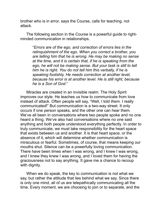brother who is in error, says the Course, calls for teaching, not attack.

The following section in the Course is a powerful guide to rightminded communication in relationships.

> "*Errors are of the ego, and correction of errors lies in the relinquishment of the ego. When you correct a brother, you are telling him that he is wrong. He may be making no sense at the time, and it is certain that, if he is speaking from the ego, he will not be making sense. But your task is still to tell him he is right. You do not tell him this verbally, if he is speaking foolishly. He needs correction at another level, because his error is at another level. He is still right, because he is a Son of God*."

Miracles are created in an invisible realm. The Holy Spirit improves our style. He teaches us how to communicate from love instead of attack. Often people will say, "Well, I told *them*. I really communicated!" But communication is a two-way street. It only occurs if one person speaks, and the other one can hear them. We've all been in conversations where two people spoke and no one heard a thing. We've also had conversations where no one said anything and both people understood everything perfectly. In order to truly communicate, we must take responsibility for the heart space that exists between us and another. It is that heart space, or the absence of it, which will determine whether communication is miraculous or fearful. Sometimes, of course, that means keeping our mouths shut. Silence can be a powerfully loving communication. There have been times when I was wrong, and I knew I was wrong, and I knew they knew I was wrong, and I loved them for having the graciousness not to say anything. It gave me a chance to recoup with dignity.

When we do speak, the key to communication is not what we say, but rather the attitude that lies behind what we say. Since there is only one mind, all of us are telepathically communicating all the time. Every moment, we are choosing to join or to separate, and the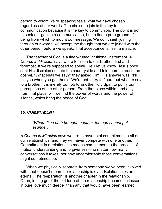person to whom we're speaking feels what we have chosen regardless of our words. The choice to join is the key to communication because it is the key to communion. The point is not to seek our goal in a communication, but to find a pure ground of being from which to mount our message. We don't seek joining through our words; we accept the thought that we are joined with the other person before we speak. That acceptance is itself a miracle.

The teacher of God is a finely-tuned intuitional instrument. *A Course in Miracles* says we're to listen to our brother, first and foremost. If we're supposed to speak, He'll let us know. Jesus once sent His disciples out into the countryside and told them to teach the gospel. "What shall we say?" they asked Him. His answer was, "I'll tell you when you get there." We're not to try to figure out what to say to a brother. It is merely our job to ask the Holy Spirit to purify our perceptions of the other person. From that place within, and only from that place, will we find the power of words and the power of silence, which bring the peace of God.

# *16. COMMITMENT*

"*Whom God hath brought together, the ego cannot put asunder*."

*A Course in Miracles* says we are to have total commitment in all of our relationships, and they will never compete with one another. Commitment in a relationship means commitment to the process of mutual understanding and forgiveness—no matter how many conversations it takes, nor how uncomfortable those conversations might sometimes be.

When we physically separate from someone we've been involved with, that doesn't mean the relationship is over. Relationships are eternal. The "separation" is another chapter in the relationship. Often, letting go of the old form of the relationship becomes a lesson in pure love much deeper than any that would have been learned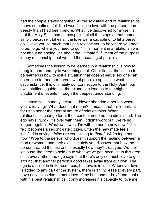had the couple stayed together. At the so-called end of relationships, I have sometimes felt like I was falling in love with the person more deeply than I had been before. What I've discovered for myself is that the Holy Spirit sometimes pulls out all the stops at that moment, simply because it takes all the love we're capable of to let a person go. "I love you so much that I can release you to be where you need to be, to go where you need to go." This moment in a relationship is not about an ending. It's about the ultimate fulfillment of the purpose in any relationship: that we find the meaning of pure love.

Sometimes the lesson to be learned in a relationship is how to hang in there and try to work things out. Other times, the lesson to be learned is how to exit a situation that doesn't serve. No one can determine for another person what principle applies in what circumstance. It is ultimately our connection to the Holy Spirit, our own intuitional guidance, that alone can lead us to the higher unfoldment of events through the deepest understanding.

I have said in many lectures, "Never abandon a person when you're leaving." What does that mean? It means that it's important for us to honor the eternal nature of relationships. When relationships change form, their content need not be diminished. The ego says, "Look, it's over with them. It didn't work out. We're no longer together. What was, was. I'm with someone new now." The "ex" becomes a second-rate citizen. Often the new mate feels justified in saying, "Why are you talking to *them? We're* together now." Woe to the person who doesn't support the healing between a man or woman and their ex. Ultimately you discover that how the person treated the last one is exactly how they'll treat you. We feel jealousy, the need to hold on to what we've got, because in this area, as in every other, the ego says that there's only so much love to go around, that another person's good takes away from our own. The ego is a belief in finite resources, but love is infinite. Whenever love is added to any part of the system, there is an increase to every part. Love only gives rise to more love. If my husband or boyfriend heals with his past relationships, it only increases his capacity to love me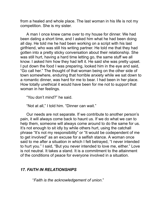from a healed and whole place. The last woman in his life is not my competition. She is my sister.

A man I once knew came over to my house for dinner. We had been dating a short time, and I asked him what he had been doing all day. He told me he had been working on a script with his last girlfriend, who was still his writing partner. He told me that they had gotten into a pretty sticky conversation about their relationship. She was still hurt, having a hard time letting go, the same stuff we all know. I asked him how they had left it. He said she was pretty upset. I put down the food I was preparing, looked him in the eye and said, "Go call her." The thought of that woman being on the other side of town somewhere, enduring that horrible anxiety while we sat down to a romantic dinner, was hard for me to bear. I had been in her place. How totally unethical it would have been for me not to support that woman in her feelings.

"You don't mind?" he said.

"Not at all," I told him. "Dinner can wait."

Our needs are not separate. If we contribute to another person's pain, it will always come back to haunt us. If we do what we can to help them, someone will always come around to do the same for us. It's not enough to sit idly by while others hurt, using the catchall phrase "It's not my responsibility" or "It would be codependent of me to get involved" as an excuse for a selfish stance. A woman once said to me after a situation in which I felt betrayed, "I never intended to hurt you." I said, "But you never intended to love me, either." Love is not neutral. It takes a stand. It is a commitment to the attainment of the conditions of peace for everyone involved in a situation.

#### *17. FAITH IN RELATIONSHIPS*

"*Faith is the acknowledgement of union*."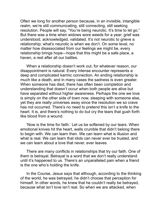Often we long for another person because, in an invisible, intangible realm, we're still communicating, still connecting, still seeking resolution. People will say, "You're being neurotic. It's time to let go." But there was a time when widows wore weeds for a year; grief was understood, acknowledged, validated. It's not neurotic to grieve a relationship; what's neurotic is when we don't. On some level, no matter how disassociated from our feelings we might be, every relationship brings hope—hope that this might be a safe place, a haven, a rest after all our battles.

When a relationship doesn't work out, for whatever reason, our disappointment is natural. Every intense encounter represents a deep and complicated karmic connection. An ending relationship is much like a death, and in many cases the sadness is even greater. When someone has died, there has often been completion and understanding that doesn't occur when both people are alive but have separated without higher awareness. Perhaps the one we love is simply on the other side of town now, sleeping with someone else, yet they are really universes away since the resolution we so crave has not occurred. There's no need to pretend this isn't a knife to the heart. It is, and there's nothing to do but cry the tears that gush forth like blood from a wound.

'Now is the time for faith.' Let us be softened by our tears. When emotional knives hit the heart, walls crumble that didn't belong there to begin with. We can learn then. We can learn what is illusion and what is real. We can learn that idols can never ever be trusted, and we can learn about a love that never, ever leaves.

There are many conflicts in relationships that try our faith. One of them is betrayal. Betrayal is a word that we don't really understand until it's happened to us. There's an unparalleled pain when a friend is the one who's holding the knife.

In the Course, Jesus says that although, according to the thinking of the world, he was betrayed, he didn't choose that perception for himself. In other words, he knew that he couldn't really be betrayed, because what isn't love isn't real. So when we are attacked, when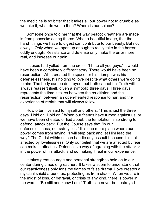the medicine is so bitter that it takes all our power not to crumble as we take it, what do we do then? Where is our solace?

Someone once told me that the way peacock feathers are made is from peacocks eating thorns. What a beautiful image, that the harsh things we have to digest can contribute to our beauty. But not always. Only when we open up enough to really take in the horror, oddly enough. Resistance and defense only make the error more real, and increase our pain.

If Jesus had yelled from the cross, "I hate all you guys," it would have been a completely different story. There would have been no resurrection. What created the space for his triumph was his defenselessness, his holding to love despite what others were doing to him. The body can be destroyed, but truth cannot be. Truth will always reassert itself, given a symbolic three days. Three days represents the time it takes between the crucifixion and the resurrection, between an open-hearted response to hurt and the experience of rebirth that will always follow.

How often I've said to myself and others, "This is just the three days. Hold on. Hold on." When our friends have turned against us, or we have been cheated or lied about, the temptation is so strong to defend, attack back. But the Course says that "in our defenselessness, our safety lies." It is one more place where our power comes from saying, "I will step back and let Him lead the way." The Christ within us can handle any assault because it is not affected by lovelessness. Only our belief that we are affected by fear can make it affect us. Defense is a way of agreeing with the attacker in the power of his attack, and so making it real in our experience.

It takes great courage and personal strength to hold on to our center during times of great hurt. It takes wisdom to understand that our reactiveness only fans the flames of false drama. Love creates a mystical shield around us, protecting us from chaos. When we are in the midst of loss, or betrayal, or crisis of any kind, there is power in the words, "Be still and know I am." Truth can never be destroyed.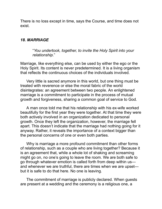There is no loss except in time, says the Course, and time does not exist.

#### *18. MARRIAGE*

"*You undertook, together, to invite the Holy Spirit into your relationship*."

Marriage, like everything else, can be used by either the ego or the Holy Spirit. Its content is never predetermined. It is a living organism that reflects the continuous choices of the individuals involved.

Very little is sacred anymore in this world, but one thing must be treated with reverence or else the moral fabric of the world disintegrates: an agreement between two people. An enlightened marriage is a commitment to participate in the process of mutual growth and forgiveness, sharing a common goal of service to God.

A man once told me that his relationship with his ex-wife worked beautifully for the first year they were together. At that time they were both actively involved in an organization dedicated to personal growth. Once they left the organization, however, the marriage fell apart. This doesn't indicate that the marriage had nothing going for it anyway. Rather, it reveals the importance of a context bigger than the personal concerns of one or even both parties.

Why is marriage a more profound commitment than other forms of relationship, such as a couple who are living together? Because it is an agreement that, while a whole lot of shaking and screaming might go on, no one's going to leave the room. We are both safe to go through whatever emotion is called forth from deep within us and whenever we are truthful, there are times when we are upset but it is safe to do that here. No one is leaving.

The commitment of marriage is publicly declared. When guests are present at a wedding and the ceremony is a religious one, a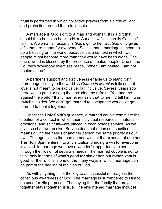ritual is performed in which collective prayers form a circle of light and protection around the relationship.

A marriage is God's gift to a man and woman. It is a gift that should then be given back to Him. A man's wife is literally God's gift to Him. A woman's husband is God's gift to her. But God only gives gifts that are meant for everyone. So it is that a marriage is meant to be a blessing on the world, because it is a context in which two people might become more than they would have been alone. The entire world is blessed by the presence of healed people. One of the Course's Workbook exercises reads, "When I am healed, I am not healed alone."

A partner's support and forgiveness enable us to stand forth more magnificently in the world. *A Course in Miracles* tells us that love is not meant to be exclusive, but inclusive. Several years ago there was a popular song that included the refrain, "You and me against the world." If any man every said that to me, I'd tell him I was switching sides. We don't get married to escape the world; we get married to heal it together.

Under the Holy Spirit's guidance, a married couple commit to the creation of a context in which their individual resources—material, emotional and spiritual—are placed in each other's service. As we give, so shall we receive. Service does not mean self-sacrifice. It means giving the needs of another person the same priority as our own. The ego claims that one person wins at the expense of another. The Holy Spirit enters into any situation bringing a win for everyone involved. In marriage we have a wonderful opportunity to see through the illusion of separate needs. The married couple is not to think only in terms of what's good for him or her, but rather what is good for them. This is one of the many ways in which marriage can be part of the healing of the Son of God.

As with anything else, the key to a successful marriage is the conscious awareness of God. The marriage is surrendered to Him to be used for His purposes. The saying that the family that prays together stays together, is true. The enlightened marriage includes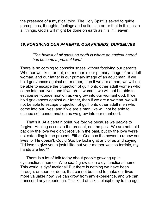the presence of a mystical third. The Holy Spirit is asked to guide perceptions, thoughts, feelings and actions in order that in this, as in all things, God's will might be done on earth as it is in Heaven.

#### *19. FORGIVING OUR PARENTS, OUR FRIENDS, OURSELVES*

"*The holiest of all spots on earth is where an ancient hatred has become a present love*."

There is no coming to consciousness without forgiving our parents. Whether we like it or not, our mother is our primary image of an adult woman, and our father is our primary image of an adult man. If we hold grievances against our mother, then if we are a man, we will not be able to escape the projection of guilt onto other adult women who come into our lives; and if we are a woman, we will not be able to escape self-condemnation as we grow into our womanhood. If we hold grievances against our father, then if we are a woman, we will not be able to escape projection of guilt onto other adult men who come into our lives; and if we are a man, we will not be able to escape self-condemnation as we grow into our manhood.

That's it. At a certain point, we forgive because we *decide* to forgive. Healing occurs in the present, not the past. We are not held back by the love we didn't receive in the past, but by the love we're not extending in the present. Either God has the power to renew our lives, or He doesn't. Could God be looking at any of us and saying, "I'd love to give you a joyful life, but your mother was so terrible, my hands are tied"?

There is a lot of talk today about people growing up in dysfunctional homes. Who *didn't* grow up in a dysfunctional home! This world is dysfunctional! But there is nothing we have been through, or seen, or done, that cannot be used to make our lives more valuable now. We can grow from any experience, and we can transcend any experience. This kind of talk is blasphemy to the ego,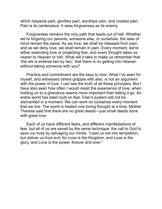which respects pain, glorifies pain, worships pain, and creates pain. Pain is its centerpiece. It sees forgiveness as its enemy.

Forgiveness remains the only path that leads out of hell. Whether we're forgiving our parents, someone else, or ourselves, the laws of mind remain the same: As we love, we shall be released from pain, and as we deny love, we shall remain in pain. Every moment, we're either extending love or projecting fear, and every thought takes us nearer to Heaven or hell. What will it take to make us remember that 'the ark is entered two by two,' that there is no getting into Heaven without taking someone with you?

Practice and commitment are the keys to love. What I've seen for myself, and witnessed others grapple with also, is not an argument with the power of love. I can see the truth of all these principles. But I have also seen how often I would resist the experience of love, when holding on to a grievance seems more important than letting it go. An entire world has been built on fear. Fear's system will not be dismantled in a moment. We can work on ourselves every moment that we live. The world is healed one loving thought at a time. Mother Theresa said that there are no great deeds—just small deeds done with great love.

Each of us have different fears, and different manifestations of fear, but all of us are saved by the same technique: the call to God to save our lives by salvaging our minds. "Lead us not into temptation, but deliver us from evil, for Love is the Kingdom, and Love is the glory, and Love is the power, forever and ever."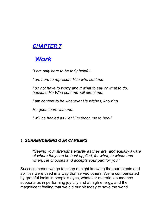# *[CHAPTER](#page-4-0) 7*

*[Work](#page-4-0)*

"*I am only here to be truly helpful*.

*I am here to represent Him who sent me*.

*I do not have to worry about what to say or what to do, because He Who sent me will direct me*.

*I am content to be wherever He wishes, knowing*

*He goes there with me*.

*I will be healed as I let Him teach me to heal*."

# *1. SURRENDERING OUR CAREERS*

"*Seeing your strengths exactly as they are, and equally aware of where they can be best applied, for what, to whom and when, He chooses and accepts your part for you*."

Success means we go to sleep at night knowing that our talents and abilities were used in a way that served others. We're compensated by grateful looks in people's eyes, whatever material abundance supports us in performing joyfully and at high energy, and the magnificent feeling that we did our bit today to save the world.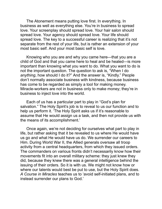The Atonement means putting love first. In everything. In business as well as everything else. You're in business to spread love. Your screenplay should spread love. Your hair salon should spread love. Your agency should spread love. Your life should spread love. The key to a successful career is realizing that it's not separate from the rest of your life, but is rather an extension of your most basic self. And your most basic self is love.

Knowing who you are and why you came here—that you are a child of God and that you came here to heal and be healed—is more important than knowing what you want to do. What you want to do is not the important question. The question to ask is, "When I do *anything*, how should I do it?" And the answer is, "Kindly." People don't normally associate business with kindness, because business has come to be regarded as simply a tool for making money. Miracle-workers are not in business only to make money; they're in business to inject love into the world.

Each of us has a particular part to play in "God's plan for salvation." The Holy Spirit's job is to reveal to us our function and to help us perform it. 'The Holy Spirit asks us if it's reasonable to assume that He would assign us a task, and then not provide us with the means of its accomplishment.'

Once again, we're not deciding for ourselves what part to play in life, but rather asking that it be revealed to us where He would have us go and what He would have us do. We surrender our careers to Him. During World War II, the Allied generals oversaw all troop activity from a central headquarters, from which they issued orders. The commanders on various fronts didn't necessarily know how their movements fit into an overall military scheme: they just knew they did, because they knew there was a general intelligence behind the issuing of their orders. So it is with us. We might not know how or where our talents would best be put to use, but the Holy Spirit does. *A Course in Miracles* teaches us to 'avoid self-initiated plans, and to instead surrender our plans to God.'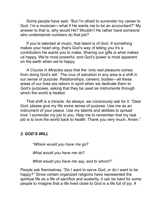Some people have said, "But I'm afraid to surrender my career to God. I'm a musician—what if He wants me to be an accountant?" My answer to that is, why would He? Wouldn't He rather have someone who understands numbers do that job?

If you're talented at music, that talent is of God. If something makes your heart sing, that's God's way of telling you it's a contribution He wants you to make. Sharing our gifts is what makes us happy. We're most powerful, and God's power is most apparent on the earth when we're happy.

*A Course in Miracles* says that the 'only real pleasure comes from doing God's will.' The crux of salvation in any area is a shift in our sense of purpose. Relationships, careers, bodies—all these areas of our lives are reborn in spirit when we dedicate them to God's purposes, asking that they be used as instruments through which the world is healed.

That shift is a miracle. As always, we consciously ask for it. "Dear God, please give my life some sense of purpose. Use me as an instrument of your peace. Use my talents and abilities to spread love. I surrender my job to you. Help me to remember that my real job is to love the world back to health. Thank you very much. Amen."

# *2. GOD'S WILL*

"*Where would you have me go*?

*What would you have me do*?

*What would you have me say, and to whom*?"

People ask themselves, "Do I want to serve God, or do I want to be happy?" Since certain organized religions have represented the spiritual life as a life of sacrifice and austerity, it can be hard for some people to imagine that a life lived close to God is a life full of joy. *A*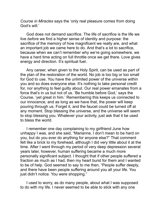*Course in Miracles* says the 'only real pleasure comes from doing God's will.'

God does not demand sacrifice. The life of sacrifice is the life we live *before* we find a higher sense of identity and purpose: the sacrifice of the memory of how magnificent we really are, and what an important job we came here to do. And that's a lot to sacrifice, because when we can't remember why we're going somewhere, we have a hard time acting on full throttle once we get there. Love gives energy and direction. It's spiritual fuel.

Any career, when given to the Holy Spirit, can be used as part of the plan of the restoration of the world. No job is too big or too small for God to use. You have the unlimited power of the universe within you and so does everyone else. It's nothing to take personal credit for, nor anything to feel guilty about. Our real power emanates from a force that's in us but not of us. 'Be humble before God,' says the Course, 'yet great in him.' Remembering this keeps us connected to our innocence, and as long as we have that, the power will keep pouring through us. Forget it, and the faucet could be turned off at any moment. Stop blessing the universe, and the universe will seem to stop blessing you. Whatever your activity, just ask that it be used to bless the world.

I remember one day complaining to my girlfriend June how unhappy I was, and she said, "Marianne, I don't mean to be hard on you, but do you ever do anything for anyone else?" That comment felt like a brick to my forehead, although I did very little about it at the time. After I went through my period of very deep depression several years later, however, human suffering became a much more personally significant subject. I thought that if other people suffered a fraction as much as I had, then my heart burst for them and I wanted to be of help. God seemed to say to me then, "People suffer deeply, and there have been people suffering around you all your life. You just didn't notice. You were shopping."

I used to worry, as do many people, about what I was supposed to do with my life. I never seemed to be able to stick with any one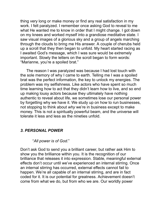thing very long or make money or find any real satisfaction in my work. I felt paralyzed. I remember once asking God to reveal to me what He wanted me to know in order that I might change. I got down on my knees and worked myself into a grandiose meditative state. I saw visual images of a glorious sky and a group of angels marching through the clouds to bring me His answer. A couple of cherubs held up a scroll that they then began to unfold. My heart started racing as I awaited God's message, which I was sure would be extremely important. Slowly the letters on the scroll began to form words: "Marianne, you're a spoiled brat."

The reason I was paralyzed was because I had lost touch with the sole memory of why I came to earth. Telling me I was a spoiled brat was the perfect information, the key to unlock my energies. The problem was my selfishness. Like actors who have spent so much time learning how to act that they didn't learn how to live, and so end up making lousy actors because they ultimately have nothing authentic to reveal about life, we sometimes lose our personal power by forgetting why we have it. We study up on how to run businesses, not stopping to think about *why* we're in business except to make money. This is not a spiritually powerful beam, and the universe will tolerate it less and less as the nineties unfold.

# *3. PERSONAL POWER*

"*All power is of God*."

Don't ask God to send you a brilliant career, but rather ask Him to show you the brilliance within you. It is the recognition of our brilliance that releases it into expression. Stable, meaningful external effects don't occur until we've experienced an internal stirring. Once an internal stirring has occurred, external effects cannot fail to happen. We're all capable of an internal stirring, and are in fact coded for it. It is our potential for greatness. Achievement doesn't come from what we do, but from who we are. Our worldly power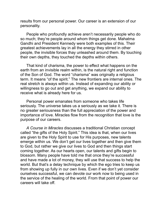results from our personal power. Our career is an extension of our personality.

People who profoundly achieve aren't necessarily people who do so much; they're people around whom things get done. Mahatma Gandhi and President Kennedy were both examples of this. Their greatest achievements lay in all the energy they stirred in other people, the invisible forces thay unleashed around them. By touching their own depths, they touched the depths within others.

That kind of charisma, the power to effect what happens on the earth from an invisible realm within, is the natural right and function of the Son of God. The word "charisma" was originally a religious term. It means "of the spirit." The new frontiers are internal ones. The real stretch is always within us. Instead of expanding our ability or willingness to go out and get anything, we expand our ability to receive what is already here for us.

Personal power emanates from someone who takes life seriously. The universe takes us a seriously as we take it. There is no greater seriousness than the full appreciation of the power and importance of love. Miracles flow from the recognition that love is the purpose of our careers.

*A Course in Miracles* discusses a traditional Christian concept called "the gifts of the Holy Spirit." This idea is that, when our lives are given to the Holy Spirit to use for His purposes, new talents emerge within us. We don't get our lives together and then give them to God, but rather we give our lives to God and then things start coming together. As our hearts open, our talents and gifts begin to blossom. Many people have told me that once they're successful and have made a lot of money, they will use that success to help the world. But that's a delay technique by which the ego tries to keep us from showing up fully in our own lives. Even if we don't yet consider ourselves successful, we can devote our work now to being used in the service of the healing of the world. From that point of power our careers will take off.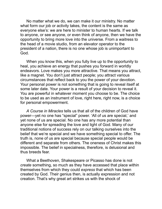No matter what we do, we can make it our ministry. No matter what form our job or activity takes, the content is the same as everyone else's: we are here to minister to human hearts. If we talk to anyone, or see anyone, or even think of anyone, then we have the opportunity to bring more love into the universe. From a waitress to the head of a movie studio, from an elevator operator to the president of a nation, there is no one whose job is unimportant to God.

When you know this, when you fully live up to the opportunity to heal, you achieve an energy that pushes you forward in worldly endeavors. Love makes you more attractive. That means you attract, like a magnet. You don't just attract people; you attract various circumstances that reflect back to you the power of your devotion. Your personal power is not something that is going to reveal itself at some later date. Your power is a result of your decision to reveal it. You are powerful in whatever moment you choose to be. The choice to be used as an instrument of love, right here, right now, is a choice for personal empowerment.

*A Course in Miracles* tells us that all of the children of God have power—yet no one has "special" power. 'All of us are special,' and yet none of us are special. No one has any more potential than anyone else for spreading the love and light of God. Many of our traditional notions of success rely on our talking ourselves into the belief that we're special and we have something special to offer. The truth is, none of us are special because special people would be different and separate from others. The oneness of Christ makes this impossible. The belief in specialness, therefore, is delusional and thus breeds fear.

What a Beethoven, Shakespeare or Picasso has done is not *create* something, so much as they have accessed that place within themselves from which they could *express* that which has been created by God. Their genius then, is actually expression and not creation. That's why great art strikes us with the shock of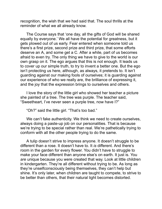recognition, the wish that *we* had said that. The soul thrills at the reminder of what we all already know.

The Course says that 'one day, all the gifts of God will be shared equally by everyone.' We all have the potential for greatness, but it gets plowed out of us early. Fear entered when someone told us there's a first prize, second prize and third prize, that some efforts deserve an A, and some get a C. After a while, part of us becomes afraid to even try. The only thing we have to give to the world is our own grasp on it. The ego argues that this is not enough. It leads us to cover up our simple truth, to try to invent a better one. But the ego isn't protecting us here, although, as always, it pretends to. It isn't guarding against our making fools of ourselves; it is guarding against our experience of who we really are, the brilliance of expressing it, and the joy that the expression brings to ourselves and others.

I love the story of the little girl who showed her teacher a picture she painted of a tree. The tree was purple. The teacher said, "Sweetheart, I've never seen a purple tree, now have I?"

"Oh?" said the little girl. "That's too bad."

We can't fake authenticity. We think we need to create ourselves, always doing a paste-up job on our personalities. That is because we're trying to be special rather than real. We're pathetically trying to conform with all the other people trying to do the same.

A tulip doesn't strive to impress anyone. It doesn't struggle to be different than a rose. It doesn't have to. It *is* different. And there's room in the garden for every flower. You didn't have to struggle to make your face different than anyone else's on earth. It just is. You *are* unique because you were created that way. Look at little children in kindergarten. They're all different without trying to be. As long as they're unselfconsciously being themselves, they can't help but shine. It's only later, when children are taught to compete, to strive to be better than others, that their natural light becomes distorted.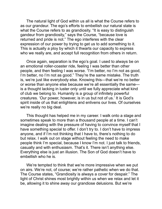The natural light of God within us all is what the Course refers to as our grandeur. The ego's efforts to embellish our natural state is what the Course refers to as grandiosity. "It is easy to distinguish" gandeur from grandiosity," says the Course, "because love is returned and pride is not." The ego interferes with the clear expression of our power by trying to get us to add something to it. This is actually a ploy by which it thwarts our capacity to express who we really are, and accept full recognition from others in return.

Once again, separation is the ego's goal. I used to always be on an emotional roller-coaster ride, feeling I was better than other people, and then feeling I was worse. "I'm better, no I'm not as good, I'm better, no I'm not as good." They're the same mistake. The truth is, we're just like everybody else. Knowing this—that we're no better or worse than anyone else because we're all essentially the same is a thought lacking in luster only until we fully appreciate what kind of club we belong to. Humanity is a group of infinitely powerful creatures. 'Our power, however, is in us but not of us.' It is God's spirit inside of us that enlightens and enlivens our lives. Of ourselves we're really no big deal.

This thought has helped me in my career. I walk onto a stage and sometimes speak to more than a thousand people at a time. I can't imagine dealing with the pressure of having to convince myself that I have something special to offer. I don't try to. I don't have to impress anyone, and if I'm not thinking that I have to, there's nothing to do but relax. I walk out on stage without feeling the need to make people think I'm special, because I know I'm not. I just talk to friends, casually and with enthusiasm. That's it. There isn't anything else. Everything else is just an illusion. The Son of God doesn't have to embellish who he is.

We're tempted to think that we're more impressive when we put on airs. We're not, of course; we're rather pathetic when we do that. The Course states, "Grandiosity is always a cover for despair." The light of Christ shines most brightly within us when we relax and let it be, allowing it to shine away our grandiose delusions. But we're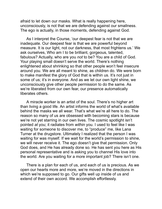afraid to let down our masks. What is really happening here, unconsciously, is not that we are defending against our smallness. The ego is actually, in those moments, defending against God.

As I interpret the Course, 'our deepest fear is not that we are inadequate. Our deepest fear is that we are powerful beyond measure. It is our light, not our darkness, that most frightens us.' We ask ourselves, Who am I to be brilliant, gorgeous, talented, fabulous? Actually, who are you *not* to be? You are a child of God. Your playing small doesn't serve the world. There's nothing enlightened about shrinking so that other people won't feel insecure around you. We are all meant to shine, as children do. We were born to make manifest the glory of God that is within us. It's not just in some of us; it's in everyone. And as we let our own light shine, we unconsciously give other people permission to do the same. As we're liberated from our own fear, our presence automatically liberates others.

A miracle worker is an artist of the soul. There's no higher art than living a good life. An artist informs the world of what's available behind the masks we all wear. That's what we're all here to do. The reason so many of us are obsessed with becoming stars is because we're not yet starring in our own lives. The cosmic spotlight isn't pointed *at* you; it radiates from *within* you. I used to feel like I was waiting for someone to discover me, to "produce" me, like Lana Turner at the drugstore. Ultimately I realized that the person I was waiting for was myself. If we wait for the world's permission to shine, we will never receive it. The ego doesn't give that permission. Only God does, and He has already done so. He has sent you here as His personal representative and is asking you to channel His love into the world. Are you waiting for a more important job? There isn't one.

There is a plan for each of us, and each of us is precious. As we open our hearts more and more, we're moved in the directions in which we're supposed to go. Our gifts well up inside of us and extend of their own accord. We accomplish effortlessly.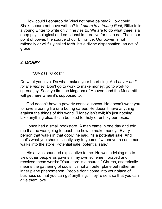How could Leonardo da Vinci not have painted? How could Shakespeare not have written? In *Letters to a Young Poet*, Rilke tells a young writer to write only if he *has* to. We are to do what there is a deep psychological and emotional imperative for us to do. That's our point of power, the source of our brilliance. Our power is not rationally or willfully called forth. It's a divine dispensation, an act of grace.

## *4. MONEY*

"*Joy has no cost*."

Do what you love. Do what makes your heart sing. And *never do it for the money*. Don't go to work to make money; go to work to spread joy. Seek ye first the kingdom of Heaven, and the Masaratti will get here when it's supposed to.

God doesn't have a poverty consciousness. He doesn't want you to have a boring life or a boring career. He doesn't have anything against the things of this world. 'Money isn't evil; it's just nothing.' Like anything else, it can be used for holy or unholy purposes.

I once had a small bookstore. A man came in one day and told me that he was going to teach me how to make money. "Every person that walks in that door," he said, "is a potential sale. And that's what you should silently say to yourself whenever a customer walks into the store: Potential sale, potential sale."

His advice sounded exploitative to me. He was advising me to view other people as pawns in my own scheme. I prayed and received these words: "Your store is a church." Church, esoterically, means the gathering of souls. It's not an outer plane but rather an inner plane phenomenon. People don't come into your place of business so that you can *get* anything. They're sent so that you can give them love.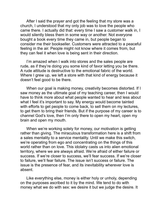After I said the prayer and got the feeling that my store was a church, I understood that my only job was to love the people who came there. I actually did that: every time I saw a customer walk in, I would silently bless them in some way or another. Not everyone bought a book every time they came in, but people began to consider me their bookseller. Customers were attracted to a peaceful feeling in the air. People might not know where it comes from, but they can feel it when love is being sent in their direction.

I'm amazed when I walk into stores and the sales people are rude, as if they're doing you some kind of favor letting you be there. A rude attitude is destructive to the emotional fabric of the world. Where I grew up, we left a store with that kind of energy because it doesn't feel good to be there.

When our goal is making money, creativity becomes distorted. If I saw money as the ultimate goal of my teaching career, then I would have to think more about what people wanted to hear and less about what I feel it's important to say. My energy would become tainted with efforts to get people to come back, to sell them on my lectures, to get them to bring their friends. But if the purpose of my career is to channel God's love, then I'm only there to open my heart, open my brain and open my mouth.

When we're working solely for money, our motivation is getting rather than giving. The miraculous transformation here is a shift from a sales mentality to a service mentality. Until we make this switch, we're operating from ego and concentrating on the things of this world rather than on love. This idolatry casts us into alien emotional territory, where we are always afraid. We're afraid of either failure or success. If we're closer to success, we'll fear success. If we're closer to failure, we'll fear failure. The issue isn't success or failure. The issue is the presence of fear, and its inevitability wherever love is absent.

Like everything else, money is either holy or unholy, depending on the purposes ascribed to it by the mind. We tend to do with money what we do with sex: we desire it but we judge the desire. It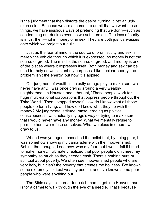is the judgment that then distorts the desire, turning it into an ugly expression. Because we are ashamed to admit that we want these things, we have insidious ways of pretending that we don't—such as condemning our desires even as we act them out. The loss of purity is in us, then—not in money or in sex. They are both just canvasses onto which we project our guilt.

Just as the fearful mind is the source of promiscuity and sex is merely the vehicle through which it is expressed, so money is not the source of greed. The mind is the source of greed, and money is one of the places where it expresses itself. Both money and sex can be used for holy as well as unholy purposes. Like nuclear energy, the problem isn't the energy, but how it is applied.

Our judgment of wealth is actually an ego ploy to make sure we never have any. I was once driving around a very wealthy neighborhood in Houston and I thought, "These people work for huge multi-national corporations that oppress people throughout the Third World." Then I stopped myself: How do I know what all those people do for a living, and how do I know what they do with their money? My judgmental attitude, masquerading as political consciousness, was actually my ego's way of trying to make sure that I would never have any money. What we mentally refuse to permit others, we refuse ourselves. What we bless in others, we draw to us.

When I was younger, I cherished the belief that, by being poor, I was somehow showing my camaraderie with the impoverished. Behind that thought, I see now, was my fear that I would fail if I tried to make money. I ultimately realized that poor people didn't need my sympathy so much as they needed cash. There's nothing pure or spiritual about poverty. We often see impoverished people who are very holy, but it isn't the poverty that creates the holiness. I've known some extremely spiritual wealthy people, and I've known some poor people who were anything but.

The Bible says it's harder for a rich man to get into Heaven than it is for a camel to walk through the eye of a needle. That's because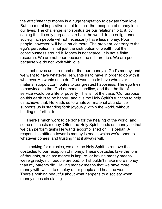the *attachment* to money is a huge temptation to deviate from love. But the moral imperative is not to block the reception of money into our lives. The challenge is to spiritualize our relationship to it, by seeing that its only purpose is to heal the world. In an enlightened society, rich people will not necessarily have less money. Poor people, however, will have much more. The problem, contrary to the ego's perception, is not just the distribution of wealth, but the consciousness around it. Money is not scarce. It is not a finite resource. We are not poor because the rich are rich. We are poor because we do not work with love.

It behooves us to remember that our money is God's money, and we want to have whatever He wants us to have in order to do with it whatever He wants us to do. God wants us to have whatever material support contributes to our greatest happiness. The ego tries to convince us that God demands sacrifice, and that the life of service would be a life of poverty. This is not the case. 'Our purpose on this earth is to be happy,' and it is the Holy Spirit's function to help us achieve that. He leads us to whatever material abundance supports us in standing forth joyously within the world, without binding us further to it.

There's much work to be done for the healing of the world, and some of it costs money. Often the Holy Spirit sends us money so that we can perform tasks He wants accomplished on His behalf. A responsible attitude towards money is one in which we're open to whatever comes, and trusting that it always will.

In asking for miracles, we ask the Holy Spirit to remove the obstacles to our reception of money. These obstacles take the form of thoughts, such as: money is impure, or having money means we're greedy; rich people are bad, or I shouldn't make more money than my parents did. Having money means that we have more money with which to employ other people and heal the world. There's nothing beautiful about what happens to a society when money stops circulating.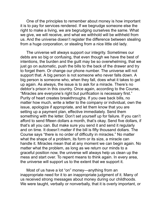One of the principles to remember about money is how important it is to pay for services rendered. If we begrudge someone else the right to make a living, we are begrudging ourselves the same. What we give, we will receive, and what we withhold will be withheld from us. And the universe doesn't register the difference between stealing from a huge corporation, or stealing from a nice little old lady.

The universe will always support our integrity. Sometimes our debts are so big or confusing, that even though we have the best of intentions, the burden and the guilt may be so overwhelming, that we just go on automatic, push the bills to the back of the drawer and try to forget them. Or change our phone number. The universe will not support that. A big person is not someone who never falls down. A big person is someone who, when they fall, does what it takes to get up again. As always, the issue is to ask for a miracle. There's no debtor's prison in this country. Once again, according to the Course, "Miracles are everyone's right but purification is necessary first." Purity of heart creates breakthroughs. If you owe back bills, no matter how much, write a letter to the company or individual, own the issue, apologize if appropriate, and let them know that you are setting up a payment plan, effective immediately. Send them something with the letter. Don't set yourself up for failure. If you can't afford to send fifteen dollars a month, that's okay. Send five dollars, if that's all you can. But make sure you send it and send it regularly and on time. It doesn't matter if the bill is fifty thousand dollars. The Course says "there is no order of difficulty in miracles." No matter what the shape of a problem, its form or its size, a miracle can handle it. Miracles mean that at any moment we can begin again. No matter what the problem, as long as we return our minds to a graceful position now, the universe will always help us clean up the mess and start over. To repent means to think again. In every area, the universe will support us to the extent that we support it.

Most of us have a lot "on" money—anything from an inappropriate need for it to an inappropriate judgment of it. Many of us received strong messages about money during our childhoods. We were taught, verbally or nonverbally, that it is overly important, or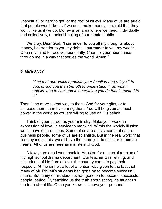unspiritual, or hard to get, or the root of all evil. Many of us are afraid that people won't like us if we don't make money, or afraid that they won't like us if we do. Money is an area where we need, individually and collectively, a radical healing of our mental habits.

We pray. Dear God, "I surrender to you all my thoughts about money, I surrender to you my debts, I surrender to you my wealth. Open my mind to receive abundantly. Channel your abundance through me in a way that serves the world. Amen."

#### *5. MINISTRY*

"*And that one Voice appoints your function and relays it to you, giving you the strength to understand it, do what it entails, and to succeed in everything you do that is related to it*."

There's no more potent way to thank God for your gifts, or to increase them, than by sharing them. You will be given as much power in the world as you are willing to use on His behalf.

Think of your career as your ministry. Make your work an expression of love, in service to mankind. Within the worldly illusion, we all have different jobs. Some of us are artists, some of us are business people, some of us are scientists. But in the real world that lies beyond all this, we all have the same job: to minister to human hearts. All of us are here as ministers of God.

A few years ago I went back to Houston for a special reunion of my high school drama department. Our teacher was retiring, and exstudents of his from all over the country came to pay their respects. At the dinner, a lot of attention was given to the fact that many of Mr. Pickett's students had gone on to become successful actors. But many of his students had gone on to become successful people, period. By teaching us the truth about acting, he taught us the truth about life. Once you know; 1. Leave your personal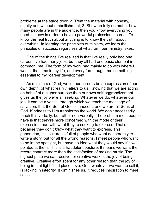problems at the stage door; 2. Treat the material with honesty, dignity and without embellishment; 3. Show up fully no matter how many people are in the audience, then you know everything you need to know in order to have a powerful professional career. To know the real truth about anything is to know the truth about everything. In learning the principles of ministry, we learn the principles of success, regardless of what form our ministry takes.

One of the things I've realized is that I've really only had one career. I've had many jobs, but they all had one basic element in common: me. The form of my work had mainly to do with where I was at that time in my life, and every form taught me something essential to my "career development.

As ministers of God, we let our careers be an expression of our own depth, of what really *matters* to us. Knowing that we are acting on behalf of a higher purpose than our own self-aggrandizement gives us the joy we're all seeking. Whatever we do, whatever our job, it can be a vessel through which we teach the message of salvation: that the Son of God is innocent, and we are all Sons of God. Kindness to Him transforms the world. We don't necessarily teach this verbally, but rather non-verbally. The problem most people have is that they're more concerned with the mode of their expression than with what they're seeking to express. That's because they don't *know* what they want to express. This generation, this culture, is full of people who want desperately to write a story, but for all the wrong reasons. I meet people who want to be in the spotlight, but have no idea what they would say if it was pointed at them. This is a fraudulent posture. It means we want the record contract more than the satisfaction of making music. The highest prize we can receive for creative work is the joy of being creative. Creative effort spent for any other reason than the joy of being in that light-filled place, love, God, whatever we want to call it, is lacking in integrity. It diminishes us. It reduces inspiration to mere sales.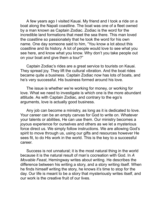A few years ago I visited Kauai. My friend and I took a ride on a boat along the Napali coastline. The boat was one of a fleet owned by a man known as Captain Zodiac. Zodiac is the word for the incredible land formations that meet the sea there. This man loved the coastline so passionately that he took the word for his own name. One day someone said to him, "You know a lot about this coastline and its history. A lot of people would love to see what you see here, and know what you know. Why don't you take people out on your boat and give them a tour?"

Captain Zodiac's rides are a great service to tourists on Kauai. They spread joy. They lift the cultural vibration. And the boat rides became quite a business. Captain Zodiac now has lots of boats, and he's very successful. His business formed around his love.

The issue is whether we're working for money, or working for love. What we need to investigate is which one is the more abundant attitude. As with Captain Zodiac, and contrary to the ego's arguments, love is actually good business.

Any job can become a ministry, as long as it is dedicated to love. Your career can be an empty canvas for God to write on. Whatever your talents or abilities, He can use them. Our ministry becomes a joyous experience for ourselves and others as we let a mysterious force direct us. We simply follow instructions. We are allowing God's spirit to move through us, using our gifts and resources however He sees fit, to do His work in the world. This is the key to a successful career.

Success is not unnatural; it is the most natural thing in the world because it is the natural result of man's cocreation with God. In *A Movable Feast*, Hemingway writes about writing. He describes the difference between his writing a story, and a story writing itself. When he finds himself writing the story, he knows it's time to stop for the day. Our life is meant to be a story that mysteriously writes itself, and our work is the creative fruit of our lives.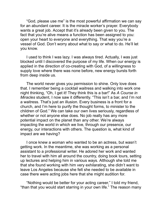"God, please use me" is the most powerful affirmation we can say for an abundant career. It is the miracle worker's prayer. Everybody wants a great job. Accept that it's already been given to you. The fact that you're alive means a function has been assigned to you: open your heart to everyone and everything. That way you're a vessel of God. Don't worry about what to say or what to do. He'll let you know.

I used to think I was lazy. I was always tired. Actually, I was just blocked until I discovered the purpose of my life. When our energy is applied in the direction of co-creating with God, of a willingness to supply love where there was none before, new energy bursts forth from deep inside us.

The world never gives you permission to shine. Only love does that. I remember being a cocktail waitress and walking into work one night thinking, "Oh, I get it! They think this is a bar!" As *A Course in Miracles* student, I now saw it differently. "This isn't a bar, and I'm not a waitress. That's just an illusion. Every business is a front for a church, and I'm here to purify the thought forms, to minister to the children of God." We can take our own lives seriously, regardless of whether or not anyone else does. No job really has any more potential impact on the planet than any other. We're always impacting the world in which we live, through our presence, our energy, our interactions with others. The question is, what kind of impact are we having?

I once knew a woman who wanted to be an actress, but wasn't getting work. In the meantime, she was working as a personal assistant to a professional writer. He adored her work and wanted her to travel with him all around the country, doing book tours, setting up lectures and helping him in various ways. Although she told me that she found working with him very exhilarating, she didn't want to leave Los Angeles because she felt she needed to be available in case there were acting jobs here that she might audition for.

"Nothing would be better for your acting career," I told my friend, "than that you would start starring in your own life." The reason many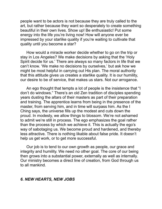people want to be actors is not because they are truly called to the art, but rather because they want so desperately to create something beautiful in their own lives. Show up! Be enthusiastic! Put some energy into the life you're living now! How will anyone ever be impressed by your starlike quality if you're waiting to cultivate that quality until you become a star?

How would a miracle worker decide whether to go on the trip or stay in Los Angeles? We make decisions by asking that the 'Holy Spirit decide for us.' There are always so many factors in life that we can't know. 'We make no decisions by ourselves,' but ask how we might be most helpful in carrying out His plan. The moral authority that this attitude gives us creates a starlike quality. It is our humility, our desire to be of service, that makes us stars. Not our arrogance.

An ego thought that tempts a lot of people is the insistence that "I don't do windows." There's an old Zen tradition of disciples spending years dusting the altars of their masters as part of their preparation and training. The apprentice learns from being in the presence of the master, from serving him, and in time will surpass him. As the I Ching says, the universe fills up the modest and cuts down the proud. In modesty, we allow things to blossom. We're not ashamed to admit we're still in process. The ego emphasizes the goal rather than the process by which we achieve it. This is actually the ego's way of sabotaging us. We become proud and hardened, and thereby less attractive. There is nothing likable about false pride. It doesn't help us get work, or to get more successful.

Our job is to tend to our own growth as people, our grace and integrity and humility. We need no other goal. The core of our being then grows into a substantial power, externally as well as internally. Our ministry becomes a direct line of creation, from God through us to all mankind.

### *6. NEW HEARTS, NEW JOBS*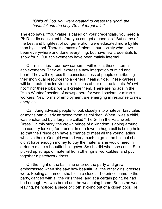"*Child of God, you were created to create the good, the beautiful and the holy. Do not forget this*."

The ego says, "Your value is based on your credentials. You need a Ph.D. or its equivalent before you can get a good job." But some of the best and brightest of our generation were educated more by life than by school. There's a mass of talent in our society who have been everywhere and done everything, but have few credentials to show for it. Our achievements have been mainly internal.

Our ministries—our new careers—will reflect these internal achievements. They will express a new integration of mind and heart. They will express the consciousness of people contributing their individual resources to a general healing tide. These careers will be created as individual reflections of our unique talents. We will not "find" these jobs; we will create them. There are no ads in the "Help Wanted" section of newspapers for world saviors or miracleworkers. New forms of employment are emerging in response to new energies.

Carl Jung advised people to look closely into whatever fairy tales or myths particularly attracted them as children. When I was a child, I was enchanted by a fairy tale called "The Girl in the Patchwork Dress." In this story, the crown prince of a kingdom is going around the country looking for a bride. In one town, a huge ball is being held so that the Prince can have a chance to meet all the young ladies who live there. One girl wanted very much to go to the ball but she didn't have enough money to buy the material she would need in order to make a beautiful ball gown. So she did what she could. She picked up scraps of material from other girls' worktables, and put together a patchwork dress.

On the night of the ball, she entered the party and grew embarrassed when she saw how beautiful all the other girls' dresses were. Feeling ashamed, she hid in a closet. The prince came to the party, danced with all the girls there, and at a certain point, he had had enough. He was bored and he was going home. But as he was leaving, he noticed a piece of cloth sticking out of a closet door. He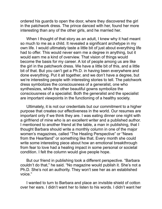ordered his guards to open the door, where they discovered the girl in the patchwork dress. The prince danced with her, found her more interesting than any of the other girls, and he married her.

When I thought of that story as an adult, I knew why it had meant so much to me as a child. It revealed a significant archetype in my own life. I would ultimately taste a little bit of just about everything life had to offer. This would never earn me a degree in anything, but it would earn me a kind of overview. That vision of things would become the basis for my career. A lot of people among us are like the girl in the patchwork dress. We have a little bit of this, and a little bit of that. But you can't get a Ph.D. in having been everywhere and done everything. Put it all together, and we don't have a degree, but we're interesting people with interesting stories to tell. The patchwork dress symbolizes the consciousness of a generalist, one who synthesizes, while the other beautiful gowns symbolize the consciousness of a specialist. Both the generalist and the specialist are important viewpoints in the functioning of a healthy society.

Ultimately, it is not our credentials but our commitment to a higher purpose that creates our effectiveness in the world. Our resumes are important only if we think they are. I was eating dinner one night with a girlfriend of mine who is an excellent writer and a published author. I mentioned to another friend at the table, a man in publishing, that I thought Barbara should write a monthly column in one of the major women's magazines, called "The Healing Perspective" or "News from the Heartland" or something like that. Every month she could write some interesting piece about how an emotional breakthrough from fear to love had a healing impact in some personal or societal condition. I felt the column would give people hope.

But our friend in publishing took a different perspective. "Barbara couldn't do that," he said. "No magazine would publish it. She's not a Ph.D. She's not an authority. They won't see her as an established voice."

I wanted to turn to Barbara and place an invisible shield of cotton over her ears. I didn't want her to listen to his words. I didn't want her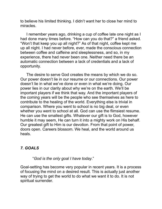to believe his limited thinking. I didn't want her to close her mind to miracles.

I remember years ago, drinking a cup of coffee late one night as I had done many times before. "How can you do that?" a friend asked. "Won't that keep you up all night?" As of that night, coffee kept me up all night. I had never before, ever, made the conscious connection between coffee and caffeine and sleeplessness, and so, in my experience, there had never been one. Neither need there be an automatic connection between a lack of credentials and a lack of opportunity.

The desire to serve God creates the means by which we do so. Our power doesn't lie in our resume or our connections. Our power doesn't lie in what we've done or even in what we're doing. Our power lies in our clarity about why we're on the earth. We'll be important players if we think that way. And the important players of the coming years will be the people who see themselves as here to contribute to the healing of the world. Everything else is trivial in comparison. Where you went to school is no big deal, or even whether you went to school at all. God can use the flimsiest resume. He can use the smallest gifts. Whatever our gift is to God, however humble it may seem, He can turn it into a mighty work on His behalf. Our greatest gift to Him is our devotion. From that point of power, doors open. Careers blossom. We heal, and the world around us heals.

# *7. GOALS*

"*God is the only goal I have today*."

Goal-setting has become very popular in recent years. It is a process of focusing the mind on a desired result. This is actually just another way of trying to get the world to do what we want it to do. It is not spiritual surrender.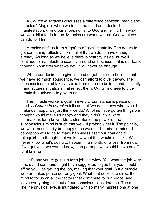*A Course in Miracles* discusses a difference between "magic and miracles." Magic is when we focus the mind on a desired manifestation, giving our shopping list to God and telling Him what we want Him to do for us. Miracles are when we ask God what we can do for Him.

Miracles shift us from a "get" to a "give" mentality. The desire to get something reflects a core belief that we don't have enough already. As long as we believe there is scarcity inside us, we'll continue to manufacture scarcity around us because that is our basic thought. No matter what we get, it will never be enough.

When our desire is to give instead of get, our core belief is that we have so much abundance, we can afford to give it away. The subconscious mind takes its clue from our core beliefs, and brilliantly manufactures situations that reflect them. Our willingness to give directs the universe to give to us.

The miracle worker's goal in every circumstance is peace of mind. *A Course in Miracles* tells us that 'we don't know what would make us happy; we just think we do.' All of us have gotten things we thought would make us happy and they didn't. If we write affirmations for a brown Mercedes Benz, the power of the subconscious mind is such that we will probably get it. The point is, we won't necessarily be happy once we do. The miracle-minded perception would be to make happiness itself our goal and to relinquish the thought that we know what that would look like. We never know what's going to happen in a month, or a year from now. If we got what we wanted now, then perhaps we would be worse off for it later on.

Let's say you're going in for a job interview. You want the job very much, and someone might have suggested to you that you should affirm you'll be getting the job, making that your goal. But a miracle worker makes peace our only goal. What that does is to direct the mind to focus on all the factors that contribute to our peace, and leave everything else out of our conscious consideration. The mind, like the physical eye, is inundated with so many impressions at one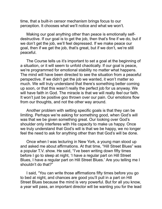time, that a built-in censor mechanism brings focus to our perception. It chooses what we'll notice and what we won't.

Making our goal anything other than peace is emotionally selfdestructive. If our goal is to get the job, then that's fine if we do, but if we don't get the job, we'll feel depressed. If we make peace our goal, then if we get the job, that's great, but if we don't, we're still peaceful.

The Course tells us it's important to set a goal at the beginning of a situation, or it will seem to unfold chaotically. If our goal is peace, we're programmed for emotional stability no matter what happens. The mind will have been directed to see the situation from a peaceful perspective. If we didn't get the job we wanted, it won't matter so much. We will truly understand that there's something better coming up soon, or that this wasn't really the perfect job for us anyway. We will have faith in God. The miracle is that we will really *feel* our faith. It won't just be positive goo thrown over our pain. Our emotions flow from our thoughts, and not the other way around.

Another problem with setting specific goals is that they can be limiting. Perhaps we're asking for something good, when God's will was that we be given something great. Our looking over God's shoulder only interferes with His capacity to make us happy. Once we truly understand that God's will is that we be happy, we no longer feel the need to ask for anything other than that God's will be done.

Once when I was lecturing in New York, a young man stood up and asked me about affirmations. At that time, "Hill Street Blues" was a popular T.V. show. He said, "I've been writing down fifty times before I go to sleep at night, 'I have a regular part on Hill Street Blues, I have a regular part on Hill Street Blues.' Are you telling me I shouldn't do that?"

I said, "You can write those affirmations fifty times before you go to bed at night, and chances are good you'll pull in a part on Hill Street Blues because the mind is very powerful. But for all you know, a year will pass, an important director will be wanting you for the lead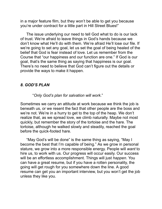in a major feature film, but they won't be able to get you because you're under contract for a little part in Hill Street Blues!"

The issue underlying our need to tell God what to do is our lack of trust. We're afraid to leave things in God's hands because we don't know what He'll do with them. We're afraid He'll lose our file. If we're going to set any goal, let us set the goal of being healed of the belief that God is fear instead of love. Let us remember from the Course that "our happiness and our function are one." If God is our goal, that's the same thing as saying that happiness is our goal. There's no need to believe that God can't figure out the details or provide the ways to make it happen.

### *8. GOD'S PLAN*

"*Only God's plan for salvation will work*."

Sometimes we carry an attitude at work because we think the job is beneath us, or we resent the fact that other people are the boss and we're not. We're in a hurry to get to the top of the heap. We don't realize that, as we spread love, we climb naturally. Maybe not most quickly, but remember the story of the tortoise and the hare. The tortoise, although he walked slowly and steadily, reached the goal before the quick-footed hare.

"May God's will be done" is the same thing as saying, "May I become the best that I'm capable of being." As we grow in personal stature, we grow into a more responsible energy. People will *want* to hire us, to work with us. Our progress will occur easily. Our success will be an effortless accomplishment. Things will just *happen*. You can have a great resume, but if you have a rotten personality, the going will get rough for you somewhere down the line. A good resume can get you an important interview, but you won't get the job unless they like you.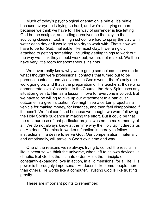Much of today's psychological orientation is brittle. It's brittle because everyone is trying so hard, and we're all trying so hard because we think we have to. The way of surrender is like letting God be the sculptor, and letting ourselves be the clay. In the sculpting classes I took in high school, we had to spray the clay with water each day or it would get too dry to work with. That's how we have to be for God: malleable, like moist clay. If we're rigidly attached to getting something, including getting things to work out the way we think they should work out, we are not relaxed. We then have very little room for spontaneous insights.

We never really know why we're going someplace. I have made what I thought were professional contacts that turned out to be personal contacts, and vice versa. In God's world, there's only one work going on, and that's the preparation of His teachers, those who demonstrate love. According to the Course, the Holy Spirit uses any situation given to Him as a lesson in love for everyone involved. But we have to be willing to give up our attachment to a particular outcome in a given situation. We might see a certain project as a vehicle for making money, for instance, and then feel disappointed if it doesn't. We feel confused because we thought we were following the Holy Spirit's guidance in making the effort. But it could be that the real purpose of that particular project was not to make money at all. We do not always know at the time why the Holy Spirit directs us as He does. The miracle worker's function is merely to follow instructions in a desire to serve God. Our compensation, materially and emotionally, will arrive in God's own time and way.

One of the reasons we're always trying to control the results in life is because we think the universe, when left to its own devices, is chaotic. But God is the ultimate order. He is the principle of constantly expanding love in action, in all dimensions, for all life. His power is thoroughly impersonal. He doesn't like some people more than others. He works like a computer. Trusting God is like trusting gravity.

These are important points to remember: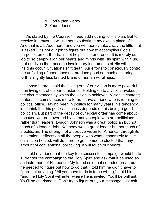- 1. God's plan works.
- 2. Yours doesn't.

As stated by the Course, "I need add nothing to His plan. But to receive it, I must be willing not to substitute my own in place of it. And that is all. Add more, and you will merely take away the little that is asked." It's not our job to figure out how to accomplish God's purposes on earth. That's not help; it's interference. It is merely our job to so deeply align our hearts and minds with His spirit within us, that our lives then become involuntary instruments of His will. Insights occur. Situations shift gear. Our efforts to consciously control the unfolding of good does not produce good so much as it brings forth a slightly less tainted brand of human wilfullness.

I have heard it said that living out of our vision is more powerful than living out of our circumstance. Holding on to a vision invokes the circumstances by which the vision is achieved. Vision is content; material circumstances mere form. I have a friend who is running for political office. Having been in politics for many years, his tendency is to think that his political success depends on his being a good politician. But part of the decay of our social order has come about because we are governed by so many people who are politicians rather than leaders. Lyndon Johnson was a great politician but not much of a leader. John Kennedy was a great leader but not much of a politician. The strength of a positive vision for America, through its inspirational effects on all the people who want desperately to see our nation healed, will do more to get someone elected than any amount of conventional politicking. It will touch our hearts.

I told my friend that the key to a successful campaign would be to surrender the campaign to the Holy Spirit and ask that it be used as an instrument of His peace. My friend said that sounded great, but he needed to figure out how to do that. I told him he didn't have to figure out anything. "All you have to do is to be willing," I told him, "and the Holy Spirit will enter where He is invited. You'll be brilliant. You'll be charismatic. Don't try to figure out your message; just ask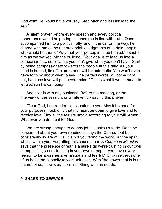God what He would have you say. Step back and let Him lead the way."

A silent prayer before every speech and every political appearance would help bring his energies in line with truth. Once I accompanied him to a political rally, and in the car on the way, he shared with me some understandable judgments of certain people who would be there. "Pray that your perceptions be healed," I said to him as we walked into the building. "Your goal is to lead us into a compassionate society, but you can't give what you don't have. Start by being compassionate towards the people at this rally. As your mind is healed, its effect on others will be automatic. You won't even have to think about what to say. The perfect words will come right out, because love will guide your mind." That's what it would mean to let God run his campaign.

And so it is with any business. Before the meeting, or the interview or the session, or whatever, try saying this prayer:

"Dear God, I surrender this situation to you. May it be used for your purposes. I ask only that my heart be open to give love and to receive love. May all the results unfold according to your will. Amen." Whatever you do, do it for God.

We are strong enough to do any job He asks us to do. Don't be concerned about your own readiness, says the Course, but be consistently aware of His. It is not you doing the work, but the spirit who is within you. Forgetting this causes fear. *A Course in Miracles* says that the presence of fear is a sure sign we're trusting in our own strength. "If you are trusting in your own strength, you have every reason to be apprehensive, anxious and fearful." Of ourselves, none of us have the capacity to work miracles. With 'the power that is in us but not of us,' however, there is nothing we can not do.

### *9. SALES TO SERVICE*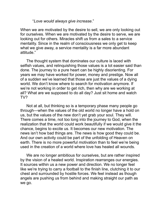"*Love would always give increase*."

When we are motivated by the desire to sell, we are only looking out for ourselves. When we are motivated by the desire to serve, we are looking out for others. Miracles shift us from a sales to a service mentality. Since in the realm of consciousness we only get to keep what we give away, a service mentality is a far more abundant attitude."

The thought system that dominates our culture is laced with selfish values, and relinquishing those values is a lot easier said than done. The journey to a pure heart can be highly disorienting. For years we may have worked for power, money and prestige. Now all of a sudden we've learned that those are just the values of a dying world. We don't know where to search for motivation anymore. If we're not working in order to get rich, then why are we working at all? What are we supposed to do all day? Just sit home and watch TV?

Not at all, but thinking so is a temporary phase many people go through—when the values of the old world no longer have a hold on us, but the values of the new don't yet grab your soul. They will. There comes a time, not too long into the journey to God, when the realization that the world could work beautifully if we would give it the chance, begins to excite us. It becomes our new motivation. The news isn't how bad things are. The news is how good they could be. And our own activity could be part of the unfolding of Heaven on earth. There is no more powerful motivation than to feel we're being used in the creation of a world where love has healed all wounds.

We are no longer ambitious for ourselves, but are rather inspired by the vision of a healed world. Inspiration rearranges our energies. It sources within us a new power and direction. We no longer feel like we're trying to carry a football to the finish line, clutching it to our chest and surrounded by hostile forces. We feel instead as though angels are pushing us from behind and making straight our path as we go.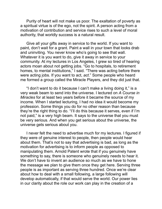Purity of heart will not make us poor. The exaltation of poverty as a spiritual virtue is of the ego, not the spirit. A person acting from a motivation of contribution and service rises to such a level of moral authority, that worldly success is a natural result.

Give all your gifts away in service to the world. If you want to paint, don't wait for a grant. Paint a wall in your town that looks drab and uninviting. You never know who's going to see that wall. Whatever it is you want to do, give it away in service to your community. At my lectures in Los Angeles, I grew so tired of hearing actors moan about not getting jobs. "Go to hospitals, to retirement homes, to mental institutions," I said. "There was acting before there were acting jobs. If you want to act, *act*." Some people who heard me formed a group called the Miracle Players, and they did just that.

"I don't want to do it because I can't make a living doing it," is a very weak beam to send into the universe. I lectured on *A Course in Miracles* for at least two years before it became the source of my income. When I started lecturing, I had no idea it would become my profession. Some things you do for no other reason than because they're the right thing to do. "I'll do this because it serves, even if I'm not paid," is a very high beam. It says to the universe that you must be very serious. And when you get serious about the universe, the universe gets serious about you.

I never felt the need to advertise much for my lectures. I figured if they were of genuine interest to people, then people would hear about them. That's not to say that advertising is bad, as long as the motivation for advertising is to inform people as opposed to manipulating them. Arnold Patent wrote that if you genuinely have something to say, there is someone who genuinely needs to hear it. We don't have to invent an audience so much as we have to hone the message we plan to give them once they get here. Serving three people is as important as serving three hundred. Once we're clear about how to deal with a small following, a large following will develop automatically, if that would serve the world. Our power lies in our clarity about the role our work can play in the creation of a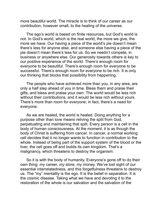more beautiful world. The miracle is to think of our career as our contribution, however small, to the healing of the universe.

The ego's world is based on finite resources, but God's world is not. In God's world, which is the real world, the more we give, the more we have. Our having a piece of the world's pie doesn't mean there's less for anyone else, and someone else having a piece of the pie doesn't mean there's less for us. So we needn't compete, in business or anywhere else. Our generosity towards others is key to our positive experience of the world. There's enough room for everyone to be beautiful. There's enough room for everyone to be successful. There's enough room for everyone to be rich. It is only our thinking that blocks that possibility from happening.

The people who have achieved more than you, in any area, are only a half step ahead of you in time. Bless them and praise their gifts, and bless and praise your own. The world would be less rich without their contributions, and it would be less rich without yours. There's more than room for everyone; in fact, there's a need for everyone.

As we are healed, the world is healed. Doing anything for a purpose other than love means reliving the split from God, perpetuating and maintaining that split. Every person is a cell in the body of human consciousness. At the moment, it is as though the body of Christ is suffering from cancer. In cancer, a normal working cell decides that it no longer wants to function in contribution to the whole. Instead of being part of the support system of the blood or the liver, the cell goes off and builds its own kingdom. That's a malignancy, which threatens to destroy the organism.

So it is with the body of humanity. Everyone's gone off to do their own thing: *my* career, *my* store, *my* money. We've lost sight of our essential interrelatedness, and this forgetfulness threatens to destroy us. The "my" mentality is the ego. It is the belief in separation. It is the cosmic disease. Taking what we have and devoting it to the restoration of the whole is our salvation and the salvation of the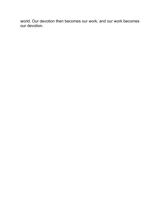world. Our devotion then becomes our work, and our work becomes our devotion.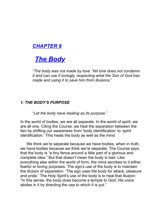# *[CHAPTER](#page-5-0) 8*

# *The [Body](#page-5-0)*

"*The body was not made by love. Yet love does not condemn it and can use it lovingly, respecting what the Son of God has made and using it to save him from illusions*."

## *1. THE BODY'S PURPOSE*

"*Let the body have healing as its purpose*."

In the world of bodies, we are all separate. In the world of spirit, we are all one. Citing the Course, we heal the separation between the two by shifting our awareness from 'body identification' to 'spirit identification.' This heals the body as well as the mind.

We think we're separate because we have bodies, when in truth, we have bodies because we think we're separate. The Course says that the body is "a tiny fence around a little part of a glorious and complete idea." But that doesn't mean the body is bad. Like everything else within the world of form, the mind ascribes to it either fearful or loving purposes. The ego's use of the body is to maintain the illusion of separation: 'The ego uses the body for attack, pleasure and pride.' The Holy Spirit's use of the body is to heal that illusion: "In this sense, the body does become a temple to God; His voice abides in it by directing the use to which it is put."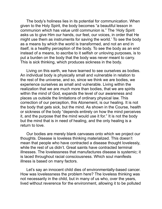The body's holiness lies in its potential for communication. When given to the Holy Spirit, the body becomes "a beautiful lesson in communion which has value until communion is." The 'Holy Spirit asks us to give Him our hands, our feet, our voices, in order that He might use them as instruments for saving the world.' To see the body as a means by which the world is transformed, and not an end in itself, is a healthy perception of the body. To see the body as an end instead of a means, to ascribe to it selfish or unloving purposes, is to put a burden on the body that the body was never meant to carry. This is sick thinking, which produces sickness in the body.

Living on this earth, we have learned to see ourselves as bodies. An individual body is physically small and vulnerable in relation to the rest of the universe, and so, since we think we are bodies, we experience ourselves as small and vulnerable. Living within the realization that we are much more than bodies, that we are spirits within the mind of God, expands the level of our awareness and places us outside the limitations of ordinary physical law. This correction of our perception, this Atonement, is our healing. It is not the body that gets sick, but the mind. As shown in the Course, health or sickness of the body "depends entirely on how the mind perceives it, and the purpose that the mind would use it for." It is not the body but the mind that is in need of healing, and the only healing is a return to love.

Our bodies are merely blank canvases onto which we project our thoughts. Disease is loveless thinking materialized. This doesn't mean that people who have contracted a disease thought lovelessly, while the rest of us didn't. Great saints have contracted terminal illnesses. The lovelessness that manufactures disease is systemic; it is laced throughout racial consciousness. Which soul manifests illness is based on many factors.

Let's say an innocent child dies of environmentally-based cancer. How was lovelessness the problem here? The loveless thinking was not necessarily in the child, but in many of us who, over the years, lived without reverence for the environment, allowing it to be polluted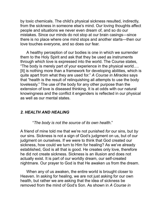by toxic chemicals. The child's physical sickness resulted, indirectly, from the sickness in someone else's mind. Our loving thoughts affect people and situations we never even dream of, and so do our mistakes. Since our minds do not stop at our brain casings—since there is no place where one mind stops and another starts—then our love touches everyone, and so does our fear.

A healthy perception of our bodies is one in which we surrender them to the Holy Spirit and ask that they be used as instruments through which love is expressed into the world. The Course states, "The body is merely part of your experience in the physical world…. [It] is nothing more than a framework for developing abilities, which is quite apart from what they are used for." *A Course in Miracles* says that "health is the result of relinquishing all attempts to use the body lovelessly." The use of the body for any other purpose than the extension of love is diseased thinking. It is at odds with our natural knowingness and the conflict it engenders is reflected in our physical as well as our mental states.

# *2. HEALTH AND HEALING*

### "*The body is not the source of its own health*."

A friend of mine told me that we're not punished *for* our sins, but *by* our sins. Sickness is not a sign of God's judgment on us, but of our judgment on ourselves. If we were to think that God created our sickness, how could we turn to Him for healing? As we've already established, God is all that is good. He creates only love, therefore he did not create sickness. Sickness is an illusion and does not actually exist. It is part of our worldly dream, our self-created nightmare. Our prayer to God is that He awaken us from the dream.

When any of us awaken, the entire world is brought closer to Heaven. In asking for healing, we are not just asking for our own health, but rather we are asking that the idea of sickness be removed from the mind of God's Son. As shown in *A Course in*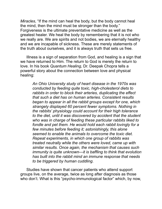*Miracles*, "If the mind can heal the body, but the body cannot heal the mind, then the mind must be stronger than the body." Forgiveness is the ultimate preventative medicine as well as the greatest healer. We heal the body by remembering that it is not who we really are. We are spirits and not bodies, we are eternally healthy and we are incapable of sickness. These are merely statements of the truth about ourselves, and it is always truth that sets us free.

Illness is a sign of separation from God, and healing is a sign that we have returned to Him. The return to God is merely the return to love. In his book *Quantum Healing*, Dr. Deepak Chopra tells a powerful story about the connection between love and physical healing:

> *An Ohio University study of heart disease in the 1970s was conducted by feeding quite toxic, high-cholesterol diets to rabbits in order to block their arteries, duplicating the effect that such a diet has on human arteries. Consistent results began to appear in all the rabbit groups except for one, which strangely displayed 60 percent fewer symptoms. Nothing in the rabbits' physiology could account for their high tolerance to the diet, until it was discovered by accident that the student who was in charge of feeding these particular rabbits liked to fondle and pet them. He would hold each rabbit lovingly for a few minutes before feeding it; astonishingly, this alone seemed to enable the animals to overcome the toxic diet. Repeat experiments, in which one group of rabbits was treated neutrally while the others were loved, came up with similar results. Once again, the mechanism that causes such immunity is quite unknown—it is baffling to think that evolution has built into the rabbit mind an immune response that needs to be triggered by human cuddling*.

Studies have shown that cancer patients who attend support groups live, on the average, twice as long after diagnosis as those who don't. What is this "psycho-immunological factor" which, by now,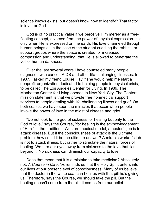science knows exists, but doesn't know how to identify? That factor is love, or God.

God is of no practical value if we perceive Him merely as a freefloating concept, divorced from the power of physical expression. It is only when He is expressed on the earth, His love channeled through human beings as in the case of the student cuddling the rabbits, or support groups where the space is created for increased compassion and understanding, that He is allowed to penetrate the veil of human darkness.

Over the last several years I have counseled many people diagnosed with cancer, AIDS and other life-challenging illnesses. In 1987, I asked my friend Louise Hay if she would help me start a nonprofit organization dedicated to helping people in physical crisis, to be called The Los Angeles Center for Living. In 1989, The Manhattan Center for Living opened in New York City. The Centers' mission statement is that we provide free nonmedical support services to people dealing with life-challenging illness and grief. On both coasts, we have seen the miracles that occur when people invoke the power of love in the midst of disease and grief.

"Do not look to the god of sickness for healing but only to the God of love," says the Course, "for healing is the acknowledgement of Him." In the traditional Western medical model, a healer's job is to attack disease. But if the consciousness of attack is the ultimate problem, how could it be the ultimate answer? A miracle worker's job is not to attack illness, but rather to stimulate the natural forces of healing. We turn our eyes away from sickness to the love that lies beyond it. No sickness can diminish our capacity to love.

Does that mean that it is a mistake to take medicine? Absolutely not. *A Course in Miracles* reminds us that the Holy Spirit enters into our lives at our present level of consciousness. Many of us believe that the doctor in the white coat can heal us with that pill he's giving us. Therefore, says the Course, we should take the pill. But the healing doesn't come from the pill. It comes from our belief.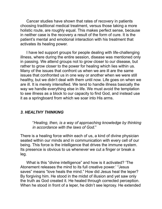Cancer studies have shown that rates of recovery in patients choosing traditional medical treatment, versus those taking a more holistic route, are roughly equal. This makes perfect sense, because in neither case is the recovery a result of the form of cure. It is the patient's mental and emotional interaction with his treatment that activates its healing power.

I have led support groups for people dealing with life-challenging illness, where during the entire session, disease was mentioned only in passing. We attend groups not to grow closer to our disease, but rather to grow closer to the power for healing which lies within us. Many of the issues that confront us when we are ill are the same issues that confronted us in one way or another when we were still healthy, but we didn't deal with them until now. Life goes on when we are ill. It is merely intensified. We tend to handle illness basically the way we handle everything else in life. We must avoid the temptation to see illness as a block to our capacity to find God, and instead use it as a springboard from which we soar into His arms.

# *3. HEALTHY THINKING*

"*Healing, then, is a way of approaching knowledge by thinking in accordance with the laws of God*."

There is a healing force within each of us, a kind of divine physician seated within our minds and in communication with every cell of our being. This force is the intelligence that drives the immune system. Its presence is obvious to us whenever we cut a finger or break a leg.

What is this "divine intelligence" and how is it activated? 'The Atonement releases the mind to its full creative power.' "Jesus saves" means "love heals the mind." How did Jesus heal the leper? By forgiving him. He stood in the midst of illusion and yet saw only the truth as God created it. He healed through corrected perception. When he stood in front of a leper, he didn't see leprosy. He extended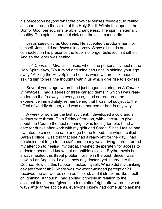his perception beyond what the physical senses revealed, to reality as seen through the vision of the Holy Spirit. Within the leper is the Son of God, perfect, unalterable, changeless. The spirit is eternally healthy. The spirit cannot get sick and the spirit cannot die.

Jesus sees only as God sees. He accepted the Atonement for himself. Jesus did not *believe* in leprosy. Since all minds are connected, in his presence the leper no longer believed in it either. And so the leper was healed.

In *A Course in Miracles*, Jesus, who is the personal symbol of the Holy Spirit, says, "Your mind and mine can unite in shining your ego away." Asking the Holy Spirit to heal us when we are sick means asking him to heal the thoughts within us which give rise to sickness.

Several years ago, when I had just begun lecturing on *A Course in Miracles*, I had a series of three car accidents in which I was rearended on the freeway. In every case, I had surrendered the experience immediately, remembering that I was not subject to the effect of worldly danger, and was not harmed or hurt in any way.

A week or so after the last accident, I developed a cold and a serious sore throat. On a Friday afternoon, with a lecture to give about the Course the next morning, I was feeling terrible. I had a date for drinks after work with my girlfriend Sarah. Since I felt so bad I wanted to cancel the date and go home to bed, but when I called Sarah's office I was told that she had already left for the day. I had no choice but to go to the café, and on my way driving there, I turned my attention to healing my throat. I wished desperately for access to a doctor, because I knew that an antibiotic called Erythromycin had always healed this throat problem for me in the past. Since I was new in Los Angeles, I didn't know any doctors yet. I turned to the Course. How did this happen, I asked myself. Where did my thinking deviate from truth? Where was my wrong-minded perception? I received the answer as soon as I asked, and it struck me like a bolt of lightning. Although I had applied principle in relation to the accident itself, I had "given into temptation" right afterwards. In what way? After three accidents, everyone I knew had come up to ask me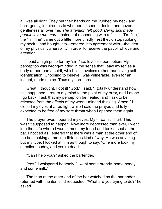if I was all right. They put their hands on me, rubbed my neck and back gently, inquired as to whether I'd seen a doctor, and oozed gentleness all over me. *The attention felt good. Being sick made people love me more*. Instead of responding with a full tilt, "I'm fine," the "I'm fine" came out a little more timidly, lest they'd stop rubbing my neck. I had bought into—entered into agreement with—the idea of my physical vulnerability in order to receive the payoff of love and attention.

I paid a high price for my "sin," i.e. loveless perception. My perception was wrong-minded in the sense that I saw myself as a body rather than a spirit, which is a loveless rather than loving selfidentification. Choosing to believe I was vulnerable, even for an instant, made me so. Thus my sore throat.

Great, I thought. I got it! "God," I said. "I totally understand how this happened. I return my mind to the point of my error, and I atone. I go back. I ask that my perception be healed, and I ask to be released from the effects of my wrong-minded thinking. Amen." I closed my eyes at a red light while I said the prayer, and fully expected to be free of my sore throat when I opened them again.

The prayer over, I opened my eyes. My throat still hurt. This wasn't supposed to happen. Now more depressed than ever, I went into the cafe where I was to meet my friend and took a seat at the bar. I noticed as I entered that there was a man at the other end of the bar, looking at me in a flirtatious kind of way. He was anything but my type. I looked at him as though to say, "One more look my direction, buddy, and you're dead."

"Can I help you?" asked the bartender.

"Yes," I whispered hoarsely. "I want some brandy, some honey and some milk."

The man at the other end of the bar watched as the bartender returned with the items I'd requested. "What are you trying to do?" he asked.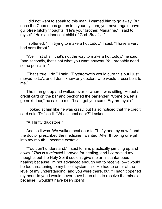I did not want to speak to this man. I wanted him to go away. But once the Course has gotten into your system, you never again have guilt-free bitchy thoughts. "He's your brother, Marianne," I said to myself. "He's an innocent child of God. *Be nice*."

I softened. "I'm trying to make a hot toddy," I said. "I have a very bad sore throat."

"Well first of all, that's not the way to make a hot toddy," he said, "and secondly, that's not what you want anyway. You probably need some penicillin."

"That's true, I do," I said, "Erythromycin would cure this but I just moved to L.A. and I don't know any doctors who would prescribe it to me."

The man got up and walked over to where I was sitting. He put a credit card on the bar and beckoned the bartender. "Come on, let's go next door," he said to me. "I can get you some Erythromycin."

I looked at him like he was crazy, but I also noticed that the credit card said "Dr." on it. "What's next door?" I asked.

"A Thrifty drugstore."

And so it was. We walked next door to Thrifty and my new friend the doctor prescribed the medicine I wanted. After throwing one pill into my mouth, I became ecstatic.

"You don't understand," I said to him, practically jumping up and down. "*This is a miracle*! I prayed for healing, and I corrected my thoughts but the Holy Spirit couldn't give me an instantaneous healing because I'm not advanced enough yet to receive it—it would be too threatening to my belief system—so He had to enter at the level of my understanding, and you were there, but if I hadn't opened my heart to you I would never have been able to receive the miracle because I wouldn't have been open!"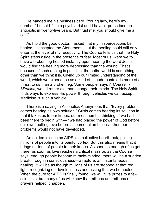He handed me his business card. "Young lady, here's my number," he said. "I'm a psychiatrist and I haven't prescribed an antibiotic in twenty-five years. But trust me, you should give me a call."

As I told the good doctor, I asked that my misperceptions be healed—I accepted the Atonement—but the healing could still only enter at the level of my receptivity. The Course tells us that the Holy Spirit steps aside in the presence of fear. Most of us, were we to have a broken leg healed instantly upon hearing the word Jesus, would find the healing more depressing than the wound. That's because, if such a thing is possible, the entire world is something other than we think it is. Giving up our limited understanding of the world, which we experience as a kind of pseudo-control, is more of a threat to us than a broken leg. Some people, says *A Course in Miracles*, would rather die than change their minds. The Holy Spirit finds ways to express His power through vehicles we can accept. Medicine is such a vehicle.

There is a saying in Alcoholics Anonymous that "Every problem comes bearing its own solution." Crisis comes bearing its solution in that it takes us to our knees, our most humble thinking. If we had been there to begin with—if we had placed the power of God before our own, putting love before all personal ambitions—then our problems would not have developed.

An epidemic such as AIDS is a collective heartbreak, pulling millions of people into its painful vortex. But this also means that it brings millions of people to their knees. As soon as enough of us get there, as soon as love reaches a critical mass or, as the Course says, enough people become miracle-minded, there will be a sudden breakthrough in consciousness—a rapture, an instantaneous healing. It will be as though millions of us are stopped at that red light, recognizing our lovelessness and asking that we be healed. When the cure for AIDS is finally found, we will give prizes to a few scientists, but many of us will know that millions and millions of prayers helped it happen.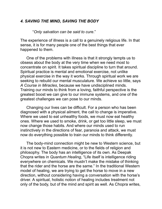### *4. SAVING THE MIND, SAVING THE BODY*

"*Only salvation can be said to cure*."

The experience of illness is a call to a genuinely religious life. In that sense, it is for many people one of the best things that ever happened to them.

One of the problems with illness is that it strongly tempts us to obsess about the body at the very time when we need most to concentrate on spirit. It takes spiritual discipline to turn that around. Spiritual practice is mental and emotional exercise, not unlike physical exercise in the way it works. Through spiritual work we are seeking to rebuild our mental musculature. We achieve so little, says *A Course in Miracles*, because we have undisciplined minds. Training our minds to think from a loving, faithful perspective is the greatest boost we can give to our immune systems, and one of the greatest challenges we can pose to our minds.

Changing our lives can be difficult. For a person who has been diagnosed with a physical ailment, the call to change is imperative. Where we used to eat unhealthy foods, we must now eat healthy ones. Where we used to smoke, drink, or get too little sleep, we must now change those habits. And where our minds used to run instinctively in the directions of fear, paranoia and attack, we must now do everything possible to train our minds to think differently.

The body-mind connection might be new to Western science, but it is not new to Eastern medicine, or to the fields of religion and philosophy. The body has an intelligence of its own. As Deepak Chopra writes in *Quantum Healing*, "Life itself is intelligence riding everywhere on chemicals. We mustn't make the mistake of thinking that the rider and the horse are the same." In the traditional Western model of healing, we are trying to get the horse to move in a new direction, without considering having a conversation with the horse's driver. A spiritual, holistic notion of healing includes treatment not only of the body, but of the mind and spirit as well. As Chopra writes,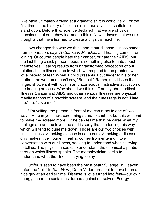"We have ultimately arrived at a dramatic shift in world view. For the first time in the history of science, mind has a visible scaffold to stand upon. Before this, science declared that we are physical machines that somehow learned to think. Now it dawns that we are thoughts that have learned to create a physical machine."

Love changes the way we think about our disease. Illness comes from separation, says *A Course in Miracles*, and healing comes from joining. Of course people hate their cancer, or hate their AIDS, but the last thing a sick person needs is something else to hate about themselves. Healing results from a transformed perception of our relationship to illness, one in which we respond to the problem with love instead of fear. When a child presents a cut finger to his or her mother, the woman doesn't say, "Bad cut." Rather, she kisses the finger, showers it with love in an unconscious, instinctive activation of the healing process. Why should we think differently about critical illness? Cancer and AIDS and other serious illnesses are physical manifestations of a psychic scream, and their message is not "Hate me," but "Love me."

If I'm yelling, the person in front of me can react in one of two ways. He can yell back, screaming at me to shut up, but this will tend to make me scream more. Or he can tell me that he cares what my feelings are and he loves me and is sorry that I'm feeling this way, which will tend to quiet me down. Those are our two choices with critical illness. Attacking disease is not a cure. Attacking a disease only makes it yell louder. Healing comes from entering into a conversation with our illness, seeking to understand what it's trying to tell us. The physician seeks to understand the chemical alphabet through which illness speaks. The metaphysician seeks to understand what the illness is trying to say.

Lucifer is seen to have been the most beautiful angel in Heaven before he "fell." In *Star Wars*, Darth Vader turns out to have been a nice guy at an earlier time. Disease is love turned into fear—our own energy, meant to sustain us, turned against ourselves. Energy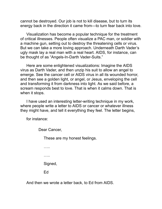cannot be destroyed. Our job is not to kill disease, but to turn its energy back in the direction it came from—to turn fear back into love.

Visualization has become a popular technique for the treatment of critical illnesses. People often visualize a PAC man, or soldier with a machine gun, setting out to destroy the threatening cells or virus. But we can take a more loving approach. Underneath Darth Vader's ugly mask lay a real man with a real heart. AIDS, for instance, can be thought of as "Angels-In-Darth Vader-Suits."

Here are some enlightened visualizations: Imagine the AIDS virus as Darth Vader, and then unzip his suit to allow an angel to emerge. See the cancer cell or AIDS virus in all its wounded horror, and then see a golden light, or angel, or Jesus, enveloping the cell and transforming it from darkness into light. As we said before, a scream responds best to love. That is when it calms down. That is when it stops.

I have used an interesting letter-writing technique in my work, where people write a letter to AIDS or cancer or whatever illness they might have, and tell it everything they feel. The letter begins,

for instance:

Dear Cancer,

These are my honest feelings.

….. …..

Signed,

Ed

And then we wrote a letter back, to Ed from AIDS.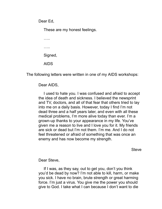Dear Ed,

These are my honest feelings.

….. ……… Signed, AIDS

The following letters were written in one of my AIDS workshops:

Dear AIDS,

I used to hate you. I was confused and afraid to accept the idea of death and sickness. I believed the newsprint and TV, doctors, and all of that fear that others tried to lay into me on a daily basis. However, today I find I'm not dead three and a half years later, and even with all these medical problems, I'm more alive today than ever. I'm a grown-up thanks to your appearance in my life. You've given me a reason to live and I love you for it. My friends are sick or dead but I'm not them. I'm me. And I do not feel threatened or afraid of something that was once an enemy and has now become my strength.

**Steve** 

Dear Steve,

If I was, as they say, out to get you, don't you think you'd be dead by now? I'm not able to kill, harm, or make you sick. I have no brain, brute strength or great harming force. I'm just a virus. You give me the power you should give to God. I take what I can because I don't want to die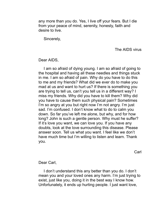any more than you do. Yes, I live off your fears. But I die from your peace of mind, serenity, honesty, faith and desire to live.

Sincerely,

The AIDS virus

#### Dear AIDS,

I am so afraid of dying young. I am so afraid of going to the hospital and having all these needles and things stuck in me. I am so afraid of pain. Why do you have to do this to me and my friends? What did we ever do to make you mad at us and want to hurt us? If there is something you are trying to tell us, can't you tell us in a different way? I miss my friends. Why did you have to kill them? Why did you have to cause them such physical pain? Sometimes I'm so angry at you but right now I'm not angry. I'm just sad. I'm confused. I don't know what to do to calm you down. So far you've left me alone, but why, and for how long? John is such a gentle person. Why must he suffer? If it's love you want, we can love you. If you have any doubts, look at the love surrounding this disease. Please answer soon. Tell us what you want. I feel like we don't have much time but I'm willing to listen and learn. Thank you.

**Carl** 

Dear Carl,

I don't understand this any better than you do. I don't mean you and your loved ones any harm. I'm just trying to exist, just like you, doing it in the best way I know how. Unfortunately, it ends up hurting people. I just want love,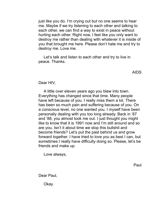just like you do. I'm crying out but no one seems to hear me. Maybe if we try listening to each other and talking to each other, we can find a way to exist in peace without hurting each other. Right now, I feel like you only want to destroy me rather than dealing with whatever it is inside of you that brought me here. Please don't hate me and try to destroy me. Love me.

Let's talk and listen to each other and try to live in peace. Thanks.

AIDS

Dear HIV,

A little over eleven years ago you blew into town. Everything has changed since that time. Many people have left because of you. I really miss them a lot. There has been so much pain and suffering because of you. On a conscious level, no one wanted you. I myself have been personally dealing with you too long already. Back in '87 and '88, you almost took me out. I just thought you might like to know that it is 1991 now and I'm still around and so are you. Isn't it about time we stop this bullshit and become friends? Let's put the past behind us and grow forward together. I have tried to love you as best I can, but sometimes I really have difficulty doing so. Please, let's be friends and make up.

Love always,

Paul

Dear Paul,

Okay.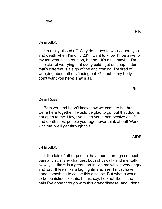Love,

Dear AIDS,

I'm really pissed off! Why do I have to worry about you and death when I'm only 26? I want to know I'll be alive for my ten-year class reunion, but no—it's a big maybe. I'm also sick of worrying that every cold I get or sleep pattern that's different is a sign of the end coming. I'm tired of worrying about others finding out. Get out of my body. I don't want you here! That's all.

Russ

Dear Russ,

Both you and I don't know how we came to be, but we're here together. I would be glad to go, but that door is not open to me. Hey, I've given you a perspective on life and death most people your age never think about! Work with me, we'll get through this.

AIDS

Dear AIDS,

I, like lots of other people, have been through so much pain and so many changes, both physically and mentally. Now, yes, there is a great part inside me who is very angry and sad. It feels like a big nightmare. Yes, I must have done something to cause this disease. But what a wound to be punished like this. I must say, I do not like all the pain I've gone through with this crazy disease, and I don't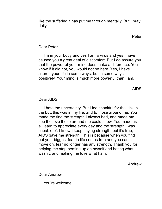like the suffering it has put me through mentally. But I pray daily.

Peter

Dear Peter,

I'm in your body and yes I am a virus and yes I have caused you a great deal of discomfort. But I do assure you that the power of your mind does make a difference. You know if it did not, you would not be here. Yes, I have altered your life in some ways, but in some ways positively. Your mind is much more powerful than I am.

AIDS

Dear AIDS,

I hate the uncertainty. But I feel thankful for the kick in the butt this was in my life, and to those around me. You made me find the strength I always had, and made me see the love those around me could show. You made us all learn to appreciate every day and the strength I was capable of. I know I keep saying strength, but it's true, AIDS gave me strength. This is because when you find out your biggest fear in life comes true and you can still move on, fear no longer has any strength. Thank you for helping me stop beating up on myself and hating what I wasn't, and making me love what I am.

Andrew

Dear Andrew,

You're welcome.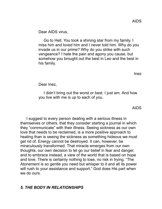Dear AIDS virus,

Go to Hell. You took a shining star from my family. I miss him and loved him and I never told him. Why do you invade us in our prime? Why do you strike with such vengeance? I hate the pain and agony you cause, but somehow you brought out the best in Leo and the best in his family.

Dear Inez,

I didn't bring out the worst or best. I just am. And how you live with me is up to each of you.

AIDS

I suggest to every person dealing with a serious illness in themselves or others, that they consider starting a journal in which they "communicate" with their illness. Seeing sickness as our own love that needs to be reclaimed, is a more positive approach to healing than is seeing the sickness as something hideous we must get rid of. Energy cannot be destroyed. It can, however, be miraculously transformed. That miracle emerges from our own thoughts, our own decision to let go our belief in fear and danger, and to embrace instead, a view of the world that is based on hope and love. There is certainly nothing to lose, no risk in trying. "The Atonement is so gentle you need but whisper to it and all its power will rush to your assistance and support." God does His part when we do ours.

## *5. THE BODY IN RELATIONSHIPS*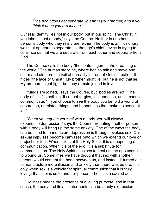"*The body does not separate you from your brother, and if you think it does you are insane*."

Our real identity lies not in our body, but in our spirit. "The Christ in you inhabits not a body," says the Course. Neither is another person's body who they really are, either. The body is an illusionary wall that appears to separate us, the ego's chief device in trying to convince us that we are separate from each other and separate from God.

The Course calls the body "the central figure in the dreaming of the world." The human storyline, where bodies talk and move and suffer and die, forms a veil of unreality in front of God's creation. It hides "the face of Christ." My brother might lie, but he is not that lie. My brothers might fight, but they remain joined in love.

"Minds are joined," says the Course, but "bodies are not." The body of itself is nothing. It cannot forgive, it cannot see, and it cannot communicate. "If you choose to see the body you behold a world of separation, unrelated things, and happenings that make no sense at all."

"When you equate yourself with a body, you will always experience depression," says the Course. Equating another person with a body will bring up the same anxiety. One of the ways the body can be used to manufacture depression is through loveless sex. Our sexual impulses become canvases onto which we extend our love or project our fear. When sex is of the Holy Spirit, it is a deepening of communication. When it is of the ego, it is a substitute for communication. The Holy Spirit uses sex to heal us; the ego uses it to wound us. Sometimes we have thought that sex with another person would cement the bond between us, and instead it turned out to manufacture more illusion and anxiety than there was before. It is only when sex is a vehicle for spiritual communion that it is truly loving, that it joins us to another person. Then it is a sacred act.

Holiness means the presence of a loving purpose, and in that sense, the body and its accouterments can be a holy expression.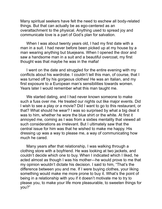Many spiritual seekers have felt the need to eschew all body-related things. But that can actually be as ego-centered as an overattachment to the physical. Anything used to spread joy and communicate love is a part of God's plan for salvation.

When I was about twenty years old, I had my first date with a man in a suit. I had never before been picked up at my house by a man wearing anything but bluejeans. When I opened the door and saw a handsome man in a suit and a beautiful overcoat, my first thought was that maybe he was in the mafia!

I went on the date and struggled for the entire evening with my conflicts about his wardrobe. I couldn't tell this man, of course, that I was turned off by his gorgeous clothes! He was an Italian, and my first exposure to a European man's sensibilities towards women. Years later I would remember what this man taught me.

We started dating, and I had never known someone to make such a fuss over me. He treated our nights out like major events. Did I wish to see a play or a movie? Did I want to go to this restaurant, or that? What should he wear? I was so surprised by what a big deal it was to him, whether he wore the blue shirt or the white. At first it annoyed me, coming as I was from a sixties mentality that viewed all such considerations as irrelevant. But I ultimately saw that the central issue for him was that he wished to make me happy. His dressing up was a way to please me, a way of communicating how much he cared.

Many years after that relationship, I was walking through a clothing store with a boyfriend. He was looking at two jackets, and couldn't decide which one to buy. When I indicated which I liked, he acted almost as though I was his mother—he would prove to me that my opinion wouldn't dictate his decision. I said to him, "That's the difference between you and me. If I were buying clothes, your liking something would make me more prone to buy it. What's the point of being in a relationship with you if it doesn't motivate me to try to please you, to make your life more pleasurable, to sweeten things for you?"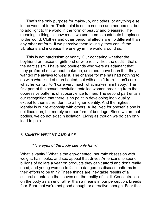That's the only purpose for make-up, or clothes, or anything else in the world of form. Their point is not to seduce another person, but to add light to the world in the form of beauty and pleasure. The meaning in things is how much we use them to contribute happiness to the world. Clothes and other personal effects are no different than any other art form. If we perceive them lovingly, they can lift the vibrations and increase the energy in the world around us.

This is not narcissism or vanity. Our *not* caring whether the boyfriend or husband, girlfriend or wife really likes the outfit—that's the narcissism. I have had boyfriends who were as adamant that they preferred me without make-up, as others have been that they wanted me always to wear it. The change for me has had nothing to do with what kind of men I dated, but with a shift from "I don't care what he wants," to "I care very much what makes him happy." The first part of the sexual revolution entailed women breaking from the oppressive patterns of subservience to men. The second part entails our recognition that there is no point in developing individuality except to then surrender it to a higher identity. And the highest identity is our relationship with others. A life lived for oneself alone is not liberation, but merely another form of bondage. Since we are not bodies, we do not exist in isolation. Living as though we do can only lead to pain.

## *6. VANITY, WEIGHT AND AGE*

"*The eyes of the body see only form*."

What is vanity? What is the ego-oriented, neurotic obsession with weight, hair, looks, and sex appeal that drives Americans to spend billions of dollars a year on products they can't afford and don't really need, and young women to fall into dangerous disease patterns in their efforts to be thin? These things are inevitable results of a cultural orientation that leaves out the reality of spirit. Concentration on the body as an end rather than a means in our perception, breeds fear. Fear that we're not good enough or attractive enough. Fear that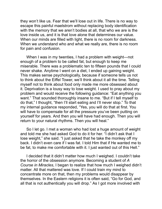they won't like us. Fear that we'll lose out in life. There is no way to escape this painful maelstrom without replacing body identification with the memory that we aren't bodies at all, that who we are is the love inside us, and it is that love alone that determines our value. When our minds are filled with light, there is no room for darkness. When we understand who and what we really are, there is no room for pain and confusion.

When I was in my twenties, I had a problem with weight—not enough of a problem to be called fat, but enough to keep me miserable. There was a problematic ten to fifteen pounds that I could never shake. Anytime I went on a diet, I ended up gaining weight. This makes sense psychologically, because if someone tells us not to think about the Eiffel Tower, we'll think about it all the time. Telling myself not to think about food only made me more obsessed about it. Deprivation is a lousy way to lose weight. I used to pray about my problem and would receive the following guidance: "Eat anything you want." That sounded thoroughly insane to me. "But if I tell myself to do that," I thought, "then I'll start eating and I'll never stop." To that my internal guidance responded, "Yes, you will do that at first. You will have to compensate for all the pressure you've been putting on yourself for years. And then you will have had enough. Then you will return to your natural rhythms. Then you will heal."

So I let go. I met a woman who had lost a huge amount of weight and told me she had asked God to do it for her. "I didn't ask that I lose weight," she said. "I just asked that he take the monkey off my back. I didn't even care if I was fat. I told Him that if He wanted me to be fat, to make me comfortable with it. I just wanted out of this Hell."

I decided that it didn't matter how much I weighed. I couldn't take the horror of the obsession anymore. Becoming a student of *A Course in Miracles*, I began to realize that how much I weighed didn't matter. All that mattered was love. If I could train my mind to concentrate more on that, then my problems would disappear by themselves. In the Eastern religions it is often said, "Go for God, and all that is not authentically you will drop." As I got more involved with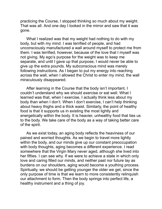practicing the Course, I stopped thinking so much about my weight. That was all. And one day I looked in the mirror and saw that it was gone.

What I realized was that my weight had nothing to do with my body, but with my mind. I was terrified of people, and had unconsciously manufactured a wall around myself to protect me from them. I was terrified, however, because of the love that I myself was not giving. My ego's purpose for the weight was to keep me separate, and until I gave up that purpose, I would never be able to give up the extra pounds. My subconscious mind was merely following instructions. As I began to put my energy into reaching across the wall, when I allowed the Christ to enter my mind, the wall miraculously disappeared.

After learning in the Course that the body isn't important, I couldn't understand why we should exercise or eat well. What I learned was that, when I exercise, I actually think less about my body than when I don't. When I don't exercise, I can't help thinking about heavy thighs and a thick waist. Similarly, the point of healthy food is that it supports us in existing the most lightly and energetically within the body. It is heavier, unhealthy food that ties us to the body. We take care of the body as a way of taking better care of the spirit.

As we exist today, an aging body reflects the heaviness of our pained and worried thoughts. As we begin to travel more lightly within the body, and our minds give up our constant preoccupation with body thoughts, aging becomes a different experience. I read somewhere that the Virgin Mary never aged, although she lived into her fifties. I can see why. If we were to achieve a state in which only love and caring filled our minds, and neither past nor future lay as burdens on our shoulders, aging would become a youthing process. Spiritually, we should be getting younger the older we get, since the only purpose of time is that we learn to more consistently relinquish our attachment to form. Then the body springs into perfect life, a healthy instrument and a thing of joy.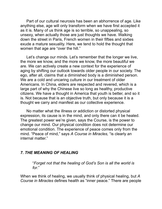Part of our cultural neurosis has been an abhorrence of age. Like anything else, age will only transform when we have first accepted it as it is. Many of us think age is so terrible, so unappealing, so unsexy, when actually those are just thoughts we have. Walking down the street in Paris, French women in their fifties and sixties exude a mature sexuality. Here, we tend to hold the thought that women that age are "over the hill."

Let's change our minds. Let's remember that the longer we live, the more we know, and the more we know, the more beautiful we are. We can actively create a new context for the experience of aging by shifting our outlook towards older people in our society. The ego, after all, claims that a diminished body is a diminished person. We are a cold and uncaring culture in our treatment of older Americans. In China, elders are respected and revered, which is a large part of why the Chinese live so long as healthy, productive citizens. We have a thought in America that youth is better, and so it is. Not because that is an objective truth, but only because it is a thought we carry and manifest as our collective experience.

No matter what the illness or addiction or distorted physical expression, its cause is in the mind, and only there can it be healed. The greatest power we're given, says the Course, is the power to change our mind. Our physical condition does not determine our emotional condition. The experience of peace comes only from the mind. "Peace of mind," says *A Course in Miracles,* "is clearly an internal matter."

#### *7. THE MEANING OF HEALING*

"*Forget not that the healing of God's Son is all the world is for*."

When we think of healing, we usually think of physical healing, but *A Course in Miracles* defines health as "inner peace." There are people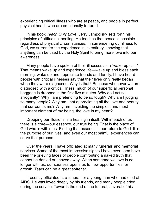experiencing critical illness who are at peace, and people in perfect physical health who are emotionally tortured.

In his book *Teach Only Love*, Jerry Jampolsky sets forth his principles of attitudinal healing. He teaches that peace is possible regardless of physical circumstances. In surrendering our illness to God, we surrender the experience in its entirety, knowing that anything can be used by the Holy Spirit to bring more love into our awareness.

Many people have spoken of their illnesses as a "wake-up call." That means wake up and experience life—wake up and bless each morning, wake up and appreciate friends and family. I have heard people with critical illnesses say that their lives only really began when they were diagnosed. Why is that? Because whenever we are diagnosed with a critical illness, much of our superficial personal baggage is dropped in the first five minutes. Why do I act so arrogantly? Why I am pretending to be so tough? Why am I judging so many people? Why am I not appreciating all the love and beauty that surrounds me? Why am I avoiding the simplest and most important element of my being, the love in my heart?

Dropping our illusions is a healing in itself. Within each of us there is a core—our essence, our true being. That is the place of God who is within us. Finding that essence is our return to God. It is the purpose of our lives, and even our most painful experiences can serve that purpose.

Over the years, I have officiated at many funerals and memorial services. Some of the most impressive sights I have ever seen have been the grieving faces of people confronting a naked truth that cannot be denied or shoved away. When someone we love is no longer with us, our sadness opens us to new opportunities for growth. Tears can be a great softener.

I recently officiated at a funeral for a young man who had died of AIDS. He was loved deeply by his friends, and many people cried during the service. Towards the end of the funeral, several of his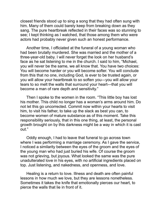closest friends stood up to sing a song that they had often sung with him. Many of them could barely keep from breaking down as they sang. The pure heartbreak reflected in their faces was so stunning to see; I kept thinking as I watched, that those among them who were actors had probably never given such an honest performance.

Another time, I officiated at the funeral of a young woman who had been brutally murdered. She was married and the mother of a three-year-old baby. I will never forget the look on her husband's face as he sat listening to me in the church. I said to him, "Michael, you will never be the same, we all know that. You have two choices: You will become harder or you will become softer. You will conclude from this that no one, including God, is ever to be trusted again, or you will allow your heartbreak to so soften you—you will allow your tears to so melt the walls that surround your heart—that you will become a man of rare depth and sensitivity."

Then I spoke to the women in the room. "This little boy has lost his mother. This child no longer has a woman's arms around him. Do not let this go uncorrected. Commit now within your hearts to visit him, to visit his father, to take up the slack as best you can, to become women of mature substance as of this moment. Take this responsibility seriously, that in this one thing, at least, the personal growth brought on by this darkness might be a way in which it is cast out."

Oddly enough, I had to leave that funeral to go across town where I was performing a marriage ceremony. As I gave the service, I noticed a similarity between the eyes of the groom and the eyes of the young man who had just buried his wife. Of course the groom was not grieving, but joyous. What looked the same was the pure unadulterated love in his eyes, with no artificial ingredients placed on top. Just listening, and nakedness, and openness, and love.

Healing is a return to love. Illness and death are often painful lessons in how much we love, but they are lessons nonetheless. Sometimes it takes the knife that emotionally pierces our heart, to pierce the walls that lie in front of it.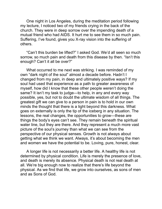One night in Los Angeles, during the meditation period following my lecture, I noticed two of my friends crying in the back of the church. They were in deep sorrow over the impending death of a mutual friend who had AIDS. It hurt me to see them in so much pain. Suffering, I've found, gives you X-ray vision into the suffering of others.

"Can't this burden be lifted?" I asked God. We'd all seen so much sorrow, so much pain and death from this disease by then. "Isn't this enough? Can't it all be over?"

What occurred to me next was striking. I was reminded of my own "dark night of the soul" almost a decade before. Hadn't I changed from my pain, in deep and ultimately positive ways? If my soul had used that experience as a path to greater awareness of myself, how did I know that these other people weren't doing the same? It isn't my task to judge—to help, in any and every way possible, yes, but not to doubt the ultimate wisdom of all things. The greatest gift we can give to a person in pain is to hold in our own minds the thought that there is a light beyond this darkness. What goes on externally is only the tip of the iceberg in any situation. The lessons, the real changes, the opportunities to grow—these are things the body's eyes can't see. They remain beneath the spiritual water line, but they are there. And they represent a much more vast picture of the soul's journey than what we can see from the perspective of our physical senses. Growth is not always about getting what we think we want. Always, it's about becoming the men and women we have the potential to be. Loving, pure, honest, clear.

A longer life is not necessarily a better life. A healthy life is not determined by physical condition. Life is merely the presence of love, and death is merely its absence. Physical death is not real death at all. We're big enough now to realize that there's life beyond the physical. As we find that life, we grow into ourselves, as sons of men and as Sons of God.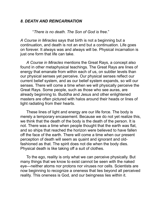#### *8. DEATH AND REINCARNATION*

"*There is no death. The Son of God is free*."

*A Course in Miracles* says that birth is not a beginning but a continuation, and death is not an end but a continuation. Life goes on forever. It always was and always will be. Physical incarnation is just one form that life can take.

*A Course in Miracles* mentions the Great Rays, a concept also found in other metaphysical teachings. The Great Rays are lines of energy that emanate from within each of us, on subtler levels than our physical senses yet perceive. Our physical senses reflect our current belief system, and as our belief system expands, so will our senses. There will come a time when we will physically perceive the Great Rays. Some people, such as those who see auras, are already beginning to. Buddha and Jesus and other enlightened masters are often pictured with halos around their heads or lines of light radiating from their hearts.

These lines of light and energy are our life force. The body is merely a temporary encasement. Because we do not yet realize this, we think that the death of the body is the death of the person. It is not. There was a time when people thought that the earth was flat, and so ships that reached the horizon were believed to have fallen off the face of the earth. There will come a time when our present perception of death will seem as quaint and ignorant and oldfashioned as that. The spirit does not die when the body dies. Physical death is like taking off a suit of clothes.

To the ego, reality is only what we can perceive physically. But many things that we know to exist cannot be seen with the naked eye—neither atoms nor protons nor viruses nor cells. Scientists are now beginning to recognize a oneness that lies beyond all perceived reality. This oneness is God, and our beingness lies within it.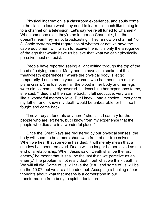Physical incarnation is a classroom experience, and souls come to the class to learn what they need to learn. It's much like tuning in to a channel on a television. Let's say we're all tuned to Channel 4. When someone dies, they're no longer on Channel 4, but that doesn't mean they're not broadcasting. They're now on channel 7 or 8. Cable systems exist regardless of whether or not we have the cable equipment with which to receive them. It is only the arrogance of the ego that would have us believe that what we can't physically perceive must not exist.

People have reported seeing a light exiting through the top of the head of a dying person. Many people have also spoken of their "near-death experiences," where the physical body is let go temporarily. I once met a young woman who had been in a major plane crash. She lost over half the blood in her body and her legs were almost completely severed. In describing her experience to me, she said, "I died and then came back. It felt seductive, very warm, like a wonderful motherly love. But I knew I had a choice. I thought of my father, and I knew my death would be unbearable for him, so I fought and came back.

"I never cry at funerals anymore," she said. I can cry for the people who are left here, but I know from my experience that the people who died are in a wonderful place."

Once the Great Rays are registered by our physical senses, the body will seem to be a mere shadow in front of our true selves. When we hear that someone has died, it will merely mean that a shadow has been removed. Death will no longer be perceived as the end of a relationship. When Jesus said, 'Death shall be the last enemy,' he meant that 'it shall be the last thing we perceive as an enemy.' The problem is not really death, but what we think death is. We will all die. Some of us will take the 9:30, and some of us will be on the 10:07, but we are all headed out. Accepting a healing of our thoughts about what that means is a cornerstone in our transformation from body to spirit orientation.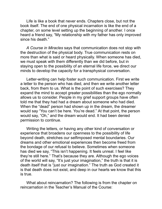Life is like a book that never ends. Chapters close, but not the book itself. The end of one physical incarnation is like the end of a chapter, on some level setting up the beginning of another. I once heard a friend say, "My relationship with my father has only improved since his death."

*A Course in Miracles* says that communication does not stop with the destruction of the physical body. True communication rests on more than what is said or heard physically. When someone has died, we must speak with them differently than we did before, but in staying open to the possibility of an eternal life force, we direct our minds to develop the capacity for a transphysical conversation.

Letter-writing can help foster such communication. First we write a letter to the person who has died, and then we write another letter back, from them to us. What is the point of such exercises? They expand the mind to accept greater possibilities than the ego normally allows us to consider. People in my grief support groups have often told me that they had had a dream about someone who had died. When the "dead" person had shown up in the dream, the dreamer would say "You can't be here. You're dead." At that point, the person would say, "Oh," and the dream would end. It had been denied permission to continue.

Writing the letters, or having any other kind of conversation or experience that broadens our openness to the possibility of life beyond death, stretches our selfimposed mental boundaries. Our dreams and other emotional experiences then become freed from the bondage of our refusal to believe. Sometimes when someone has died we say, "This isn't happening. It feels unreal. I feel like they're still here." That's because they are. Although the ego voices of the world will say, "It's just your imagination," the truth is that it is death itself that is "just our imagination." The truth as God created it is that death does not exist, and deep in our hearts we know that this is true.

What about reincarnation? The following is from the chapter on reincarnation in the Teacher's Manual of the Course: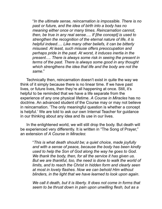"*In the ultimate sense, reincarnation is impossible. There is no past or future, and the idea of birth into a body has no meaning either once or many times. Reincarnation cannot, then, be true in any real sense…. If [the concept] is used to strengthen the recognition of the eternal nature of life, it is helpful indeed…. Like many other beliefs, it can be bitterly misused. At least, such misuse offers preoccupation and perhaps pride in the past. At worst, it induces inertia in the present…. There is always some risk in seeing the present in terms of the past. There is always some good in any thought which strengthens the idea that life and the body are not the same*."

Technically then, reincarnation doesn't exist in quite the way we think of it simply because there is no linear time. If we have past lives, or future lives, then they're all happening at once. Still, it's helpful to be reminded that we have a life separate from the experience of any one physical lifetime. *A Course in Miracles* has no doctrine. An advanced student of the Course may or may not believe in reincarnation. 'The only meaningful question is whether a concept is helpful.' We are told to ask our own Internal Teacher for guidance in our thinking about any idea and its use in our lives.

In the enlightened world, we will still drop the body. But death will be experienced very differently. It is written in "The Song of Prayer," an extension of *A Course in Miracles*:

> "*This is what death should be; a quiet choice, made joyfully and with a sense of peace, because the body has been kindly used to help the Son of God along the way he goes to God. We thank the body, then, for all the service it has given us. But we are thankful, too, the need is done to walk the world of limits, and to reach the Christ in hidden form and clearly seen at most in lovely flashes. Now we can behold Him without blinders, in the light that we have learned to look upon again*.

> *We call it death, but it is liberty. It does not come in forms that seem to be thrust down in pain upon unwilling flesh, but as a*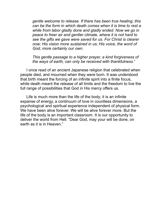*gentle welcome to release. If there has been true healing, this can be the form in which death comes when it is time to rest a while from labor gladly done and gladly ended. Now we go in peace to freer air and gentler climate, where it is not hard to see the gifts we gave were saved for us. For Christ is clearer now; His vision more sustained in us; His voice, the word of God, more certainly our own*.

*This gentle passage to a higher prayer, a kind forgiveness of the ways of earth, can only be received with thankfulness*."

I once read of an ancient Japanese religion that celebrated when people died, and mourned when they were born. It was understood that birth meant the forcing of an infinite spirit into a finite focus, while death meant the release of all limits and the freedom to live the full range of possibilities that God in His mercy offers us.

Life is much more than the life of the body; it is an infinite expanse of energy, a continuum of love in countless dimensions, a psychological and spiritual experience independent of physical form. We have been alive forever. We will be alive forever more. But the life of the body is an important classroom. It is our opportunity to deliver the world from Hell. "Dear God, may your will be done, on earth as it is in Heaven."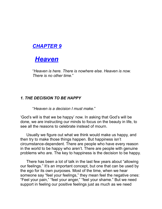# *[CHAPTER](#page-5-0) 9*

# *[Heaven](#page-5-0)*

"*Heaven is here. There is nowhere else. Heaven is now. There is no other time*."

#### *1. THE DECISION TO BE HAPPY*

"*Heaven is a decision I must make*."

'God's will is that we be happy' now. In asking that God's will be done, we are instructing our minds to focus on the beauty in life, to see all the reasons to celebrate instead of mourn.

Usually we figure out what we think would make us happy, and then try to make those things happen. But happiness isn't circumstance-dependent. There are people who have every reason in the world to be happy who aren't. There are people with genuine problems who are. The key to happiness is the decision to be happy.

There has been a lot of talk in the last few years about "allowing our feelings." It's an important concept, but one that can be used by the ego for its own purposes. Most of the time, when we hear someone say "feel your feelings," they mean feel the negative ones: "Feel your pain," "feel your anger," "feel your shame." But we need support in feeling our positive feelings just as much as we need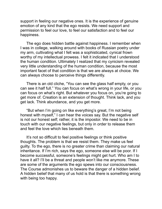support in feeling our negative ones. It is the experience of genuine emotion of any kind that the ego resists. We need support and permission to feel our love, to feel our satisfaction and to feel our happiness.

The ego does hidden battle against happiness. I remember when I was in college, walking around with books of Russian poetry under my arm, cultivating what I felt was a sophisticated, cynical frown worthy of my intellectual prowess. I felt it indicated that I understood the human condition. Ultimately I realized that my cynicism revealed very little understanding of the human condition, because the most important facet of that condition is that we are always at choice. We can always choose to perceive things differently.

There is an old cliche, "You can see the glass half empty, or you can see it half full." You can focus on what's wrong in your life, or you can focus on what's right. But whatever you focus on, you're going to get more of. Creation is an extension of thought. Think lack, and you get lack. Think abundance, and you get more.

"But when I'm going on like everything's great, I'm not being honest with myself," I can hear the voices say. But the negative self is not our honest self; rather, it is the impostor. We need to be in touch with our negative feelings, but only in order to release them and feel the love which lies beneath them.

It's not so difficult to feel positive feelings or think positive thoughts. The problem is that we resist them. They make us feel guilty. To the ego, there is no greater crime than claiming our natural inheritance. If I'm rich, says the ego, someone else will be poor. If I become successful, someone's feelings might get hurt. Who am I to have it all? I'll be a threat and people won't like me anymore. These are some of the arguments the ego spews into our consciousness. The Course admonishes us to beware the danger of a hidden belief. A hidden belief that many of us hold is that there is something wrong with being too happy.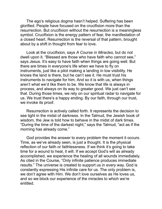The ego's religious dogma hasn't helped. Suffering has been glorified. People have focused on the crucifixion more than the resurrection. But crucifixion without the resurrection is a meaningless symbol. Crucifixion is the energy pattern of fear, the manifestation of a closed heart. Resurrection is the reversal of that pattern, brought about by a shift in thought from fear to love.

Look at the crucifixion, says *A Course in Miracles*, but do not dwell upon it. "Blessed are those who have faith who cannot see," says Jesus. It's easy to have faith when things are going well. But there are times in everyone's life when we have to fly on instruments, just like a pilot making a landing in low visibility. He knows the land is there, but he can't see it. He must trust his instruments to navigate for him. And so it is with us, when things aren't what we'd like them to be. We know that life is always in process, and always on its way to greater good. We just can't see that. During those times, we rely on our spiritual radar to navigate for us. We trust there's a happy ending. By our faith, through our trust, we invoke its proof.

Resurrection is actively called forth. It represents the decision to see light in the midst of darkness. In the Talmud, the Jewish book of wisdom, the Jew is told how to behave in the midst of dark times. "During the time of the darkest night," says the Talmud, "act as if the morning has already come."

God provides the answer to every problem the moment it occurs. Time, as we've already seen, is just a thought. It is the physical reflection of our faith or faithlessness. If we think it's going to take time for a wound to heal, it will. If we accept God's will as already accomplished, we experience the healing of all wounds immediately. As cited in the Course, "Only infinite patience produces immediate results." The universe is created to support us in every way. God is constantly expressing His infinite care for us. The only problem is, we don't agree with Him. We don't love ourselves as He loves us, and so we block our experience of the miracles to which we're entitled.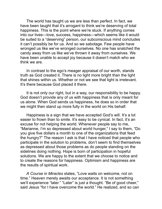The world has taught us we are less than perfect. In fact, we have been taught that it's arrogant to think we're deserving of total happiness. This is the point where we're stuck. If anything comes into our lives—love, success, happiness—which seems like it would be suited to a "deserving" person, our subconscious mind concludes it can't possibly be for us. And so we sabotage. Few people have wronged us like we've wronged ourselves. No one has snatched the candy away from us like we've thrown it away from ourselves. We have been unable to accept joy because it doesn't match who we think we are.

In contrast to the ego's meager appraisal of our worth, stands truth as God created it. There is no light more bright than the light that shines within us. Whether or not we see that light is irrelevant. It's there because God placed it there.

It is not only our right, but in a way, our responsibility to be happy. God doesn't provide any of us with happiness that is only meant for us alone. When God sends us happiness, he does so in order that we might then stand up more fully in the world on His behalf.

Happiness is a sign that we have accepted God's will. It's a lot easier to frown than to smile. It's easy to be cynical. In fact, it's an excuse for not helping the world. Whenever people say to me, "Marianne, I'm so depressed about world hunger," I say to them, "Do you give five dollars a month to one of the organizations that feed the hungry?" The reason I ask is that I have noticed that people who participate in the solution to problems, don't seem to find themselves as depressed about those problems as do people standing on the sidelines doing nothing. Hope is born of participation in hopeful solutions. We are happy to the extent that we choose to notice and to create the reasons for happiness. Optimism and happiness are the results of spiritual work.

*A Course in Miracles* states, "Love waits on welcome, not on time." Heaven merely awaits our acceptance. It is not something we'll experience "later." "Later" is just a thought. "Be of good cheer," said Jesus "for I have overcome the world." He realized, and so can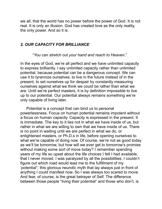we all, that the world has no power before the power of God. It is not real. It is only an illusion. God has created love as the only reality, the only power. And so it is.

## *2. OUR CAPACITY FOR BRILLIANCE*

## "*You can stretch out your hand and reach to Heaven*."

In the eyes of God, we're all perfect and we have unlimited capacity to express brilliantly. I say unlimited capacity rather than unlimited potential, because potential can be a dangerous concept. We can use it to tyrannize ourselves, to live in the future instead of in the present, to set ourselves up for despair by constantly measuring ourselves against what we think we could be rather than what we are. Until we're perfect masters, it is by definition impossible to live up to our potential. Our potential always remains something we're only capable of living later.

Potential is a concept that can bind us to personal powerlessness. Focus on human potential remains impotent without a focus on human capacity. Capacity is expressed in the present. It is immediate. The key to it lies not in what we have inside of us, but rather in what we are willing to own that we have inside of us. There is no point in waiting until we are perfect in what we do, or enlightened masters, or Ph.D.s in life, before opening ourselves to what we're capable of doing now. Of course, we're not as good today as we'll be tomorrow, but how will we ever get to tomorrow's promise without making some sort of move today? I remember spending years of my life so upset about the life choices I felt I had available, that I never moved. I was paralyzed by all the possibilities. I couldn't figure out which road would lead me to the fulfillment of my 'potential"; this glorious neurotic myth that lay always just in front of anything I could manifest now. So I was always too scared to move. And fear, of course, is the great betrayer of Self. The difference between those people "living their potential" and those who don't, is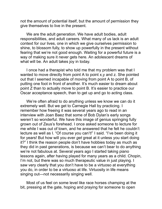not the amount of potential itself, but the amount of permission they give themselves to live in the present.

We are the adult generation. We have adult bodies, adult responsibilities, and adult careers. What many of us lack is an adult context for our lives, one in which we give ourselves permission to shine, to blossom fully, to show up powerfully in the present without fearing that we're not good enough. Waiting for a powerful future is a way of making sure it never gets here. An adolescent dreams of what will be. An adult takes joy in today.

I once had a therapist who told me that my problem was that I wanted to move directly from point A to point x,y and z. She pointed out that I seemed incapable of moving from point A to point B, of putting one foot in front of another. It's much easier to dream about point Z than to actually move to point B. It's easier to practice our Oscar acceptance speech, than to get up and go to acting class.

We're often afraid to do anything unless we know we can do it extremely well. But we get to Carnegie Hall by practicing. I remember how freeing it was several years ago to read in an interview with Joan Baez that some of Bob Dylan's early songs weren't so wonderful. We have this image of genius springing fully grown out of Zeus's forehead. I once asked someone to lecture for me while I was out of town, and he answered that he felt he couldn't lecture as well as I. "Of course you can't!" I said. "I've been doing it for years! But how will you ever *get* great at it unless you start doing it?" I think the reason people don't have hobbies today as much as they did in past generations, is because we can't bear to do anything we're not fabulous at. Several years ago I started taking piano lessons again, after having played for many years as a child. Chopin, I'm not, but there was so much therapeutic value in just playing. I saw very clearly that you don't have to be a virtuoso at everything you do, in order to be a virtuoso at life. Virtuosity in life means singing out—not necessarily singing well.

Most of us feel on some level like race horses champing at the bit, pressing at the gate, hoping and praying for someone to open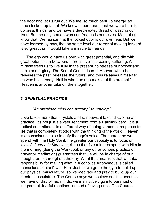the door and let us run out. We feel so much pent up energy, so much locked up talent. We know in our hearts that we were born to do great things, and we have a deep-seated dread of wasting our lives. But the only person who can free us is ourselves. Most of us know that. We realize that the locked door is our own fear. But we have learned by now, that on some level our terror of moving forward is so great that it would take a miracle to free us.

The ego would have us born with great potential, and die with great potential. In between, there is ever-increasing suffering. A miracle frees us to live fully in the present, to release our power and to claim our glory. The Son of God is risen to Heaven when he releases the past, releases the future, and thus releases himself to be who he is today. 'Hell is what the ego makes of the present.' Heaven is another take on the altogether.

## *3. SPIRITUAL PRACTICE*

#### "*An untrained mind can accomplish nothing*."

Love takes more than crystals and rainbows, it takes discipline and practice. It's not just a sweet sentiment from a Hallmark card. It is a radical commitment to a different way of being, a mental response to life that is completely at odds with the thinking of the world. Heaven is a conscious choice to defy the ego's voice. The more time we spend with the Holy Spirit, the greater our capacity is to focus on love. *A Course in Miracles* tells us that five minutes spent with Him in the morning (doing the Workbook or any other serious practice of prayer or meditation) guarantees that He will be in charge of our thought forms throughout the day. What that means is that we take responsibility for making what in Alcoholics Anonymous is called "conscious contact" with Him. Just as we go to the gym to build up our physical musculature, so we meditate and pray to build up our mental musculature. The Course says we achieve so little because we have undisciplined minds: we instinctively go into paranoid or judgmental, fearful reactions instead of loving ones. The Course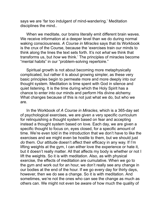says we are 'far too indulgent of mind-wandering.' Meditation disciplines the mind..

When we meditate, our brains literally emit different brain waves. We receive information at a deeper level than we do during normal waking consciousness. *A Course in Miracles* says that its Workbook is the crux of the Course, because the 'exercises train our minds to think along the lines the text sets forth. It's not *what* we think that transforms us, but *how* we think.' The principles of miracles become "mental habits" in our "problem-solving repertoire."

Spiritual growth is not about becoming more metaphysically complicated, but rather it is about growing simpler, as these very basic principles begin to permeate more and more deeply into our thought system. Meditation is time spent with God in silence and quiet listening. It is the time during which the Holy Spirit has a chance to enter into our minds and perform His divine alchemy. What changes because of this is not just what we do, but who we are.

In the Workbook of *A Course in Miracles*, which is a 365-day set of psychological exercises, we are given a very specific curriculum for relinquishing a thought system based on fear and accepting instead a thought system based on love. Each day, we are given a specific thought to focus on, eyes closed, for a specific amount of time. We're even told in the introduction that we don't have to like the exercises and we might even be hostile to them, but we should just *do* them. Our attitude doesn't affect their efficacy in any way. If I'm lifting weights at the gym, I can either love the experience or hate it, but it doesn't really matter. All that affects my body is whether or not I lift the weights. So it is with meditation. Also, as with physical exercise, the effects of meditation are cumulative. When we go to the gym and work out for an hour, we don't really see any change in our bodies at the end of the hour. If we go every day for thirty days, however, then we do see a change. So it is with meditation. And sometimes, we're not the ones who can see the change as much as others can. We might not even be aware of how much the quality of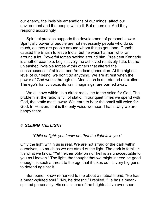our energy, the invisible emanations of our minds, affect our environment and the people within it. But others do. And they respond accordingly.

Spiritual practice supports the development of personal power. Spiritually powerful people are not necessarily people who do so much, as they are people around whom things get done. Gandhi caused the British to leave India, but he wasn't a man who ran around a lot. Powerful forces swirled around him. President Kennedy is another example. Legislatively, he achieved relatively little, but he unleashed invisible forces within others that altered the consciousness of at least one American generation. At the highest level of our being, we don't *do* anything. We are at rest when the power of God works through us. Meditation is a profound relaxation. The ego's frantic voice, its vain imaginings, are burned away.

We all have within us a direct radio line to the voice for God. The problem is, the radio is full of static. In our quiet times we spend with God, the static melts away. We learn to hear the small still voice for God. In Heaven, that is the only voice we hear. That is why we are happy there.

## *4. SEEING THE LIGHT*

"*Child or light, you know not that the light is in you*."

Only the light within us is real. We are not afraid of the dark within ourselves, so much as we are afraid of the light. The dark is familiar. It's what we know. "Yet neither oblivion nor hell is as unacceptable to you as Heaven." The light, the thought that we might indeed be good enough, is such a threat to the ego that it takes out its very big guns to defend against it.

Someone I know remarked to me about a mutual friend, "He has a mean-spirited soul." "No, he doesn't," I replied. "He has a meanspirited personality. His soul is one of the brightest I've ever seen.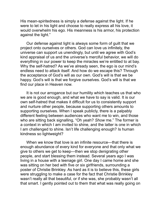His mean-spiritedness is simply a defense against the light. If he were to let in his light and choose to really express all his love, it would overwhelm his ego. His meanness is his armor, his protection against the light."

Our defense against light is always some form of guilt that we project onto ourselves or others. God can love us infinitely, the universe can support us unendingly, but until we agree with God's kind appraisal of us and the universe's merciful behavior, we will do everything in our power to keep the miracles we're entitled to at bay. Why the self-hatred? As we've already seen, the ego is our mind's endless need to attack itself. And how do we escape this? Through the acceptance of God's will as our own. God's will is that we be happy. God's will is that we forgive ourselves. God's will is that we find our place in Heaven now.

It is not our arrogance but our humility which teaches us that who we are is good enough, and what we have to say is valid. It is our own self-hatred that makes it difficult for us to consistently support and nurture other people, because supporting others amounts to supporting ourselves. When I speak publicly, there is a palpably different feeling between audiences who want me to win, and those who are sitting back signalling, "Oh yeah? *Show* me." The former is a context in which I am invited to shine, and the latter is one in which I am challenged to shine. Isn't life challenging enough? Is human kindness so lightweight?

When we know that love is an infinite resource—that there is enough abundance of every kind for everyone and that only what we give to others we get to keep—then we stop denigrating other people, and start blessing them instead. Several years ago I was living in a house with a teenage girl. One day I came home and she was sitting on her bed with five or six girlfriends, surrounding a poster of Christie Brinkley. As hard as it is to believe this, these girls were struggling to make a case for the fact that Christie Brinkley wasn't really all that beautiful, or if she was, she probably wasn't all that smart. I gently pointed out to them that what was really going on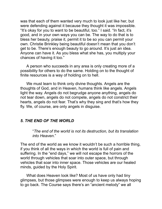was that each of them wanted very much to look just like her, but were defending against it because they thought it was impossible. "It's okay for you to want to be beautiful, too." I said. "In fact, it's good, and in your own ways you can be. The way to do that is to bless her beauty, praise it, permit it to be so you can permit your own. Christie Brinkley being beautiful doesn't mean that you don't get to be. There's enough beauty to go around. It's just an idea. Anyone can have it. As you bless what she has, you multiply your chances of having it too."

A person who succeeds in any area is only creating more of a possibility for others to do the same. Holding on to the thought of finite resources is a way of holding on to hell.

We must learn to think only divine thoughts. Angels are the thoughts of God, and in Heaven, humans think like angels. Angels light the way. Angels do not begrudge anyone anything, angels do not tear down, angels do not compete, angels do not constrict their hearts, angels do not fear. That's why they sing and that's how they fly. We, of course, are only angels in disguise.

#### *5. THE END OF THE WORLD*

"*The end of the world is not its destruction, but its translation into Heaven*."

The end of the world as we know it wouldn't be such a horrible thing, if you think of all the ways in which the world is full of pain and suffering. In the "end days," we will not escape the horrors of the world through vehicles that soar into outer space, but through vehicles that soar into inner space. Those vehicles are our healed minds, guided by the Holy Spirit.

What does Heaven look like? Most of us have only had tiny glimpses, but those glimpses were enough to keep us always hoping to go back. The Course says there's an "ancient melody" we all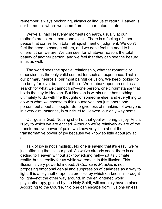remember, always beckoning, always calling us to return. Heaven is our home. It's where we came from. It's our natural state.

We've all had Heavenly moments on earth, usually at our mother's breast or at someone else's. There is a feeling of inner peace that comes from total relinquishment of judgment. We don't feel the need to change others, and we don't feel the need to be different than we are. We can see, for whatever reason, the total beauty of another person, and we feel that they can see the beauty in us as well.

The world sees the special relationship, whether romantic or otherwise, as the only valid context for such an experience. That is our primary neurosis, our most painful delusion. We keep looking to the body for love, but it is not there. We 'embark upon an endless search for what we cannot find'—one person, one circumstance that holds the key to Heaven. But Heaven is within us. It has nothing ultimately to do with the thoughts of someone else, and everything to do with what we choose to think ourselves, not just about one person, but about all people. So forgiveness of mankind, of everyone in every circumstance, is our ticket to Heaven, our only way home.

Our goal is God. Nothing short of that goal will bring us joy. And it is joy to which we are entitled. Although we're relatively aware of the transformative power of pain, we know very little about the transformative power of joy because we know so little about joy at all.

Talk of joy is not simplistic. No one is saying that it's easy; we're just affirming that it's our goal. As we've already seen, there is no getting to Heaven without acknowledging hell—not its ultimate reality, but its reality for us while we remain in this illusion. This illusion is very powerful indeed. *A Course in Miracles* is not proposing emotional denial and suppression of darkness as a way to light. It is a psychotherapeutic process by which darkness is brought to light—not the other way around. In the enlightened world, psychotherapy, guided by the Holy Spirit, will certainly have a place. According to the Course, "No one can escape from illusions unless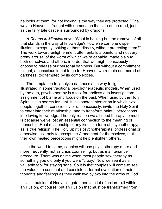he looks at them, for not looking is the way they are protected." The way to Heaven is fraught with demons on the side of the road, just as the fairy tale castle is surrounded by dragons.

*A Course in Miracles* says, "What is healing but the removal of all that stands in the way of knowledge? How else can one dispel illusions except by looking at them directly, without protecting them?" The work toward enlightenment often entails a painful and not very pretty arousal of the worst of which we're capable, made plain to both ourselves and others, in order that we might consciously choose to release our personal darkness. But without a commitment to light, a conscious intent to go for Heaven, we remain enamored of darkness, too tempted by its complexities.

The temptation to 'analyze darkness as a way to light' is illustrated in some traditional psychotherapeutic models. When used by the ego, psychotherapy is a tool for endless ego investigation: assignment of blame and focus on the past. When used by the Holy Spirit, it is a search for light. It is a sacred interaction in which two people together, consciously or unconsciously, invite the Holy Spirit to enter into their relationship, and to transform painful perceptions into loving knowledge. The only reason we all need therapy so much is because we've lost an essential connection to the meaning of friendship. Real relationship of any kind is a form of psychotherapy, as is true religion. The Holy Spirit's psychotherapists, professional or otherwise, ask only to accept the Atonement for themselves, that their own healed perceptions might help enlighten others.

In the world to come, couples will use psychotherapy more and more frequently, not as crisis counseling, but as maintenance procedure. There was a time when most people saw therapy as something you did only if you were "crazy." Now we see it as a valuable tool for staying sane. So it is that couples will come to see the value in a constant and consistent, formal evaluation of their thoughts and feelings as they walk two by two into the arms of God.

Just outside of Heaven's gate, there's a lot of action—all within an illusion, of course, but an illusion that must be transformed from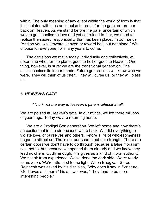within. The only meaning of any event within the world of form is that it stimulates within us an impulse to reach for the gate, or turn our back on Heaven. As we stand before the gate, uncertain of which way to go, impelled to love and yet so trained to fear, we need to realize the sacred responsibility that has been placed in our hands. "And so you walk toward Heaven or toward hell, but not alone." We choose for everyone, for many years to come.

The decisions we make today, individually and collectively, will determine whether the planet goes to hell or goes to Heaven. One thing, however, is sure: we are the transitional generation. The critical choices lie in our hands. Future generations will know who we were. They will think of us often. They will curse us, or they will bless us.

## *6. HEAVEN'S GATE*

"*Think not the way to Heaven's gate is difficult at all*."

We are poised at Heaven's gate. In our minds, we left there millions of years ago. Today we are returning home.

We are a Prodigal Son generation. We left home and now there's an excitement in the air because we're back. We did everything to violate love, of ourselves and others, before a life of wholesomeness began to attract us. That's not our shame but our strength. There are certain doors we don't have to go through because a false moralism said not to, but because we opened them already and we know they lead nowhere. Oddly enough, this gives us a kind of moral authority. We speak from experience. We've done the dark side. We're ready to move on. We're attracted to the light. When Bhagwan Shree Rajneesh was asked by his disciples, "Why does it say in Scripture, 'God loves a sinner'?" his answer was, "They tend to be more interesting people."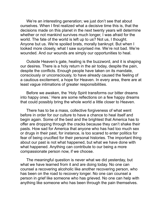We're an interesting generation; we just don't see that about ourselves. When I first realized what a decisive time this is, that the decisions made on this planet in the next twenty years will determine whether or not mankind survives much longer, I was afraid for the world. The fate of the world is left up to us? Not us, I thought. Anyone but us. We're spoiled brats, morally bankrupt. But when I looked more closely, what I saw surprised me. We're not bad. We're wounded. And our wounds are simply our opportunities to heal.

Outside Heaven's gate, healing is the buzzword, and it is shaping our desires. There is a holy return in the air today, despite the pain, despite the conflicts. Enough people have taken on its mandate, consciously or unconsciously, to have already caused the feeling of a cautious excitement, a hope for Heaven. In every area, there are at least vague intimations of greater responsibilities.

Before we awaken, the 'Holy Spirit transforms our bitter dreams into happy ones.' Here are some reflections on a few happy dreams that could possibly bring the whole world a little closer to Heaven.

There has to be a mass, collective forgiveness of what went before in order for our culture to have a chance to heal itself and begin again. Some of the best and the brightest that America has to offer are dropping through the cracks because they can't shake their pasts. How sad for America that anyone who has had too much sex or drugs in their past, for instance, is too scared to enter politics for fear of being crucified for their personal histories. The important thing about our past is not what happened, but what we have done with what happened. Anything can contribute to our being a more compassionate person now, if we choose.

The meaningful question is never what we did yesterday, but what we have learned from it and are doing today. No one can counsel a recovering alcoholic like another recovering person, who has been on the road to recovery longer. No one can counsel a person in grief like someone who has grieved. No one can help with anything like someone who has been through the pain themselves.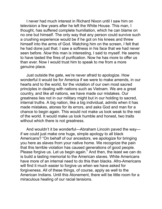I never had much interest in Richard Nixon until I saw him on television a few years after he left the White House. This man, I thought, has suffered complete humiliation, which he can blame on no one but himself. The only way that any person could survive such a crushing experience would be if he got on his knees and threw himself into the arms of God. Watching him on the screen, I felt that he had done just that. I saw a softness in his face that we had never seen before. *Now* this man is interesting, I said to myself. He seems to have tasted the fires of purification. Now he has more to offer us than ever. Now I would trust him to speak to me from a more genuine place.

Just outside the gate, we're never afraid to apologize. How wonderful it would be for America if we were to make amends, in our hearts and to the world, for the violation of our own most sacred principles in dealing with nations such as Vietnam. We are a great country, and like all nations, we have made our mistakes. Our greatness lies not in our military might but in our holding to sacred, internal truths. A big nation, like a big individual, admits when it has made mistakes, atones for its errors, and asks God and man for a chance to begin again. This would not make us look weak to the rest of the world. It would make us look humble and honest, two traits without which there is not greatness.

And wouldn't it be wonderful—Abraham Lincoln paved the way if we could just make one huge, simple apology to all black Americans? "On behalf of our ancestors, we apologize for bringing you here as slaves from your native home. We recognize the pain that this terrible violation has caused generations of good people. Please forgive us. Let us begin again." And then, the least we can do is build a lasting memorial to the American slaves. White Americans have more of an internal need to do this than blacks. Afro-Americans will find it much easier to forgive us when we have asked for forgiveness. All of these things, of course, apply as well to the American Indians. Until this Atonement, there will be little room for a miraculous healing of our racial tensions.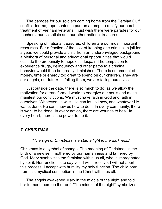The parades for our soldiers coming home from the Persian Gulf conflict, for me, represented in part an attempt to rectify our harsh treatment of Vietnam veterans. I just wish there were parades for our teachers, our scientists and our other national treasures.

Speaking of national treasures, children are our most important resources. For a fraction of the cost of keeping one criminal in jail for a year, we could provide a child from an underprivileged background a plethora of personal and educational opportunities that would occlude the propensity to hopeless despair. The temptation to experience drugs, delinquency and other paths to a criminal behavior would then be greatly diminished. There is no amount of money, time or energy too great to spend on our children. They are our angels, our future. In failing them, we are failing ourselves.

Just outside the gate, there is so much to do, as we allow the motivation for a transformed world to energize our souls and make manifest our convictions. We must have faith in God and faith in ourselves. Whatever He wills, He can let us know, and whatever He wants done, He can show us how to do it. In every community, there is work to be done. In every nation, there are wounds to heal. In every heart, there is the power to do it.

## *7. CHRISTMAS*

"*The sign of Christmas is a star, a light in the darkness*."

Christmas is a symbol of change. The meaning of Christmas is the birth of a new self, mothered by our humanness and fathered by God. Mary symbolizes the feminine within us all, who is impregnated by spirit. Her function is to say yes, I will, I receive, I will not abort this process, I accept with humility my holy function. The child born from this mystical conception is the Christ within us all.

The angels awakened Mary in the middle of the night and told her to meet them on the roof. "The middle of the night" symbolizes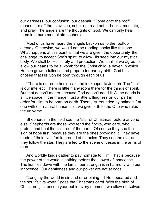our darkness, our confusion, our despair. "Come onto the roof" means turn off the television, sober up, read better books, meditate, and pray. The angels are the thoughts of God. We can only hear them in a pure mental atmosphere.

Most of us have heard the angels beckon us to the rooftop already. Otherwise, we would not be reading books like this one. What happens at this point is that we are given the opportunity, the challenge, to accept God's spirit, to allow His seed into our mystical body. We shall be His safety and protection. We shall, if we agree to, allow our hearts to be a womb for the Christ child, a haven in which He can grow in fullness and prepare for earthly birth. God has chosen that His Son be born through each of us.

"There is no room here," said the innkeeper to Joseph. The "inn" is our intellect. There is little if any room there for the things of spirit. But that doesn't matter because God doesn't need it. All he needs is a little space in the manger, just a little willingness on our part in order for Him to be born on earth. There, "surrounded by animals," at one with our natural human self, we give birth to the One who rules the universe.

Shepherds in the field see the "star of Christmas" before anyone else. Shepherds are those who tend the flocks, who care, who protect and heal the children of the earth. Of course they see the sign of hope first, because they are the ones providing it. They have made of their lives fertile ground of miracles. They see the star and they follow the star. They are led to the scene of Jesus in the arms of man.

And worldly kings gather to pay homage to Him. That is because the power of the world is nothing before the 'power of innocence. The lion lies down with the lamb;' our strength is in harmony with our innocence. Our gentleness and our power are not at odds.

"Long lay the world in sin and error pining, till He appeared and the soul felt its worth," goes the Christmas carol. With the birth of Christ, not just once a year but in every moment, we allow ourselves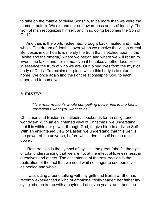to take on the mantle of divine Sonship, to be more than we were the moment before. We expand our self-awareness and self-identity. The 'son of man recognizes himself, and in so doing becomes the Son of God.'

And thus is the world redeemed, brought back, healed and made whole. The dream of death is over when we receive the vision of real life. Jesus in our hearts is merely the truth that is etched upon it, the "alpha and the omega," where we began and where we will return to. Even if he takes another name, even if he takes another face, He is in essence the truth of who we are. Our joined lives form the mystical body of Christ. To reclaim our place within this body is to return home. We once again find the right relationship to God, to each other, and to ourselves.

## *8. EASTER*

"*The resurrection's whole compelling power lies in the fact it represents what you want to be*."

Christmas and Easter are attitudinal bookends for an enlightened worldview. With an enlightened view of Christmas, we understand that it is within our power, through God, to give birth to a divine Self. With an enlightened view of Easter, we understand that this Self is the power of the universe, before which death itself has no real power.

'Resurrection is the symbol of joy.' It is the great "aha!"—the sign of total understanding that we are not at the effect of lovelessness, in ourselves and others. The acceptance of the resurrection is the realization of the fact that we need wait no longer to see ourselves as healed and whole.

I was sitting around talking with my girlfriend Barbara. She had recently experienced a kind of emotional triple-header: her father lay dying, she broke up with a boyfriend of seven years, and then she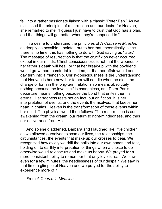fell into a rather passionate liaison with a classic "Peter Pan." As we discussed the principles of resurrection and our desire for Heaven, she remarked to me, "I guess I just have to trust that God has a plan, and that things will get better when they're supposed to."

In a desire to understand the principles of *A Course in Miracles* as deeply as possible, I pointed out to her that, theoretically, since there is no time, this has nothing to do with God saving us "later." The message of resurrection is that the crucifixion never occurred, except in our minds. Christ-consciousness is not that the wounds of her father's death will heal, or that her break-up with the boyfriend would grow more comfortable in time, or that her affair would one day turn into a friendship. Christ-consciousness is the understanding that Heaven is here now: her father will not die when he dies, the change of form in the long-term relationship means absolutely nothing because the love itself is changeless, and Peter Pan's departure means nothing because the bond that unites them is eternal. Her sadness rests not on fact, but on fiction. It is her interpretation of events, and the events themselves, that keeps her heart in chains. Heaven is the transformation of these events within her mind. The physical world then follows. 'The resurrection is our awakening from the dream, our return to right-mindedness, and thus our deliverance from Hell.'

And so she gladdened. Barbara and I laughed like little children as we allowed ourselves to scan our lives, the relationships, the circumstances, the events that make up our crosses to bear. We recognized how avidly we drill the nails into our own hands and feet, holding on to earthly interpretation of things when a choice to do otherwise would release us and make us happy. We prayed for a more consistent ability to remember that only love is real. We saw, if even for a few minutes, the needlessness of our despair. We saw in that time a glimpse of Heaven and we prayed for the ability to experience more of it.

From *A Course in Miracles*: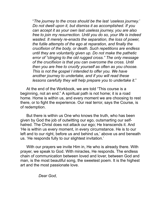"*The journey to the cross should be the last 'useless journey.' Do not dwell upon it, but dismiss it as accomplished. If you can accept it as your own last useless journey, you are also free to join my resurrection. Until you do so, your life is indeed wasted. It merely re-enacts the separation, the loss of power, the futile attempts of the ego at reparation, and finally the crucifixion of the body, or death. Such repetitions are endless until they are voluntarily given up. Do not make the pathetic error of "clinging to the old rugged cross." The only message of the crucifixion is that you can overcome the cross. Until then you are free to crucify yourself as often as you choose. This is not the gospel I intended to offer you. We have another journey to undertake, and if you will read these lessons carefully they will help prepare you to undertake it*."

At the end of the Workbook, we are told "This course is a beginning, not an end." A spiritual path is not home; it is a road home. Home is within us, and every moment we are choosing to rest there, or to fight the experience. Our real terror, says the Course, is of redemption.

But there is within us One who knows the truth, who has been given by God the job of outwitting our ego, outsmarting our selfhatred. The Christ does not attack our ego; He transcends it. And 'He is within us every moment, in every circumstance. He is to our left and to our right, before us and behind us,' above us and beneath us. 'He responds fully to our slightest invitation.'

With our prayers we invite Him in, He who is already there. With prayer, we speak to God. With miracles, He responds. The endless chain of communication between loved and lover, between God and man, is the most beautiful song, the sweetest poem. It is the highest art and the most passionate love.

*Dear God*,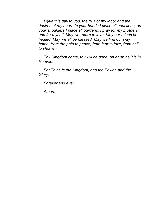*I give this day to you, the fruit of my labor and the desires of my heart. In your hands I place all questions, on your shoulders I place all burdens. I pray for my brothers and for myself. May we return to love. May our minds be healed. May we all be blessed. May we find our way home, from the pain to peace, from fear to love, from hell to Heaven*.

*Thy Kingdom come, thy will be done, on earth as it is in Heaven*.

*For Thine is the Kingdom, and the Power, and the Glory*.

*Forever and ever*.

*Amen*.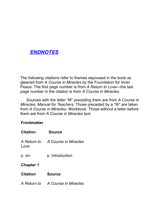# *[ENDNOTES](#page-5-0)*

The following citations refer to themes espoused in the book as gleaned from *A Course in Miracles* by the Foundation for Inner Peace. The first page number is from *A Return to Love*—the last page number in the citation is from *A Course in Miracles*.

Sources with the letter "M" preceding them are from *A Course in Miracles: Manual for Teachers*. Those preceded by a "W" are taken from *A Course in Miracles: Workbook*. Those without a letter before them are from *A Course in Miracles* text.

## **Frontmatter**

| <b>Citation</b>  | <b>Source</b>                    |
|------------------|----------------------------------|
| Love             | A Return to A Course in Miracles |
| p. xiv           | p. Introduction                  |
| <b>Chapter 1</b> |                                  |
| <b>Citation</b>  | <b>Source</b>                    |
| A Return to      | A Course in Miracles             |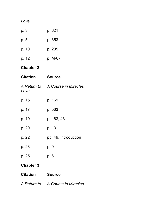## *Love*

| <b>Chapter 2</b> |         |  |
|------------------|---------|--|
| p. 12            | p. M-67 |  |
| p. 10            | p. 235  |  |
| p. 5             | p. 353  |  |
| p. 3             | p. 621  |  |

| <b>Citation</b>  | <b>Source</b>                    |
|------------------|----------------------------------|
| Love             | A Return to A Course in Miracles |
| p. 15            | p. 169                           |
| p. 17            | p. 563                           |
| p. 19            | pp. 63, 43                       |
| p. 20            | p. 13                            |
| p. 22            | pp. 49, Introduction             |
| p. 23            | p. 9                             |
| p. 25            | p. 6                             |
| <b>Chapter 3</b> |                                  |
| <b>Citation</b>  | <b>Source</b>                    |
|                  |                                  |

*A Return to A Course in Miracles*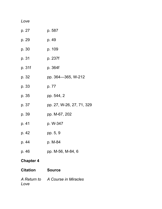*Love*

- p. 27 p. 587
- p. 29 p. 49
- p. 30 p. 109
- p. 31 p. 237f
- p. 31f p. 364f
- p. 32 pp. 364—365, W-212
- p. 33 p. 77
- p. 35 pp. 544, 2
- p. 37 pp. 27, W-26, 27, 71, 329
- p. 39 pp. M-67, 202
- p. 41 p. W-347
- p. 42 pp. 5, 9
- p. 44 p. M-84
- p. 46 pp. M-56, M-84, 6

#### **Chapter 4**

**Citation Source**

*A Return to Love A Course in Miracles*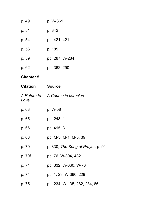| p. 49 | p. W-361       |
|-------|----------------|
| p. 51 | p. 342         |
| p. 54 | pp. 421, 421   |
| p. 56 | p. 185         |
| p. 59 | pp. 287, W-284 |
| p. 62 | pp. 362, 290   |

| <b>Citation</b> | <b>Source</b>                     |
|-----------------|-----------------------------------|
| Love            | A Return to A Course in Miracles  |
| p. 63           | p. W-58                           |
| p. 65           | pp. 248, 1                        |
| p. 66           | pp. 415, 3                        |
| p. 68           | pp. M-3, M-1, M-3, 39             |
| p. 70           | p. 330, The Song of Prayer, p. 9f |
| p. 70f          | pp. 76, W-304, 432                |
| p. 71           | pp. 332, W-360, W-73              |
| p. 74           | pp. 1, 29, W-360, 229             |
| p. 75           | pp. 234, W-135, 282, 234, 86      |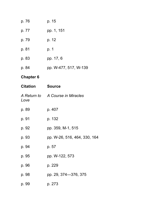| p. 76 | p. 15                 |
|-------|-----------------------|
| p. 77 | pp. 1, 151            |
| p. 79 | p. 12                 |
| p. 81 | p. 1                  |
| p. 83 | pp. 17, 6             |
| p. 84 | pp. W-477, 517, W-139 |
|       |                       |

| <b>Citation</b> | <b>Source</b>                    |
|-----------------|----------------------------------|
| Love            | A Return to A Course in Miracles |
| p. 89           | p. 407                           |
| p. 91           | p. 132                           |
| p. 92           | pp. 359, M-1, 515                |
| p. 93           | pp. W-26, 516, 464, 330, 164     |
| p. 94           | p. 57                            |
| p. 95           | pp. W-122, 573                   |
| p. 96           | p. 229                           |
| p. 98           | pp. 29, 374–376, 375             |
| p. 99           | p. 273                           |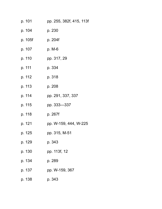- p. 101 pp. 255, 382f, 415, 113f
- p. 104 p. 230
- p. 105f p. 204f
- p. 107 p. M-6
- p. 110 pp. 317, 29
- p. 111 p. 334
- p. 112 p. 318
- p. 113 p. 208
- p. 114 pp. 291, 337, 337
- p. 115 pp. 333—337
- p. 118 p. 267f
- p. 121 pp. W-159, 444, W-225
- p. 125 pp. 315, M-51
- p. 129 p. 343
- p. 130 pp. 113f, 12
- p. 134 p. 289
- p. 137 pp. W-159, 367
- p. 138 p. 343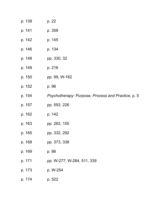- p. 139 p. 22
- p. 141 p. 358
- p. 142 p. 145
- p. 146 p. 134
- p. 148 pp. 330, 32
- p. 149 p. 216
- p. 150 pp. 99, W-162
- p. 152 p. 96
- p. 154 *Psychotherapy: Purpose, Process and Practice*, p. 5
- p. 157 pp. 593, 226
- p. 162 p. 142
- p. 163 pp. 263, 155
- p. 165 pp. 332, 292
- p. 168 pp. 373, 338
- p. 169 p. 86
- p. 171 pp. W-277, W-284, 511, 339
- p. 173 p. W-254
- p. 174 p. 522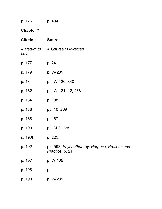|  | p. 176 | p. 404 |
|--|--------|--------|
|--|--------|--------|

| <b>Citation</b>     | <b>Source</b>                                                   |
|---------------------|-----------------------------------------------------------------|
| A Return to<br>Love | A Course in Miracles                                            |
| p. 177              | p. 24                                                           |
| p. 179              | p. W-281                                                        |
| p. 181              | pp. W-120, 340                                                  |
| p. 182              | pp. W-121, 12, 288                                              |
| p. 184              | p. 188                                                          |
| p. 186              | pp. 10, 269                                                     |
| p. 188              | p. 167                                                          |
| p. 190              | pp. M-8, 165                                                    |
| p. 190f             | p. 225f                                                         |
| p. 192              | pp. 592, Psychotherapy: Purpose, Process and<br>Practice, p. 21 |
| p. 197              | p. W-105                                                        |
| p. 198              | p. 1                                                            |
| p. 199              | p. W-281                                                        |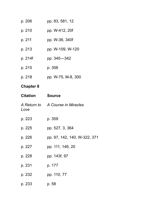| p. 206  | pp. 83, 581, 12    |
|---------|--------------------|
| p. 210  | pp. W-412, 20f     |
| p. 211  | pp. W-36, 340f     |
| p. 213  | pp. W-109, W-120   |
| p. 214f | pp. 340-342        |
| p. 215  | p. 356             |
| p. 218  | pp. W-75, M-8, 300 |

| <b>Citation</b> | <b>Source</b>                    |
|-----------------|----------------------------------|
| Love            | A Return to A Course in Miracles |
| p. 223          | p. 359                           |
| p. 225          | pp. 527, 3, 364                  |
| p. 226          | pp. 97, 142, 140, W-322, 371     |
| p. 227          | pp. 111, 146, 20                 |
| p. 228          | pp. 143f, 97                     |
| p. 231          | p. 177                           |
| p. 232          | pp. 110, 77                      |
| p. 233          | p. 58                            |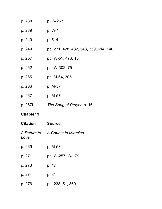- p. 238 p. W-263
- p. 239 p. W-1
- p. 240 p. 514
- p. 249 pp. 271, 428, 482, 543, 359, 614, 140
- p. 257 pp. W-51, 476, 15
- p. 262 pp. W-302, 75
- p. 265 pp. M-64, 305
- p. 266 p. M-57f
- p. 267 p. M-57
- p. 267f *The Song of Prayer*, p. 16

| Citation | <b>Source</b>                    |
|----------|----------------------------------|
| Love     | A Return to A Course in Miracles |
| p. 269   | p. M-58                          |
| p. 271   | pp. W-257, W-179                 |
| p. 273   | p. 47                            |
| p. 274   | p. 81                            |
| p. 276   | pp. 238, 51, 360                 |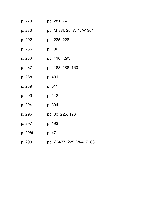- p. 279 pp. 281, W-1
- p. 280 pp. M-38f, 25, W-1, W-361
- p. 292 pp. 235, 228
- p. 285 p. 196
- p. 286 pp. 416f, 295
- p. 287 pp. 188, 188, 160
- p. 288 p. 491
- p. 289 p. 511
- p. 290 p. 542
- p. 294 p. 304
- p. 296 pp. 33, 225, 193
- p. 297 p. 193
- p. 298f p. 47
- p. 299 pp. W-477, 225, W-417, 83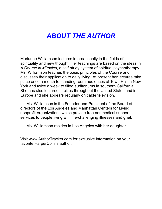# *ABOUT [THE AUTHOR](#page-5-1)*

Marianne Williamson lectures internationally in the fields of spirituality and new thought. Her teachings are based on the ideas in *A Course in Miracles*, a self-study system of spiritual psychotherapy. Ms. Williamson teaches the basic principles of the Course and discusses their application to daily living. At present her lectures take place once a month to standing room audiences at Town Hall in New York and twice a week to filled auditoriums in southern California. She has also lectured in cities throughout the United States and in Europe and she appears regularly on cable television.

Ms. Williamson is the Founder and President of the Board of directors of the Los Angeles and Manhattan Centers for Living, nonprofit organizations which provide free nonmedical support services to people living with life-challenging illnesses and grief.

Ms. Williamson resides in Los Angeles with her daughter.

Visit www.AuthorTracker.com for exclusive information on your favorite HarperCollins author.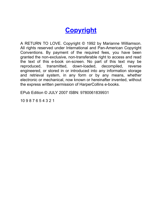# **[Copyright](#page-5-2)**

A RETURN TO LOVE. Copyright © 1992 by Marianne Williamson. All rights reserved under International and Pan-American Copyright Conventions. By payment of the required fees, you have been granted the non-exclusive, non-transferable right to access and read the text of this e-book on-screen. No part of this text may be reproduced, transmitted, down-loaded, decompiled, reverse engineered, or stored in or introduced into any information storage and retrieval system, in any form or by any means, whether electronic or mechanical, now known or hereinafter invented, without the express written permission of HarperCollins e-books.

EPub Edition © JULY 2007 ISBN: 9780061839931

10 9 8 7 6 5 4 3 2 1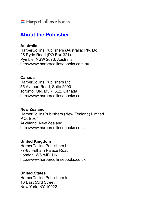HarperCollins e-books

# **About the [Publisher](#page-5-3)**

## **Australia**

HarperCollins Publishers (Australia) Pty. Ltd. 25 Ryde Road (PO Box 321) Pymble, NSW 2073, Australia http://www.harpercollinsebooks.com.au

## **Canada**

HarperCollins Publishers Ltd. 55 Avenue Road, Suite 2900 Toronto, ON, M5R, 3L2, Canada http://www.harpercollinsebooks.ca

## **New Zealand**

HarperCollinsPublishers (New Zealand) Limited P.O. Box 1 Auckland, New Zealand http://www.harpercollinsebooks.co.nz

## **United Kingdom**

HarperCollins Publishers Ltd. 77-85 Fulham Palace Road London, W6 8JB, UK http://www.harpercollinsebooks.co.uk

## **United States**

HarperCollins Publishers Inc. 10 East 53rd Street New York, NY 10022